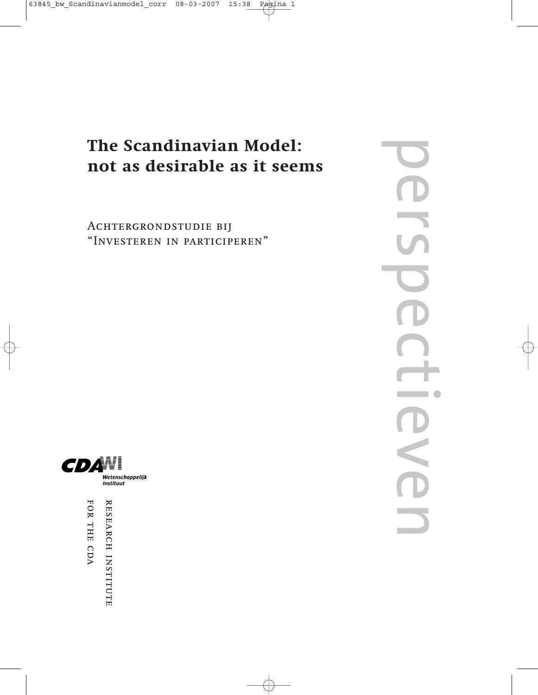### **The Scandinavian Model: not as desirable as it seems**

Achtergrondstudie bij "Investeren in participeren" perspectieven  $\overline{\phantom{0}}$ S



FOR THE CDA RESEARCH INSTITUTE for the cda research institute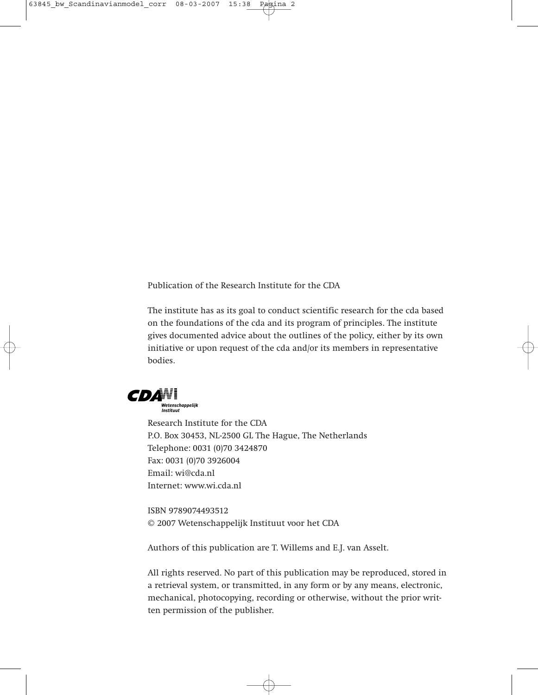Publication of the Research Institute for the CDA

The institute has as its goal to conduct scientific research for the cda based on the foundations of the cda and its program of principles. The institute gives documented advice about the outlines of the policy, either by its own initiative or upon request of the cda and/or its members in representative bodies.



Research Institute for the CDA P.O. Box 30453, NL-2500 GL The Hague, The Netherlands Telephone: 0031 (0)70 3424870 Fax: 0031 (0)70 3926004 Email: wi@cda.nl Internet: www.wi.cda.nl

ISBN 9789074493512 © 2007 Wetenschappelijk Instituut voor het CDA

Authors of this publication are T. Willems and E.J. van Asselt.

All rights reserved. No part of this publication may be reproduced, stored in a retrieval system, or transmitted, in any form or by any means, electronic, mechanical, photocopying, recording or otherwise, without the prior written permission of the publisher.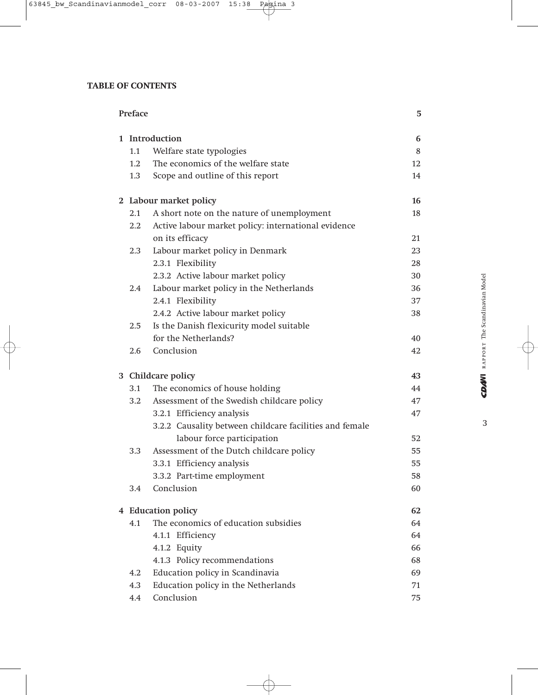#### **TABLE OF CONTENTS**

| Preface |                                                         | 5  |
|---------|---------------------------------------------------------|----|
|         | 1 Introduction                                          | 6  |
| 1.1     | Welfare state typologies                                | 8  |
| 1.2     | The economics of the welfare state                      | 12 |
| 1.3     | Scope and outline of this report                        | 14 |
|         | 2 Labour market policy                                  | 16 |
| 2.1     | A short note on the nature of unemployment              | 18 |
| 2.2     | Active labour market policy: international evidence     |    |
|         | on its efficacy                                         | 21 |
| 2.3     | Labour market policy in Denmark                         | 23 |
|         | 2.3.1 Flexibility                                       | 28 |
|         | 2.3.2 Active labour market policy                       | 30 |
| 2.4     | Labour market policy in the Netherlands                 | 36 |
|         | 2.4.1 Flexibility                                       | 37 |
|         | 2.4.2 Active labour market policy                       | 38 |
| 2.5     | Is the Danish flexicurity model suitable                |    |
|         | for the Netherlands?                                    | 40 |
| 2.6     | Conclusion                                              | 42 |
|         | 3 Childcare policy                                      | 43 |
| 3.1     | The economics of house holding                          | 44 |
| 3.2     | Assessment of the Swedish childcare policy              | 47 |
|         | 3.2.1 Efficiency analysis                               | 47 |
|         | 3.2.2 Causality between childcare facilities and female |    |
|         | labour force participation                              | 52 |
| 3.3     | Assessment of the Dutch childcare policy                | 55 |
|         | 3.3.1 Efficiency analysis                               | 55 |
|         | 3.3.2 Part-time employment                              | 58 |
| 3.4     | Conclusion                                              | 60 |
|         | 4 Education policy                                      | 62 |
|         | 4.1 The economics of education subsidies                | 64 |
|         | 4.1.1 Efficiency                                        | 64 |
|         | 4.1.2 Equity                                            | 66 |
|         | 4.1.3 Policy recommendations                            | 68 |
| 4.2     | Education policy in Scandinavia                         | 69 |
| 4.3     | Education policy in the Netherlands                     | 71 |
| 4.4     | Conclusion                                              | 75 |

 $\overline{3}$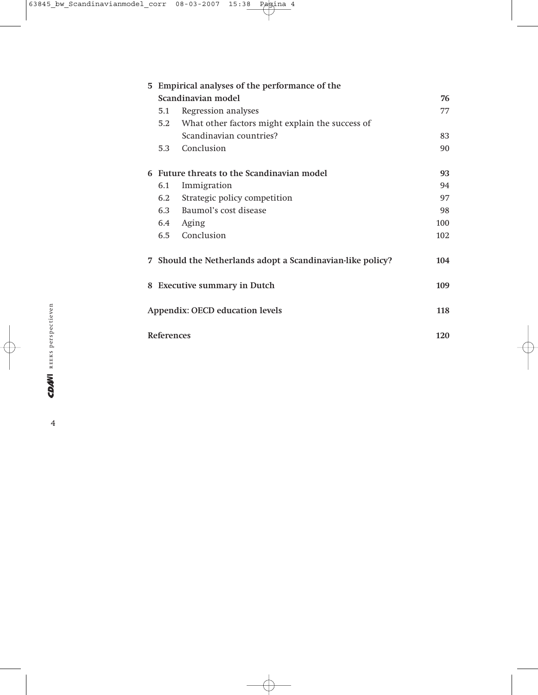| 5 Empirical analyses of the performance of the |                                                            |     |  |  |
|------------------------------------------------|------------------------------------------------------------|-----|--|--|
| Scandinavian model                             |                                                            |     |  |  |
| 5.1                                            | Regression analyses                                        | 77  |  |  |
| 5.2                                            | What other factors might explain the success of            |     |  |  |
|                                                | Scandinavian countries?                                    | 83  |  |  |
| 5.3                                            | Conclusion                                                 | 90  |  |  |
|                                                | 6 Future threats to the Scandinavian model                 | 93  |  |  |
| 6.1                                            | Immigration                                                | 94  |  |  |
| 6.2                                            | Strategic policy competition                               | 97  |  |  |
| 6.3                                            | Baumol's cost disease                                      | 98  |  |  |
|                                                | 6.4 Aging                                                  | 100 |  |  |
| 6.5                                            | Conclusion                                                 | 102 |  |  |
|                                                | 7 Should the Netherlands adopt a Scandinavian-like policy? | 104 |  |  |
| 8 Executive summary in Dutch<br>109            |                                                            |     |  |  |
| Appendix: OECD education levels<br>118         |                                                            |     |  |  |
| <b>References</b>                              |                                                            | 120 |  |  |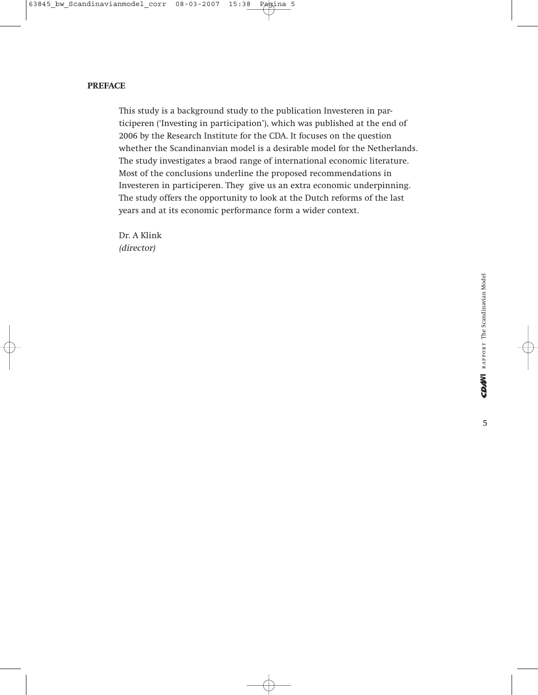#### **PREFACE**

This study is a background study to the publication Investeren in participeren ('Investing in participation'), which was published at the end of 2006 by the Research Institute for the CDA. It focuses on the question whether the Scandinanvian model is a desirable model for the Netherlands. The study investigates a braod range of international economic literature. Most of the conclusions underline the proposed recommendations in Investeren in participeren. They give us an extra economic underpinning. The study offers the opportunity to look at the Dutch reforms of the last years and at its economic performance form a wider context.

Dr. A Klink (director)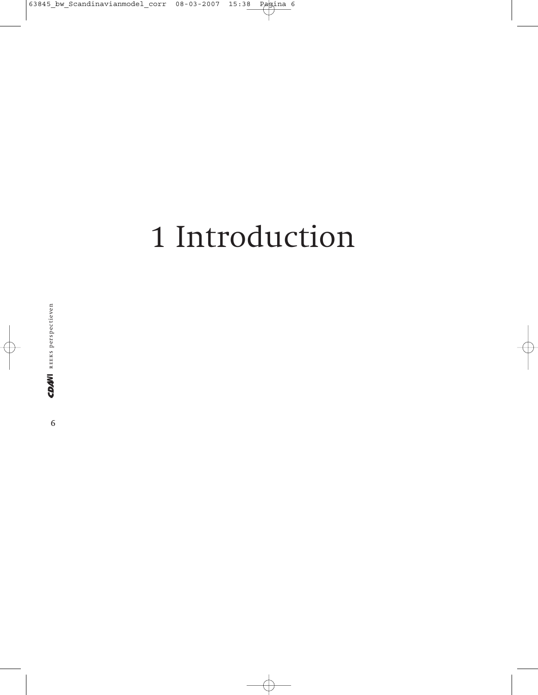## 1 Introduction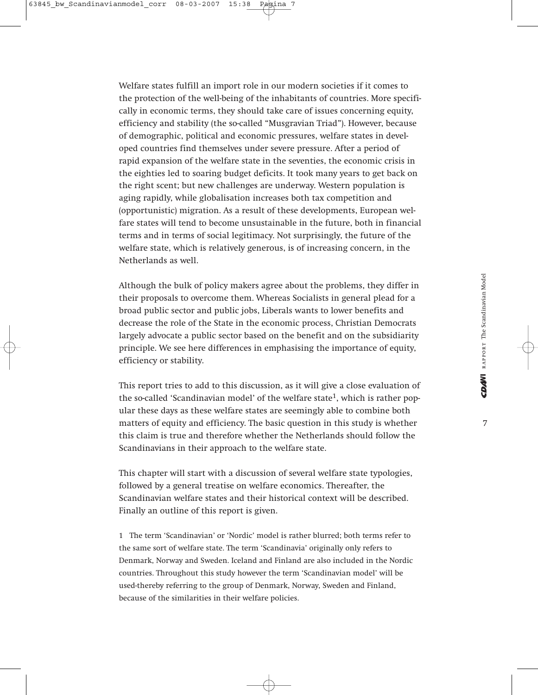Welfare states fulfill an import role in our modern societies if it comes to the protection of the well-being of the inhabitants of countries. More specifically in economic terms, they should take care of issues concerning equity, efficiency and stability (the so-called "Musgravian Triad"). However, because of demographic, political and economic pressures, welfare states in developed countries find themselves under severe pressure. After a period of rapid expansion of the welfare state in the seventies, the economic crisis in the eighties led to soaring budget deficits. It took many years to get back on the right scent; but new challenges are underway. Western population is aging rapidly, while globalisation increases both tax competition and (opportunistic) migration. As a result of these developments, European welfare states will tend to become unsustainable in the future, both in financial terms and in terms of social legitimacy. Not surprisingly, the future of the welfare state, which is relatively generous, is of increasing concern, in the Netherlands as well.

Although the bulk of policy makers agree about the problems, they differ in their proposals to overcome them. Whereas Socialists in general plead for a broad public sector and public jobs, Liberals wants to lower benefits and decrease the role of the State in the economic process, Christian Democrats largely advocate a public sector based on the benefit and on the subsidiarity principle. We see here differences in emphasising the importance of equity, efficiency or stability.

This report tries to add to this discussion, as it will give a close evaluation of the so-called 'Scandinavian model' of the welfare state<sup>1</sup>, which is rather popular these days as these welfare states are seemingly able to combine both matters of equity and efficiency. The basic question in this study is whether this claim is true and therefore whether the Netherlands should follow the Scandinavians in their approach to the welfare state.

This chapter will start with a discussion of several welfare state typologies, followed by a general treatise on welfare economics. Thereafter, the Scandinavian welfare states and their historical context will be described. Finally an outline of this report is given.

1 The term 'Scandinavian' or 'Nordic' model is rather blurred; both terms refer to the same sort of welfare state. The term 'Scandinavia' originally only refers to Denmark, Norway and Sweden. Iceland and Finland are also included in the Nordic countries. Throughout this study however the term 'Scandinavian model' will be used-thereby referring to the group of Denmark, Norway, Sweden and Finland, because of the similarities in their welfare policies.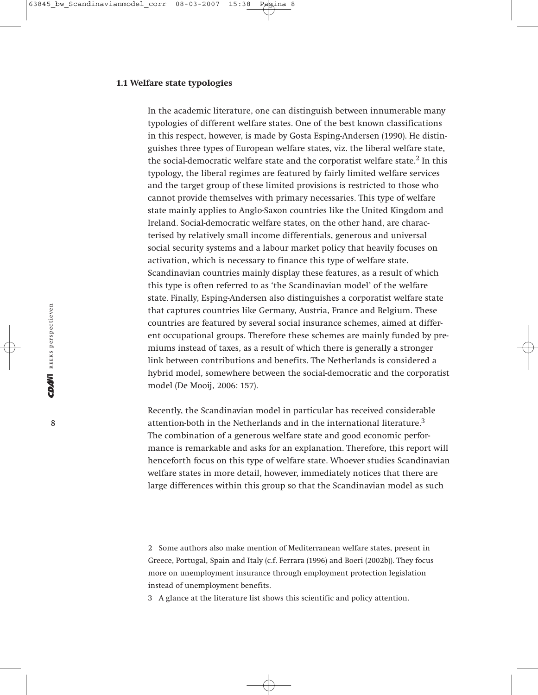#### **1.1 Welfare state typologies**

In the academic literature, one can distinguish between innumerable many typologies of different welfare states. One of the best known classifications in this respect, however, is made by Gosta Esping-Andersen (1990). He distinguishes three types of European welfare states, viz. the liberal welfare state, the social-democratic welfare state and the corporatist welfare state. $2$  In this typology, the liberal regimes are featured by fairly limited welfare services and the target group of these limited provisions is restricted to those who cannot provide themselves with primary necessaries. This type of welfare state mainly applies to Anglo-Saxon countries like the United Kingdom and Ireland. Social-democratic welfare states, on the other hand, are characterised by relatively small income differentials, generous and universal social security systems and a labour market policy that heavily focuses on activation, which is necessary to finance this type of welfare state. Scandinavian countries mainly display these features, as a result of which this type is often referred to as 'the Scandinavian model' of the welfare state. Finally, Esping-Andersen also distinguishes a corporatist welfare state that captures countries like Germany, Austria, France and Belgium. These countries are featured by several social insurance schemes, aimed at different occupational groups. Therefore these schemes are mainly funded by premiums instead of taxes, as a result of which there is generally a stronger link between contributions and benefits. The Netherlands is considered a hybrid model, somewhere between the social-democratic and the corporatist model (De Mooij, 2006: 157).

Recently, the Scandinavian model in particular has received considerable attention-both in the Netherlands and in the international literature.<sup>3</sup> The combination of a generous welfare state and good economic performance is remarkable and asks for an explanation. Therefore, this report will henceforth focus on this type of welfare state. Whoever studies Scandinavian welfare states in more detail, however, immediately notices that there are large differences within this group so that the Scandinavian model as such

2 Some authors also make mention of Mediterranean welfare states, present in Greece, Portugal, Spain and Italy (c.f. Ferrara (1996) and Boeri (2002b)). They focus more on unemployment insurance through employment protection legislation instead of unemployment benefits.

3 A glance at the literature list shows this scientific and policy attention.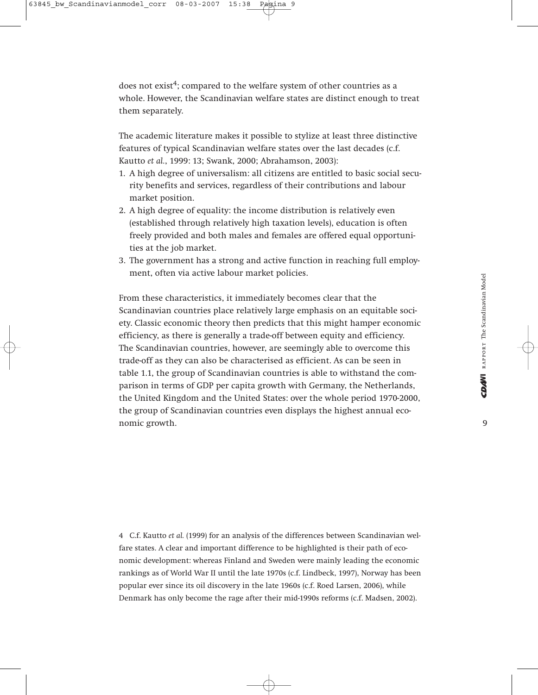does not exist<sup>4</sup>; compared to the welfare system of other countries as a whole. However, the Scandinavian welfare states are distinct enough to treat them separately.

The academic literature makes it possible to stylize at least three distinctive features of typical Scandinavian welfare states over the last decades (c.f. Kautto *et al.*, 1999: 13; Swank, 2000; Abrahamson, 2003):

- 1. A high degree of universalism: all citizens are entitled to basic social security benefits and services, regardless of their contributions and labour market position.
- 2. A high degree of equality: the income distribution is relatively even (established through relatively high taxation levels), education is often freely provided and both males and females are offered equal opportunities at the job market.
- 3. The government has a strong and active function in reaching full employment, often via active labour market policies.

From these characteristics, it immediately becomes clear that the Scandinavian countries place relatively large emphasis on an equitable society. Classic economic theory then predicts that this might hamper economic efficiency, as there is generally a trade-off between equity and efficiency. The Scandinavian countries, however, are seemingly able to overcome this trade-off as they can also be characterised as efficient. As can be seen in table 1.1, the group of Scandinavian countries is able to withstand the comparison in terms of GDP per capita growth with Germany, the Netherlands, the United Kingdom and the United States: over the whole period 1970-2000, the group of Scandinavian countries even displays the highest annual economic growth.

4 C.f. Kautto *et al.* (1999) for an analysis of the differences between Scandinavian welfare states. A clear and important difference to be highlighted is their path of economic development: whereas Finland and Sweden were mainly leading the economic rankings as of World War II until the late 1970s (c.f. Lindbeck, 1997), Norway has been popular ever since its oil discovery in the late 1960s (c.f. Roed Larsen, 2006), while Denmark has only become the rage after their mid-1990s reforms (c.f. Madsen, 2002).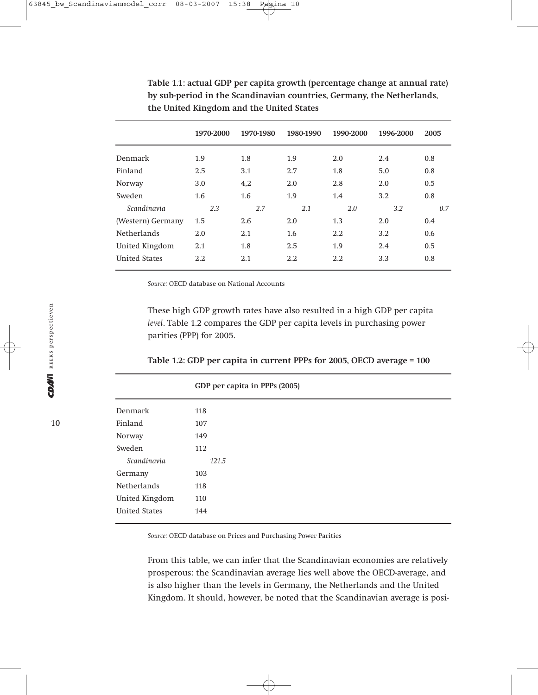|                      | 1970-2000 | 1970-1980 | 1980-1990 | 1990-2000 | 1996-2000 | 2005 |
|----------------------|-----------|-----------|-----------|-----------|-----------|------|
| Denmark              | 1.9       | 1.8       | 1.9       | 2.0       | 2.4       | 0.8  |
| Finland              | 2.5       | 3.1       | 2.7       | 1.8       | 5,0       | 0.8  |
| Norway               | 3.0       | 4,2       | 2.0       | 2.8       | 2.0       | 0.5  |
| Sweden               | 1.6       | 1.6       | 1.9       | 1.4       | 3.2       | 0.8  |
| Scandinavia          | 2.3       | 2.7       | 2.1       | 2.0       | 3.2       | 0.7  |
| (Western) Germany    | 1.5       | 2.6       | 2.0       | 1.3       | 2.0       | 0.4  |
| <b>Netherlands</b>   | 2.0       | 2.1       | 1.6       | 2.2       | 3.2       | 0.6  |
| United Kingdom       | 2.1       | 1.8       | 2.5       | 1.9       | 2.4       | 0.5  |
| <b>United States</b> | 2.2       | 2.1       | 2.2       | 2.2       | 3.3       | 0.8  |

**Table 1.1: actual GDP per capita growth (percentage change at annual rate) by sub-period in the Scandinavian countries, Germany, the Netherlands, the United Kingdom and the United States**

*Source:* OECD database on National Accounts

These high GDP growth rates have also resulted in a high GDP per capita *level*. Table 1.2 compares the GDP per capita levels in purchasing power parities (PPP) for 2005.

|  |  | Table 1.2: GDP per capita in current PPPs for 2005, OECD average = 100 |  |  |
|--|--|------------------------------------------------------------------------|--|--|
|--|--|------------------------------------------------------------------------|--|--|

|                      | GDP per capita in PPPs (2005) |
|----------------------|-------------------------------|
| Denmark              | 118                           |
| Finland              | 107                           |
| Norway               | 149                           |
| Sweden               | 112                           |
| Scandinavia          | 121.5                         |
| Germany              | 103                           |
| <b>Netherlands</b>   | 118                           |
| United Kingdom       | 110                           |
| <b>United States</b> | 144                           |

*Source:* OECD database on Prices and Purchasing Power Parities

From this table, we can infer that the Scandinavian economies are relatively prosperous: the Scandinavian average lies well above the OECD-average, and is also higher than the levels in Germany, the Netherlands and the United Kingdom. It should, however, be noted that the Scandinavian average is posi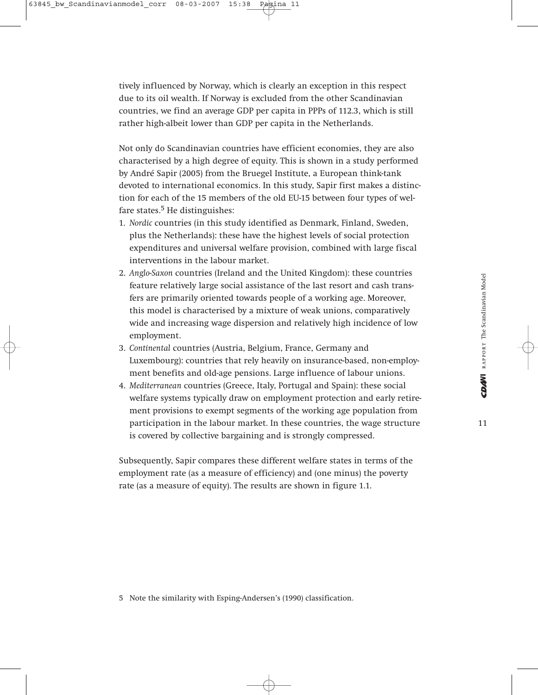tively influenced by Norway, which is clearly an exception in this respect due to its oil wealth. If Norway is excluded from the other Scandinavian countries, we find an average GDP per capita in PPPs of 112.3, which is still rather high-albeit lower than GDP per capita in the Netherlands.

Not only do Scandinavian countries have efficient economies, they are also characterised by a high degree of equity. This is shown in a study performed by André Sapir (2005) from the Bruegel Institute, a European think-tank devoted to international economics. In this study, Sapir first makes a distinction for each of the 15 members of the old EU-15 between four types of welfare states. $5$  He distinguishes:

- 1. *Nordic* countries (in this study identified as Denmark, Finland, Sweden, plus the Netherlands): these have the highest levels of social protection expenditures and universal welfare provision, combined with large fiscal interventions in the labour market.
- 2. *Anglo-Saxon* countries (Ireland and the United Kingdom): these countries feature relatively large social assistance of the last resort and cash transfers are primarily oriented towards people of a working age. Moreover, this model is characterised by a mixture of weak unions, comparatively wide and increasing wage dispersion and relatively high incidence of low employment.
- 3. *Continental* countries (Austria, Belgium, France, Germany and Luxembourg): countries that rely heavily on insurance-based, non-employment benefits and old-age pensions. Large influence of labour unions.
- 4. *Mediterranean* countries (Greece, Italy, Portugal and Spain): these social welfare systems typically draw on employment protection and early retirement provisions to exempt segments of the working age population from participation in the labour market. In these countries, the wage structure is covered by collective bargaining and is strongly compressed.

Subsequently, Sapir compares these different welfare states in terms of the employment rate (as a measure of efficiency) and (one minus) the poverty rate (as a measure of equity). The results are shown in figure 1.1.

5 Note the similarity with Esping-Andersen's (1990) classification.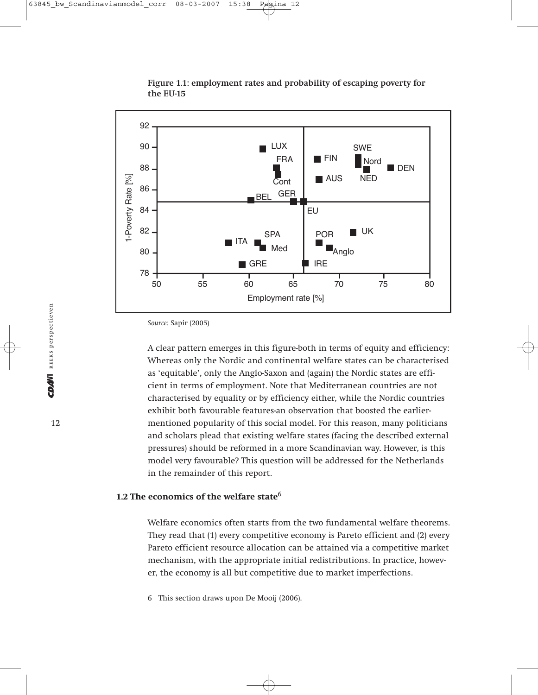

**Figure 1.1: employment rates and probability of escaping poverty for the EU-15**

A clear pattern emerges in this figure-both in terms of equity and efficiency: Whereas only the Nordic and continental welfare states can be characterised as 'equitable', only the Anglo-Saxon and (again) the Nordic states are efficient in terms of employment. Note that Mediterranean countries are not characterised by equality or by efficiency either, while the Nordic countries exhibit both favourable features-an observation that boosted the earliermentioned popularity of this social model. For this reason, many politicians and scholars plead that existing welfare states (facing the described external pressures) should be reformed in a more Scandinavian way. However, is this model very favourable? This question will be addressed for the Netherlands in the remainder of this report.

#### **1.2 The economics of the welfare state**<sup>6</sup>

Welfare economics often starts from the two fundamental welfare theorems. They read that (1) every competitive economy is Pareto efficient and (2) every Pareto efficient resource allocation can be attained via a competitive market mechanism, with the appropriate initial redistributions. In practice, however, the economy is all but competitive due to market imperfections.

6 This section draws upon De Mooij (2006).

*Source:* Sapir (2005)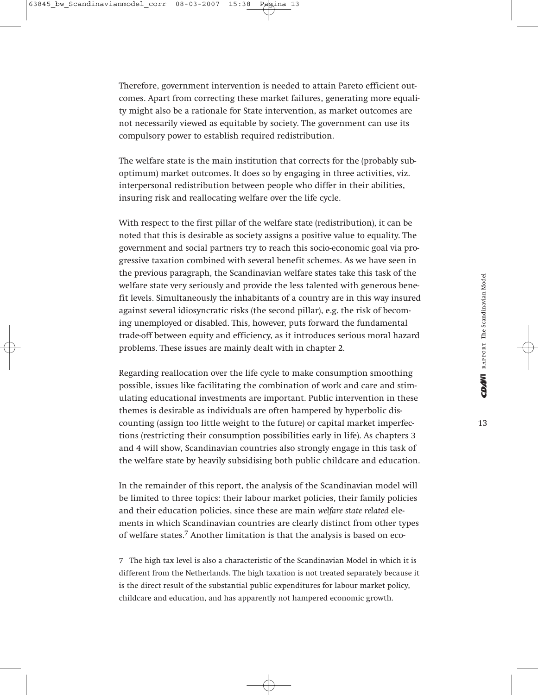Therefore, government intervention is needed to attain Pareto efficient outcomes. Apart from correcting these market failures, generating more equality might also be a rationale for State intervention, as market outcomes are not necessarily viewed as equitable by society. The government can use its compulsory power to establish required redistribution.

The welfare state is the main institution that corrects for the (probably suboptimum) market outcomes. It does so by engaging in three activities, viz. interpersonal redistribution between people who differ in their abilities, insuring risk and reallocating welfare over the life cycle.

With respect to the first pillar of the welfare state (redistribution), it can be noted that this is desirable as society assigns a positive value to equality. The government and social partners try to reach this socio-economic goal via progressive taxation combined with several benefit schemes. As we have seen in the previous paragraph, the Scandinavian welfare states take this task of the welfare state very seriously and provide the less talented with generous benefit levels. Simultaneously the inhabitants of a country are in this way insured against several idiosyncratic risks (the second pillar), e.g. the risk of becoming unemployed or disabled. This, however, puts forward the fundamental trade-off between equity and efficiency, as it introduces serious moral hazard problems. These issues are mainly dealt with in chapter 2.

Regarding reallocation over the life cycle to make consumption smoothing possible, issues like facilitating the combination of work and care and stimulating educational investments are important. Public intervention in these themes is desirable as individuals are often hampered by hyperbolic discounting (assign too little weight to the future) or capital market imperfections (restricting their consumption possibilities early in life). As chapters 3 and 4 will show, Scandinavian countries also strongly engage in this task of the welfare state by heavily subsidising both public childcare and education.

In the remainder of this report, the analysis of the Scandinavian model will be limited to three topics: their labour market policies, their family policies and their education policies, since these are main *welfare state related* elements in which Scandinavian countries are clearly distinct from other types of welfare states.7 Another limitation is that the analysis is based on eco-

7 The high tax level is also a characteristic of the Scandinavian Model in which it is different from the Netherlands. The high taxation is not treated separately because it is the direct result of the substantial public expenditures for labour market policy, childcare and education, and has apparently not hampered economic growth.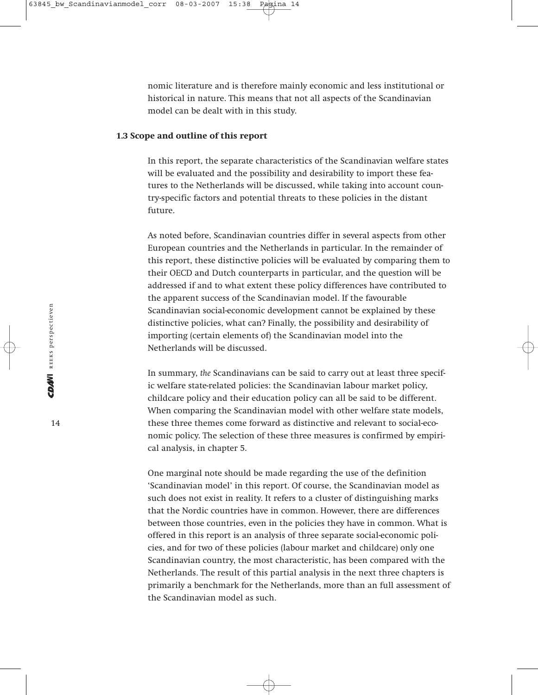nomic literature and is therefore mainly economic and less institutional or historical in nature. This means that not all aspects of the Scandinavian model can be dealt with in this study.

#### **1.3 Scope and outline of this report**

In this report, the separate characteristics of the Scandinavian welfare states will be evaluated and the possibility and desirability to import these features to the Netherlands will be discussed, while taking into account country-specific factors and potential threats to these policies in the distant future.

As noted before, Scandinavian countries differ in several aspects from other European countries and the Netherlands in particular. In the remainder of this report, these distinctive policies will be evaluated by comparing them to their OECD and Dutch counterparts in particular, and the question will be addressed if and to what extent these policy differences have contributed to the apparent success of the Scandinavian model. If the favourable Scandinavian social-economic development cannot be explained by these distinctive policies, what can? Finally, the possibility and desirability of importing (certain elements of) the Scandinavian model into the Netherlands will be discussed.

In summary, *the* Scandinavians can be said to carry out at least three specific welfare state-related policies: the Scandinavian labour market policy, childcare policy and their education policy can all be said to be different. When comparing the Scandinavian model with other welfare state models, these three themes come forward as distinctive and relevant to social-economic policy. The selection of these three measures is confirmed by empirical analysis, in chapter 5.

One marginal note should be made regarding the use of the definition 'Scandinavian model' in this report. Of course, the Scandinavian model as such does not exist in reality. It refers to a cluster of distinguishing marks that the Nordic countries have in common. However, there are differences between those countries, even in the policies they have in common. What is offered in this report is an analysis of three separate social-economic policies, and for two of these policies (labour market and childcare) only one Scandinavian country, the most characteristic, has been compared with the Netherlands. The result of this partial analysis in the next three chapters is primarily a benchmark for the Netherlands, more than an full assessment of the Scandinavian model as such.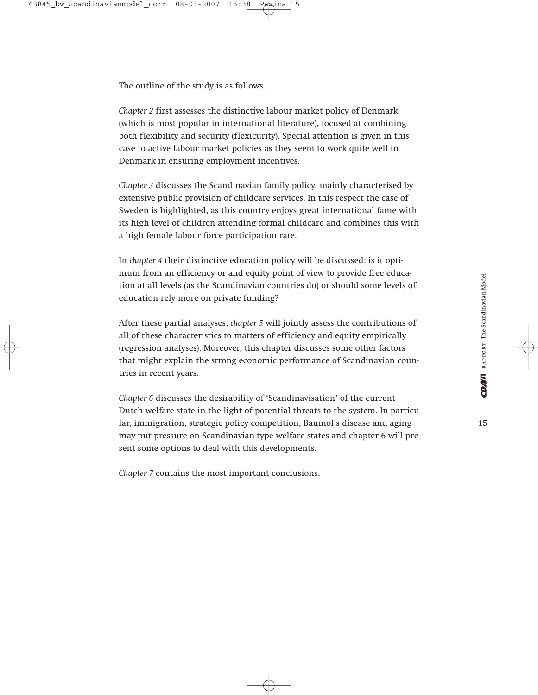The outline of the study is as follows.

*Chapter 2* first assesses the distinctive labour market policy of Denmark (which is most popular in international literature), focused at combining both flexibility and security (flexicurity). Special attention is given in this case to active labour market policies as they seem to work quite well in Denmark in ensuring employment incentives.

*Chapter 3* discusses the Scandinavian family policy, mainly characterised by extensive public provision of childcare services. In this respect the case of Sweden is highlighted, as this country enjoys great international fame with its high level of children attending formal childcare and combines this with a high female labour force participation rate.

In *chapter 4* their distinctive education policy will be discussed: is it optimum from an efficiency or and equity point of view to provide free education at all levels (as the Scandinavian countries do) or should some levels of education rely more on private funding?

After these partial analyses, *chapter 5* will jointly assess the contributions of all of these characteristics to matters of efficiency and equity empirically (regression analyses). Moreover, this chapter discusses some other factors that might explain the strong economic performance of Scandinavian countries in recent years.

*Chapter 6* discusses the desirability of 'Scandinavisation' of the current Dutch welfare state in the light of potential threats to the system. In particular, immigration, strategic policy competition, Baumol's disease and aging may put pressure on Scandinavian-type welfare states and chapter 6 will present some options to deal with this developments.

*Chapter 7* contains the most important conclusions.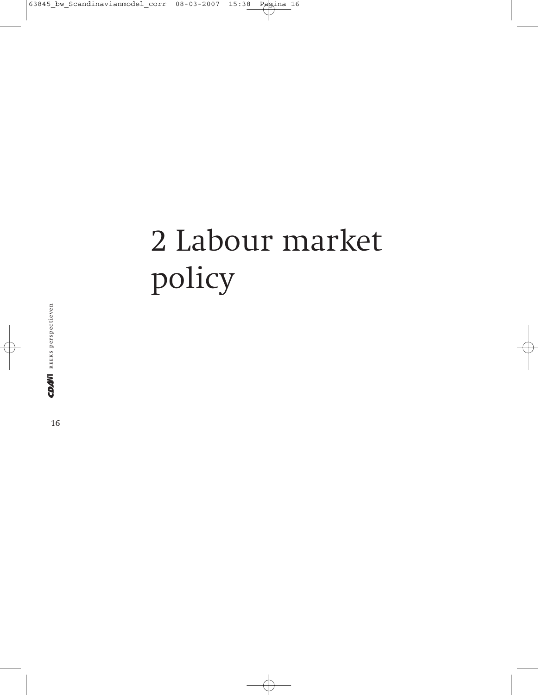# 2 Labour market policy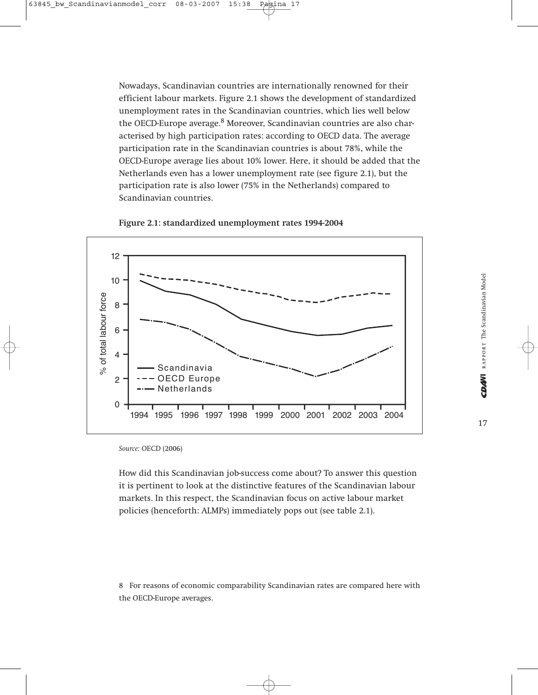Nowadays, Scandinavian countries are internationally renowned for their efficient labour markets. Figure 2.1 shows the development of standardized unemployment rates in the Scandinavian countries, which lies well below the OECD-Europe average.<sup>8</sup> Moreover, Scandinavian countries are also characterised by high participation rates: according to OECD data. The average participation rate in the Scandinavian countries is about 78%, while the OECD-Europe average lies about 10% lower. Here, it should be added that the Netherlands even has a lower unemployment rate (see figure 2.1), but the participation rate is also lower (75% in the Netherlands) compared to Scandinavian countries.





*Source:* OECD (2006)

How did this Scandinavian job-success come about? To answer this question it is pertinent to look at the distinctive features of the Scandinavian labour markets. In this respect, the Scandinavian focus on active labour market policies (henceforth: ALMPs) immediately pops out (see table 2.1).

8 For reasons of economic comparability Scandinavian rates are compared here with the OECD-Europe averages.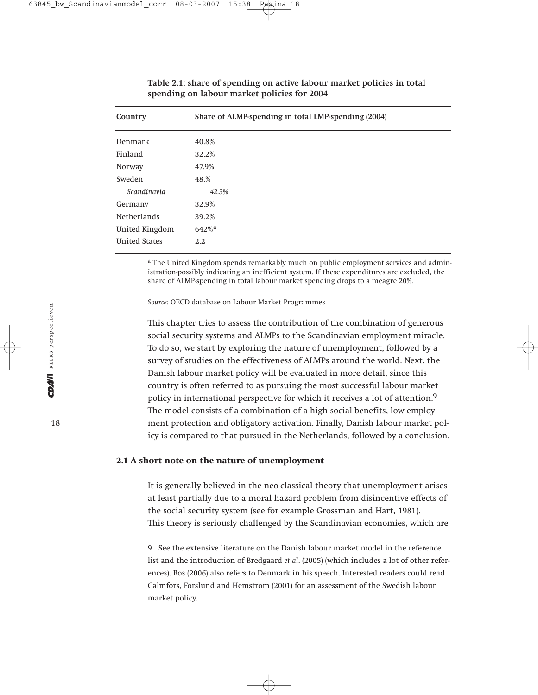| Country              | Share of ALMP-spending in total LMP-spending (2004) |
|----------------------|-----------------------------------------------------|
| Denmark              | 40.8%                                               |
| Finland              | 32.2%                                               |
| Norway               | 47.9%                                               |
| Sweden               | 48.%                                                |
| Scandinavia          | 42.3%                                               |
| Germany              | 32.9%                                               |
| <b>Netherlands</b>   | 39.2%                                               |
| United Kingdom       | $642%$ <sup>a</sup>                                 |
| <b>United States</b> | $2.2^{\circ}$                                       |

#### **Table 2.1: share of spending on active labour market policies in total spending on labour market policies for 2004**

<sup>a</sup> The United Kingdom spends remarkably much on public employment services and administration-possibly indicating an inefficient system. If these expenditures are excluded, the share of ALMP-spending in total labour market spending drops to a meagre 20%.

*Source:* OECD database on Labour Market Programmes

This chapter tries to assess the contribution of the combination of generous social security systems and ALMPs to the Scandinavian employment miracle. To do so, we start by exploring the nature of unemployment, followed by a survey of studies on the effectiveness of ALMPs around the world. Next, the Danish labour market policy will be evaluated in more detail, since this country is often referred to as pursuing the most successful labour market policy in international perspective for which it receives a lot of attention.<sup>9</sup> The model consists of a combination of a high social benefits, low employment protection and obligatory activation. Finally, Danish labour market policy is compared to that pursued in the Netherlands, followed by a conclusion.

#### **2.1 A short note on the nature of unemployment**

It is generally believed in the neo-classical theory that unemployment arises at least partially due to a moral hazard problem from disincentive effects of the social security system (see for example Grossman and Hart, 1981). This theory is seriously challenged by the Scandinavian economies, which are

9 See the extensive literature on the Danish labour market model in the reference list and the introduction of Bredgaard *et al*. (2005) (which includes a lot of other references). Bos (2006) also refers to Denmark in his speech. Interested readers could read Calmfors, Forslund and Hemstrom (2001) for an assessment of the Swedish labour market policy.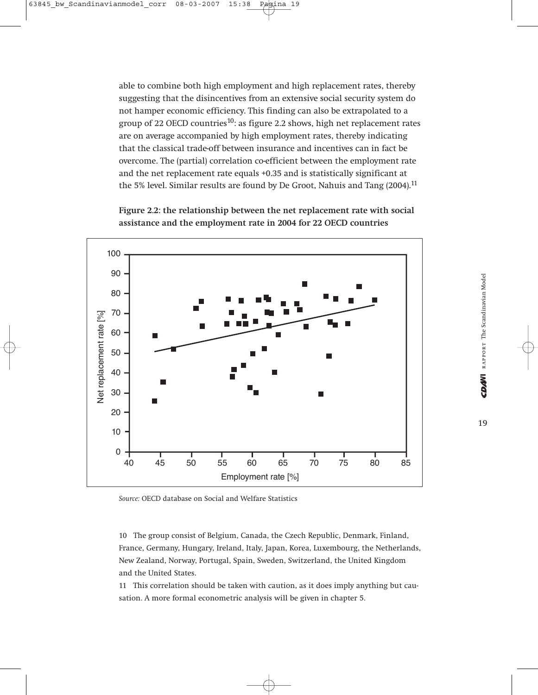able to combine both high employment and high replacement rates, thereby suggesting that the disincentives from an extensive social security system do not hamper economic efficiency. This finding can also be extrapolated to a group of 22 OECD countries<sup>10</sup>: as figure 2.2 shows, high net replacement rates are on average accompanied by high employment rates, thereby indicating that the classical trade-off between insurance and incentives can in fact be overcome. The (partial) correlation co-efficient between the employment rate and the net replacement rate equals +0.35 and is statistically significant at the 5% level. Similar results are found by De Groot, Nahuis and Tang (2004).<sup>11</sup>

**Figure 2.2: the relationship between the net replacement rate with social assistance and the employment rate in 2004 for 22 OECD countries**



*Source:* OECD database on Social and Welfare Statistics

10 The group consist of Belgium, Canada, the Czech Republic, Denmark, Finland, France, Germany, Hungary, Ireland, Italy, Japan, Korea, Luxembourg, the Netherlands, New Zealand, Norway, Portugal, Spain, Sweden, Switzerland, the United Kingdom and the United States.

11 This correlation should be taken with caution, as it does imply anything but causation. A more formal econometric analysis will be given in chapter 5.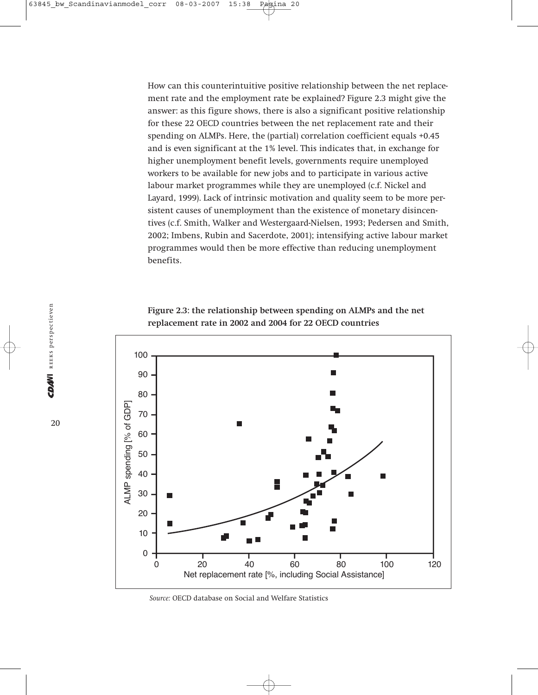How can this counterintuitive positive relationship between the net replacement rate and the employment rate be explained? Figure 2.3 might give the answer: as this figure shows, there is also a significant positive relationship for these 22 OECD countries between the net replacement rate and their spending on ALMPs. Here, the (partial) correlation coefficient equals +0.45 and is even significant at the 1% level. This indicates that, in exchange for higher unemployment benefit levels, governments require unemployed workers to be available for new jobs and to participate in various active labour market programmes while they are unemployed (c.f. Nickel and Layard, 1999). Lack of intrinsic motivation and quality seem to be more persistent causes of unemployment than the existence of monetary disincentives (c.f. Smith, Walker and Westergaard-Nielsen, 1993; Pedersen and Smith, 2002; Imbens, Rubin and Sacerdote, 2001); intensifying active labour market programmes would then be more effective than reducing unemployment benefits.





*Source:* OECD database on Social and Welfare Statistics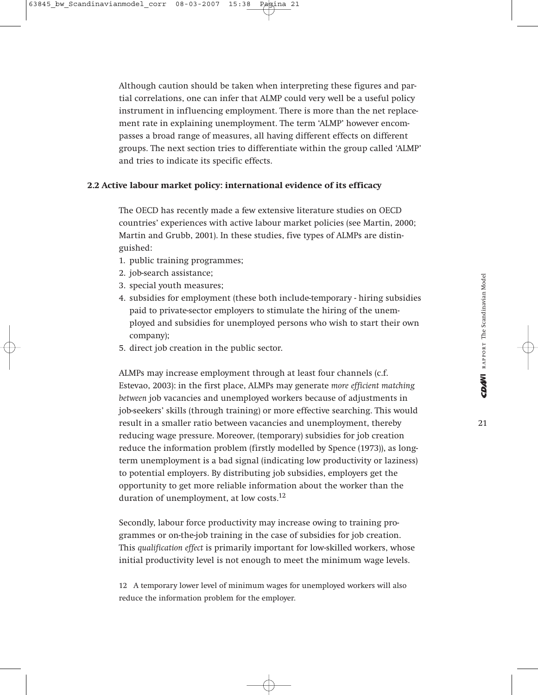Although caution should be taken when interpreting these figures and partial correlations, one can infer that ALMP could very well be a useful policy instrument in influencing employment. There is more than the net replacement rate in explaining unemployment. The term 'ALMP' however encompasses a broad range of measures, all having different effects on different groups. The next section tries to differentiate within the group called 'ALMP' and tries to indicate its specific effects.

#### **2.2 Active labour market policy: international evidence of its efficacy**

The OECD has recently made a few extensive literature studies on OECD countries' experiences with active labour market policies (see Martin, 2000; Martin and Grubb, 2001). In these studies, five types of ALMPs are distinguished:

- 1. public training programmes;
- 2. job-search assistance;
- 3. special youth measures;
- 4. subsidies for employment (these both include-temporary hiring subsidies paid to private-sector employers to stimulate the hiring of the unemployed and subsidies for unemployed persons who wish to start their own company);
- 5. direct job creation in the public sector.

ALMPs may increase employment through at least four channels (c.f. Estevao, 2003): in the first place, ALMPs may generate *more efficient matching between* job vacancies and unemployed workers because of adjustments in job-seekers' skills (through training) or more effective searching. This would result in a smaller ratio between vacancies and unemployment, thereby reducing wage pressure. Moreover, (temporary) subsidies for job creation reduce the information problem (firstly modelled by Spence (1973)), as longterm unemployment is a bad signal (indicating low productivity or laziness) to potential employers. By distributing job subsidies, employers get the opportunity to get more reliable information about the worker than the duration of unemployment, at low costs.<sup>12</sup>

Secondly, labour force productivity may increase owing to training programmes or on-the-job training in the case of subsidies for job creation. This *qualification effect* is primarily important for low-skilled workers, whose initial productivity level is not enough to meet the minimum wage levels.

12 A temporary lower level of minimum wages for unemployed workers will also reduce the information problem for the employer.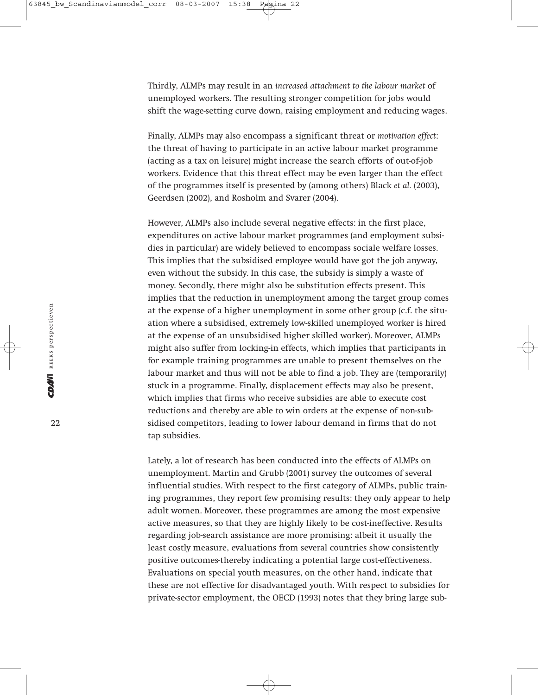Thirdly, ALMPs may result in an *increased attachment to the labour market* of unemployed workers. The resulting stronger competition for jobs would shift the wage-setting curve down, raising employment and reducing wages.

Finally, ALMPs may also encompass a significant threat or *motivation effect*: the threat of having to participate in an active labour market programme (acting as a tax on leisure) might increase the search efforts of out-of-job workers. Evidence that this threat effect may be even larger than the effect of the programmes itself is presented by (among others) Black *et al.* (2003), Geerdsen (2002), and Rosholm and Svarer (2004).

However, ALMPs also include several negative effects: in the first place, expenditures on active labour market programmes (and employment subsidies in particular) are widely believed to encompass sociale welfare losses. This implies that the subsidised employee would have got the job anyway, even without the subsidy. In this case, the subsidy is simply a waste of money. Secondly, there might also be substitution effects present. This implies that the reduction in unemployment among the target group comes at the expense of a higher unemployment in some other group (c.f. the situation where a subsidised, extremely low-skilled unemployed worker is hired at the expense of an unsubsidised higher skilled worker). Moreover, ALMPs might also suffer from locking-in effects, which implies that participants in for example training programmes are unable to present themselves on the labour market and thus will not be able to find a job. They are (temporarily) stuck in a programme. Finally, displacement effects may also be present, which implies that firms who receive subsidies are able to execute cost reductions and thereby are able to win orders at the expense of non-subsidised competitors, leading to lower labour demand in firms that do not tap subsidies.

Lately, a lot of research has been conducted into the effects of ALMPs on unemployment. Martin and Grubb (2001) survey the outcomes of several influential studies. With respect to the first category of ALMPs, public training programmes, they report few promising results: they only appear to help adult women. Moreover, these programmes are among the most expensive active measures, so that they are highly likely to be cost-ineffective. Results regarding job-search assistance are more promising: albeit it usually the least costly measure, evaluations from several countries show consistently positive outcomes-thereby indicating a potential large cost-effectiveness. Evaluations on special youth measures, on the other hand, indicate that these are not effective for disadvantaged youth. With respect to subsidies for private-sector employment, the OECD (1993) notes that they bring large sub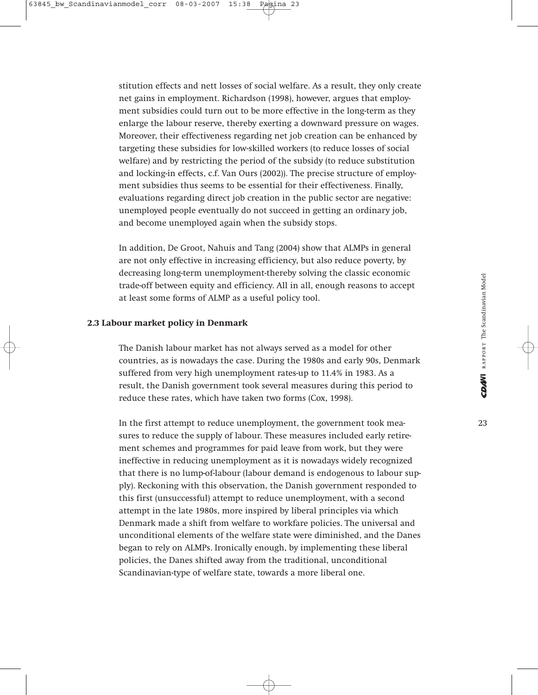stitution effects and nett losses of social welfare. As a result, they only create net gains in employment. Richardson (1998), however, argues that employment subsidies could turn out to be more effective in the long-term as they enlarge the labour reserve, thereby exerting a downward pressure on wages. Moreover, their effectiveness regarding net job creation can be enhanced by targeting these subsidies for low-skilled workers (to reduce losses of social welfare) and by restricting the period of the subsidy (to reduce substitution and locking-in effects, c.f. Van Ours (2002)). The precise structure of employment subsidies thus seems to be essential for their effectiveness. Finally, evaluations regarding direct job creation in the public sector are negative: unemployed people eventually do not succeed in getting an ordinary job, and become unemployed again when the subsidy stops.

In addition, De Groot, Nahuis and Tang (2004) show that ALMPs in general are not only effective in increasing efficiency, but also reduce poverty, by decreasing long-term unemployment-thereby solving the classic economic trade-off between equity and efficiency. All in all, enough reasons to accept at least some forms of ALMP as a useful policy tool.

#### **2.3 Labour market policy in Denmark**

The Danish labour market has not always served as a model for other countries, as is nowadays the case. During the 1980s and early 90s, Denmark suffered from very high unemployment rates-up to 11.4% in 1983. As a result, the Danish government took several measures during this period to reduce these rates, which have taken two forms (Cox, 1998).

In the first attempt to reduce unemployment, the government took measures to reduce the supply of labour. These measures included early retirement schemes and programmes for paid leave from work, but they were ineffective in reducing unemployment as it is nowadays widely recognized that there is no lump-of-labour (labour demand is endogenous to labour supply). Reckoning with this observation, the Danish government responded to this first (unsuccessful) attempt to reduce unemployment, with a second attempt in the late 1980s, more inspired by liberal principles via which Denmark made a shift from welfare to workfare policies. The universal and unconditional elements of the welfare state were diminished, and the Danes began to rely on ALMPs. Ironically enough, by implementing these liberal policies, the Danes shifted away from the traditional, unconditional Scandinavian-type of welfare state, towards a more liberal one.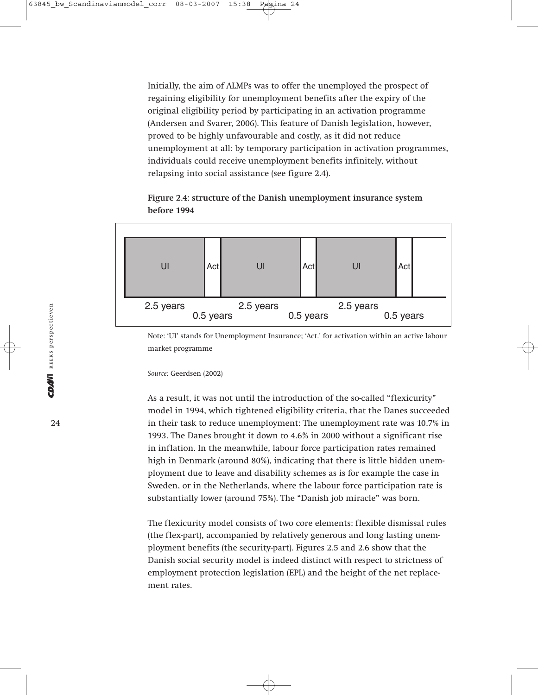Initially, the aim of ALMPs was to offer the unemployed the prospect of regaining eligibility for unemployment benefits after the expiry of the original eligibility period by participating in an activation programme (Andersen and Svarer, 2006). This feature of Danish legislation, however, proved to be highly unfavourable and costly, as it did not reduce unemployment at all: by temporary participation in activation programmes, individuals could receive unemployment benefits infinitely, without relapsing into social assistance (see figure 2.4).

#### **Figure 2.4: structure of the Danish unemployment insurance system before 1994**



Note: 'UI' stands for Unemployment Insurance; 'Act.' for activation within an active labour market programme

#### *Source:* Geerdsen (2002)

As a result, it was not until the introduction of the so-called "flexicurity" model in 1994, which tightened eligibility criteria, that the Danes succeeded in their task to reduce unemployment: The unemployment rate was 10.7% in 1993. The Danes brought it down to 4.6% in 2000 without a significant rise in inflation. In the meanwhile, labour force participation rates remained high in Denmark (around 80%), indicating that there is little hidden unemployment due to leave and disability schemes as is for example the case in Sweden, or in the Netherlands, where the labour force participation rate is substantially lower (around 75%). The "Danish job miracle" was born.

The flexicurity model consists of two core elements: flexible dismissal rules (the flex-part), accompanied by relatively generous and long lasting unemployment benefits (the security-part). Figures 2.5 and 2.6 show that the Danish social security model is indeed distinct with respect to strictness of employment protection legislation (EPL) and the height of the net replacement rates.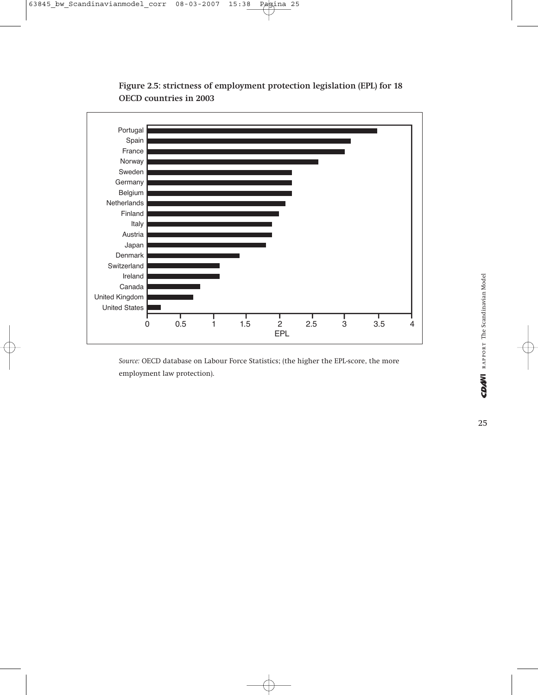

**Figure 2.5: strictness of employment protection legislation (EPL) for 18 OECD countries in 2003**

*Source:* OECD database on Labour Force Statistics; (the higher the EPL-score, the more employment law protection).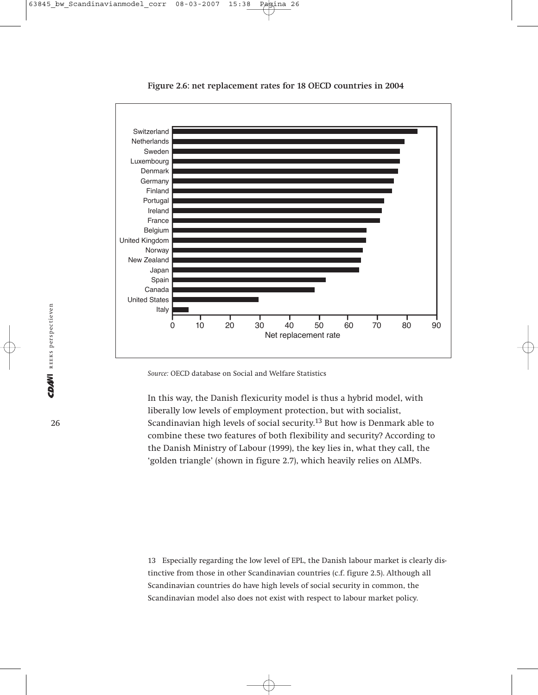

**Figure 2.6: net replacement rates for 18 OECD countries in 2004**

*Source:* OECD database on Social and Welfare Statistics

In this way, the Danish flexicurity model is thus a hybrid model, with liberally low levels of employment protection, but with socialist, Scandinavian high levels of social security.<sup>13</sup> But how is Denmark able to combine these two features of both flexibility and security? According to the Danish Ministry of Labour (1999), the key lies in, what they call, the 'golden triangle' (shown in figure 2.7), which heavily relies on ALMPs.

13 Especially regarding the low level of EPL, the Danish labour market is clearly distinctive from those in other Scandinavian countries (c.f. figure 2.5). Although all Scandinavian countries do have high levels of social security in common, the Scandinavian model also does not exist with respect to labour market policy.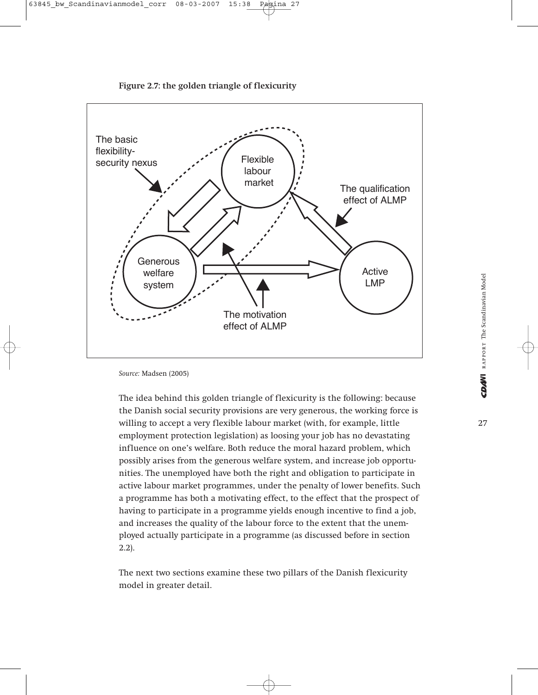

**Figure 2.7: the golden triangle of flexicurity**

*Source:* Madsen (2005)

The idea behind this golden triangle of flexicurity is the following: because the Danish social security provisions are very generous, the working force is willing to accept a very flexible labour market (with, for example, little employment protection legislation) as loosing your job has no devastating influence on one's welfare. Both reduce the moral hazard problem, which possibly arises from the generous welfare system, and increase job opportunities. The unemployed have both the right and obligation to participate in active labour market programmes, under the penalty of lower benefits. Such a programme has both a motivating effect, to the effect that the prospect of having to participate in a programme yields enough incentive to find a job, and increases the quality of the labour force to the extent that the unemployed actually participate in a programme (as discussed before in section 2.2).

The next two sections examine these two pillars of the Danish flexicurity model in greater detail.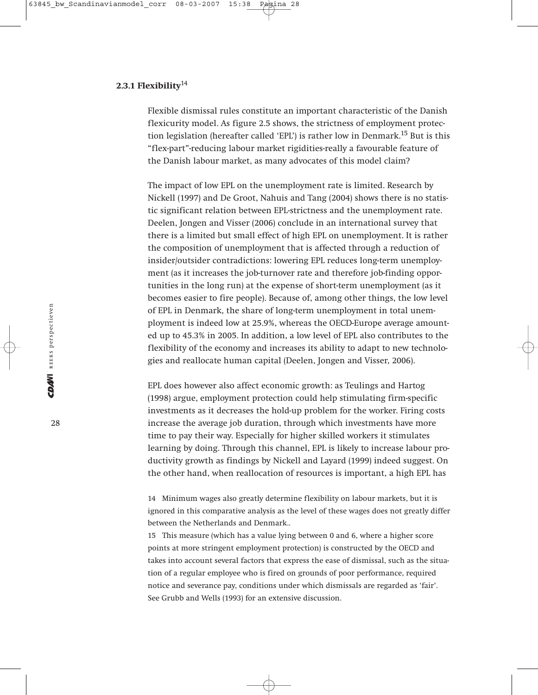#### **2.3.1 Flexibility**<sup>14</sup>

Flexible dismissal rules constitute an important characteristic of the Danish flexicurity model. As figure 2.5 shows, the strictness of employment protection legislation (hereafter called 'EPL') is rather low in Denmark.15 But is this "flex-part"-reducing labour market rigidities-really a favourable feature of the Danish labour market, as many advocates of this model claim?

The impact of low EPL on the unemployment rate is limited. Research by Nickell (1997) and De Groot, Nahuis and Tang (2004) shows there is no statistic significant relation between EPL-strictness and the unemployment rate. Deelen, Jongen and Visser (2006) conclude in an international survey that there is a limited but small effect of high EPL on unemployment. It is rather the composition of unemployment that is affected through a reduction of insider/outsider contradictions: lowering EPL reduces long-term unemployment (as it increases the job-turnover rate and therefore job-finding opportunities in the long run) at the expense of short-term unemployment (as it becomes easier to fire people). Because of, among other things, the low level of EPL in Denmark, the share of long-term unemployment in total unemployment is indeed low at 25.9%, whereas the OECD-Europe average amounted up to 45.3% in 2005. In addition, a low level of EPL also contributes to the flexibility of the economy and increases its ability to adapt to new technologies and reallocate human capital (Deelen, Jongen and Visser, 2006).

EPL does however also affect economic growth: as Teulings and Hartog (1998) argue, employment protection could help stimulating firm-specific investments as it decreases the hold-up problem for the worker. Firing costs increase the average job duration, through which investments have more time to pay their way. Especially for higher skilled workers it stimulates learning by doing. Through this channel, EPL is likely to increase labour productivity growth as findings by Nickell and Layard (1999) indeed suggest. On the other hand, when reallocation of resources is important, a high EPL has

14 Minimum wages also greatly determine flexibility on labour markets, but it is ignored in this comparative analysis as the level of these wages does not greatly differ between the Netherlands and Denmark..

15 This measure (which has a value lying between 0 and 6, where a higher score points at more stringent employment protection) is constructed by the OECD and takes into account several factors that express the ease of dismissal, such as the situation of a regular employee who is fired on grounds of poor performance, required notice and severance pay, conditions under which dismissals are regarded as 'fair'. See Grubb and Wells (1993) for an extensive discussion.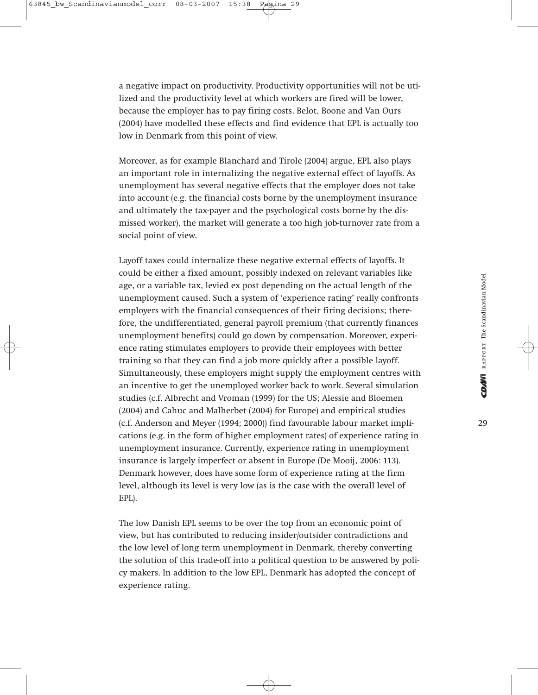a negative impact on productivity. Productivity opportunities will not be utilized and the productivity level at which workers are fired will be lower, because the employer has to pay firing costs. Belot, Boone and Van Ours (2004) have modelled these effects and find evidence that EPL is actually too low in Denmark from this point of view.

Moreover, as for example Blanchard and Tirole (2004) argue, EPL also plays an important role in internalizing the negative external effect of layoffs. As unemployment has several negative effects that the employer does not take into account (e.g. the financial costs borne by the unemployment insurance and ultimately the tax-payer and the psychological costs borne by the dismissed worker), the market will generate a too high job-turnover rate from a social point of view.

Layoff taxes could internalize these negative external effects of layoffs. It could be either a fixed amount, possibly indexed on relevant variables like age, or a variable tax, levied ex post depending on the actual length of the unemployment caused. Such a system of 'experience rating' really confronts employers with the financial consequences of their firing decisions; therefore, the undifferentiated, general payroll premium (that currently finances unemployment benefits) could go down by compensation. Moreover, experience rating stimulates employers to provide their employees with better training so that they can find a job more quickly after a possible layoff. Simultaneously, these employers might supply the employment centres with an incentive to get the unemployed worker back to work. Several simulation studies (c.f. Albrecht and Vroman (1999) for the US; Alessie and Bloemen (2004) and Cahuc and Malherbet (2004) for Europe) and empirical studies (c.f. Anderson and Meyer (1994; 2000)) find favourable labour market implications (e.g. in the form of higher employment rates) of experience rating in unemployment insurance. Currently, experience rating in unemployment insurance is largely imperfect or absent in Europe (De Mooij, 2006: 113). Denmark however, does have some form of experience rating at the firm level, although its level is very low (as is the case with the overall level of EPL).

The low Danish EPL seems to be over the top from an economic point of view, but has contributed to reducing insider/outsider contradictions and the low level of long term unemployment in Denmark, thereby converting the solution of this trade-off into a political question to be answered by policy makers. In addition to the low EPL, Denmark has adopted the concept of experience rating.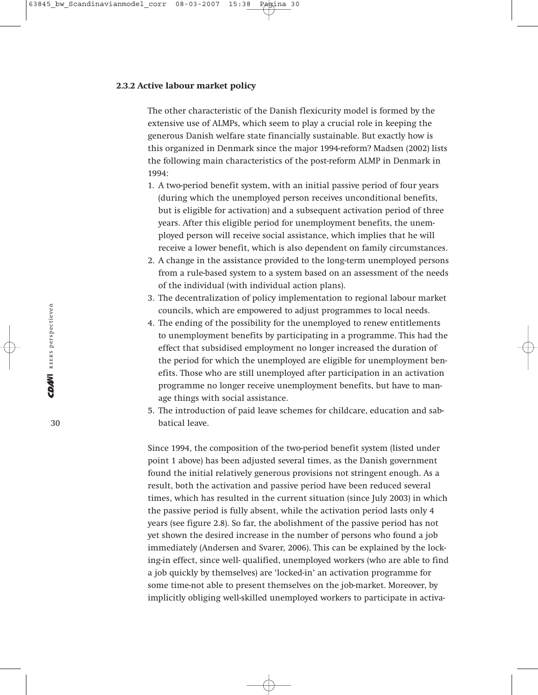#### **2.3.2 Active labour market policy**

The other characteristic of the Danish flexicurity model is formed by the extensive use of ALMPs, which seem to play a crucial role in keeping the generous Danish welfare state financially sustainable. But exactly how is this organized in Denmark since the major 1994-reform? Madsen (2002) lists the following main characteristics of the post-reform ALMP in Denmark in 1994:

- 1. A two-period benefit system, with an initial passive period of four years (during which the unemployed person receives unconditional benefits, but is eligible for activation) and a subsequent activation period of three years. After this eligible period for unemployment benefits, the unemployed person will receive social assistance, which implies that he will receive a lower benefit, which is also dependent on family circumstances.
- 2. A change in the assistance provided to the long-term unemployed persons from a rule-based system to a system based on an assessment of the needs of the individual (with individual action plans).
- 3. The decentralization of policy implementation to regional labour market councils, which are empowered to adjust programmes to local needs.
- 4. The ending of the possibility for the unemployed to renew entitlements to unemployment benefits by participating in a programme. This had the effect that subsidised employment no longer increased the duration of the period for which the unemployed are eligible for unemployment benefits. Those who are still unemployed after participation in an activation programme no longer receive unemployment benefits, but have to manage things with social assistance.
- 5. The introduction of paid leave schemes for childcare, education and sabbatical leave.

Since 1994, the composition of the two-period benefit system (listed under point 1 above) has been adjusted several times, as the Danish government found the initial relatively generous provisions not stringent enough. As a result, both the activation and passive period have been reduced several times, which has resulted in the current situation (since July 2003) in which the passive period is fully absent, while the activation period lasts only 4 years (see figure 2.8). So far, the abolishment of the passive period has not yet shown the desired increase in the number of persons who found a job immediately (Andersen and Svarer, 2006). This can be explained by the locking-in effect, since well- qualified, unemployed workers (who are able to find a job quickly by themselves) are 'locked-in' an activation programme for some time-not able to present themselves on the job-market. Moreover, by implicitly obliging well-skilled unemployed workers to participate in activa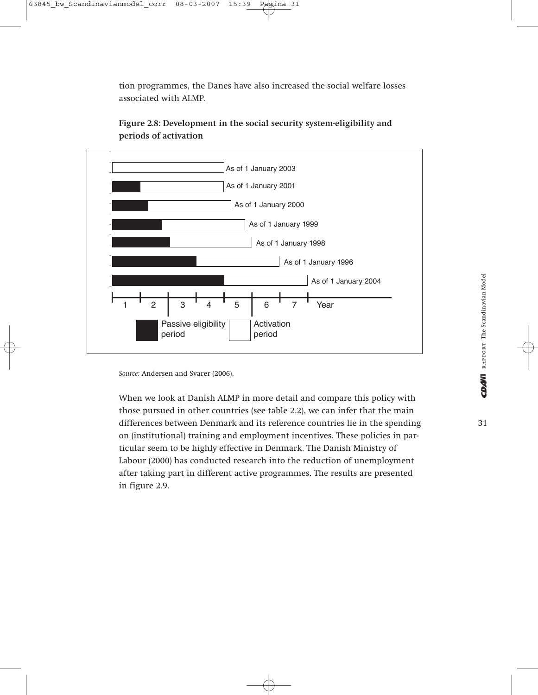tion programmes, the Danes have also increased the social welfare losses associated with ALMP.



**Figure 2.8: Development in the social security system-eligibility and periods of activation**

*Source:* Andersen and Svarer (2006).

When we look at Danish ALMP in more detail and compare this policy with those pursued in other countries (see table 2.2), we can infer that the main differences between Denmark and its reference countries lie in the spending on (institutional) training and employment incentives. These policies in particular seem to be highly effective in Denmark. The Danish Ministry of Labour (2000) has conducted research into the reduction of unemployment after taking part in different active programmes. The results are presented in figure 2.9.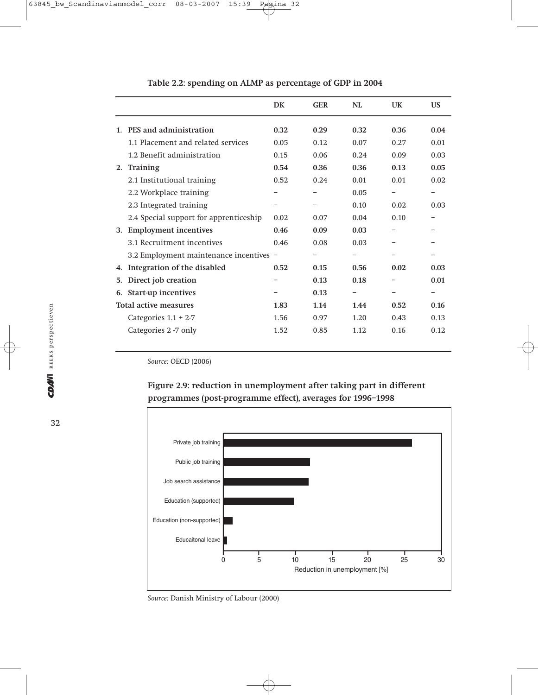|         |                                         | DK   | <b>GER</b> | NL   | UK   | US   |
|---------|-----------------------------------------|------|------------|------|------|------|
| $1_{-}$ | PES and administration                  | 0.32 | 0.29       | 0.32 | 0.36 | 0.04 |
|         | 1.1 Placement and related services      | 0.05 | 0.12       | 0.07 | 0.27 | 0.01 |
|         | 1.2 Benefit administration              | 0.15 | 0.06       | 0.24 | 0.09 | 0.03 |
| 2.      | Training                                | 0.54 | 0.36       | 0.36 | 0.13 | 0.05 |
|         | 2.1 Institutional training              | 0.52 | 0.24       | 0.01 | 0.01 | 0.02 |
|         | 2.2 Workplace training                  |      |            | 0.05 |      |      |
|         | 2.3 Integrated training                 |      |            | 0.10 | 0.02 | 0.03 |
|         | 2.4 Special support for apprenticeship  | 0.02 | 0.07       | 0.04 | 0.10 |      |
| 3.      | <b>Employment incentives</b>            | 0.46 | 0.09       | 0.03 |      |      |
|         | 3.1 Recruitment incentives              | 0.46 | 0.08       | 0.03 |      |      |
|         | 3.2 Employment maintenance incentives - |      |            |      |      |      |
| 4.      | Integration of the disabled             | 0.52 | 0.15       | 0.56 | 0.02 | 0.03 |
| 5.      | Direct job creation                     |      | 0.13       | 0.18 |      | 0.01 |
| 6.      | Start-up incentives                     |      | 0.13       | -    |      |      |
|         | Total active measures                   | 1.83 | 1.14       | 1.44 | 0.52 | 0.16 |
|         | Categories $1.1 + 2.7$                  | 1.56 | 0.97       | 1.20 | 0.43 | 0.13 |
|         | Categories 2 -7 only                    | 1.52 | 0.85       | 1.12 | 0.16 | 0.12 |
|         |                                         |      |            |      |      |      |

#### **Table 2.2: spending on ALMP as percentage of GDP in 2004**

*Source:* OECD (2006)





*Source:* Danish Ministry of Labour (2000)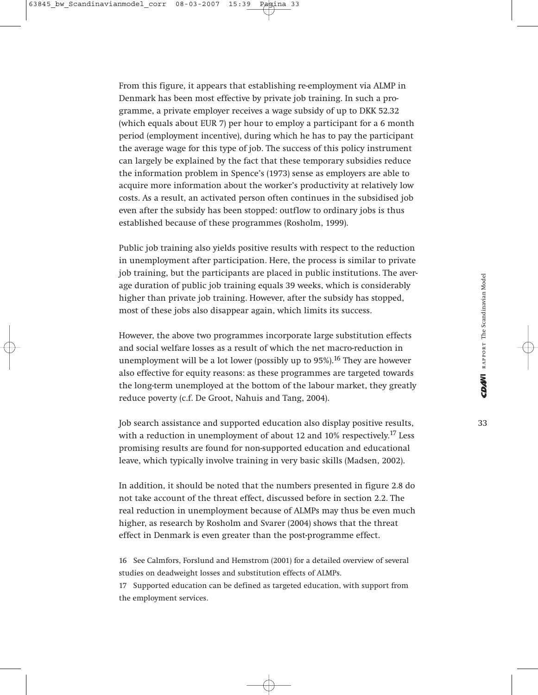From this figure, it appears that establishing re-employment via ALMP in Denmark has been most effective by private job training. In such a programme, a private employer receives a wage subsidy of up to DKK 52.32 (which equals about EUR 7) per hour to employ a participant for a 6 month period (employment incentive), during which he has to pay the participant the average wage for this type of job. The success of this policy instrument can largely be explained by the fact that these temporary subsidies reduce the information problem in Spence's (1973) sense as employers are able to acquire more information about the worker's productivity at relatively low costs. As a result, an activated person often continues in the subsidised job even after the subsidy has been stopped: outflow to ordinary jobs is thus established because of these programmes (Rosholm, 1999).

Public job training also yields positive results with respect to the reduction in unemployment after participation. Here, the process is similar to private job training, but the participants are placed in public institutions. The average duration of public job training equals 39 weeks, which is considerably higher than private job training. However, after the subsidy has stopped, most of these jobs also disappear again, which limits its success.

However, the above two programmes incorporate large substitution effects and social welfare losses as a result of which the net macro-reduction in unemployment will be a lot lower (possibly up to  $95\%$ ).<sup>16</sup> They are however also effective for equity reasons: as these programmes are targeted towards the long-term unemployed at the bottom of the labour market, they greatly reduce poverty (c.f. De Groot, Nahuis and Tang, 2004).

Job search assistance and supported education also display positive results, with a reduction in unemployment of about 12 and 10% respectively.<sup>17</sup> Less promising results are found for non-supported education and educational leave, which typically involve training in very basic skills (Madsen, 2002).

In addition, it should be noted that the numbers presented in figure 2.8 do not take account of the threat effect, discussed before in section 2.2. The real reduction in unemployment because of ALMPs may thus be even much higher, as research by Rosholm and Svarer (2004) shows that the threat effect in Denmark is even greater than the post-programme effect.

16 See Calmfors, Forslund and Hemstrom (2001) for a detailed overview of several studies on deadweight losses and substitution effects of ALMPs.

17 Supported education can be defined as targeted education, with support from the employment services.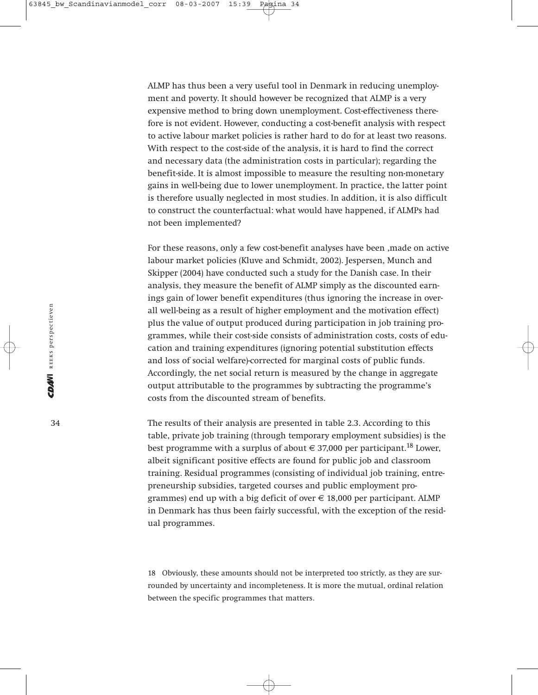ALMP has thus been a very useful tool in Denmark in reducing unemployment and poverty. It should however be recognized that ALMP is a very expensive method to bring down unemployment. Cost-effectiveness therefore is not evident. However, conducting a cost-benefit analysis with respect to active labour market policies is rather hard to do for at least two reasons. With respect to the cost-side of the analysis, it is hard to find the correct and necessary data (the administration costs in particular); regarding the benefit-side. It is almost impossible to measure the resulting non-monetary gains in well-being due to lower unemployment. In practice, the latter point is therefore usually neglected in most studies. In addition, it is also difficult to construct the counterfactual: what would have happened, if ALMPs had not been implemented?

For these reasons, only a few cost-benefit analyses have been ,made on active labour market policies (Kluve and Schmidt, 2002). Jespersen, Munch and Skipper (2004) have conducted such a study for the Danish case. In their analysis, they measure the benefit of ALMP simply as the discounted earnings gain of lower benefit expenditures (thus ignoring the increase in overall well-being as a result of higher employment and the motivation effect) plus the value of output produced during participation in job training programmes, while their cost-side consists of administration costs, costs of education and training expenditures (ignoring potential substitution effects and loss of social welfare)-corrected for marginal costs of public funds. Accordingly, the net social return is measured by the change in aggregate output attributable to the programmes by subtracting the programme's costs from the discounted stream of benefits.

The results of their analysis are presented in table 2.3. According to this table, private job training (through temporary employment subsidies) is the best programme with a surplus of about  $\in$  37,000 per participant.<sup>18</sup> Lower, albeit significant positive effects are found for public job and classroom training. Residual programmes (consisting of individual job training, entrepreneurship subsidies, targeted courses and public employment programmes) end up with a big deficit of over  $\in$  18,000 per participant. ALMP in Denmark has thus been fairly successful, with the exception of the residual programmes.

18 Obviously, these amounts should not be interpreted too strictly, as they are surrounded by uncertainty and incompleteness. It is more the mutual, ordinal relation between the specific programmes that matters.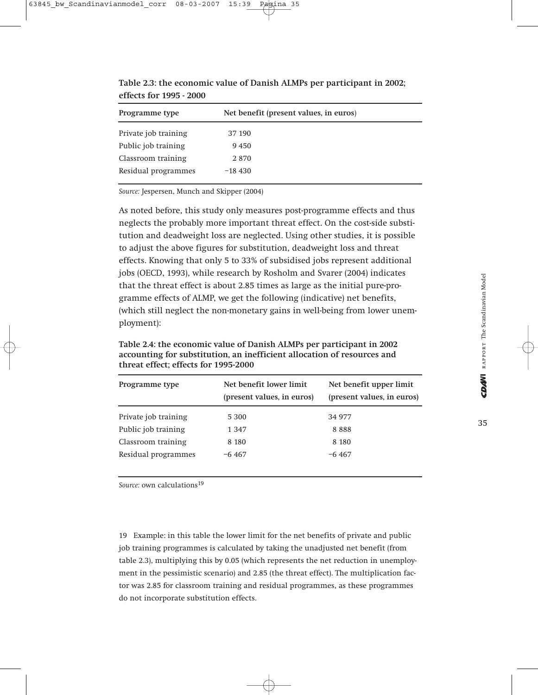| Programme type       |          | Net benefit (present values, in euros) |
|----------------------|----------|----------------------------------------|
| Private job training | 37 190   |                                        |
| Public job training  | 9450     |                                        |
| Classroom training   | 2870     |                                        |
| Residual programmes  | $-18430$ |                                        |

**Table 2.3: the economic value of Danish ALMPs per participant in 2002; effects for 1995 - 2000**

*Source:* Jespersen, Munch and Skipper (2004)

As noted before, this study only measures post-programme effects and thus neglects the probably more important threat effect. On the cost-side substitution and deadweight loss are neglected. Using other studies, it is possible to adjust the above figures for substitution, deadweight loss and threat effects. Knowing that only 5 to 33% of subsidised jobs represent additional jobs (OECD, 1993), while research by Rosholm and Svarer (2004) indicates that the threat effect is about 2.85 times as large as the initial pure-programme effects of ALMP, we get the following (indicative) net benefits, (which still neglect the non-monetary gains in well-being from lower unemployment):

| Programme type       | Net benefit lower limit<br>(present values, in euros) | Net benefit upper limit<br>(present values, in euros) |
|----------------------|-------------------------------------------------------|-------------------------------------------------------|
| Private job training | 5 300                                                 | 34 977                                                |
| Public job training  | 1 3 4 7                                               | 8888                                                  |
| Classroom training   | 8 1 8 0                                               | 8 1 8 0                                               |
| Residual programmes  | $-6467$                                               | $-6467$                                               |

**Table 2.4: the economic value of Danish ALMPs per participant in 2002 accounting for substitution, an inefficient allocation of resources and threat effect; effects for 1995-2000**

*Source:* own calculations<sup>19</sup>

19 Example: in this table the lower limit for the net benefits of private and public job training programmes is calculated by taking the unadjusted net benefit (from table 2.3), multiplying this by 0.05 (which represents the net reduction in unemployment in the pessimistic scenario) and 2.85 (the threat effect). The multiplication factor was 2.85 for classroom training and residual programmes, as these programmes do not incorporate substitution effects.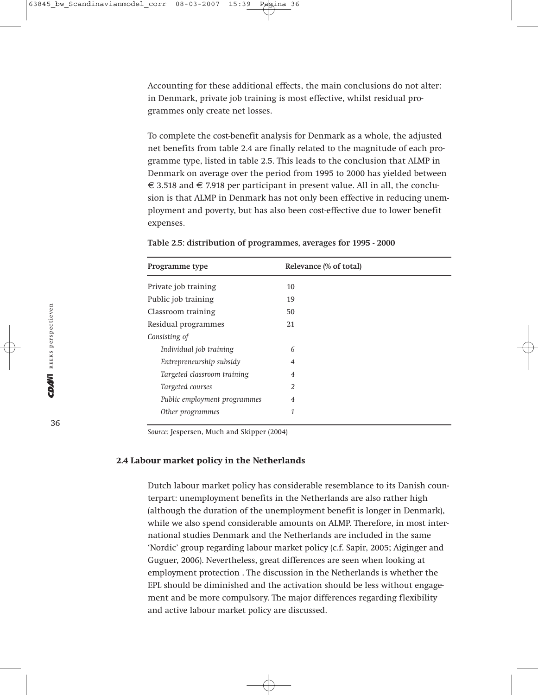Accounting for these additional effects, the main conclusions do not alter: in Denmark, private job training is most effective, whilst residual programmes only create net losses.

To complete the cost-benefit analysis for Denmark as a whole, the adjusted net benefits from table 2.4 are finally related to the magnitude of each programme type, listed in table 2.5. This leads to the conclusion that ALMP in Denmark on average over the period from 1995 to 2000 has yielded between € 3.518 and € 7.918 per participant in present value. All in all, the conclusion is that ALMP in Denmark has not only been effective in reducing unemployment and poverty, but has also been cost-effective due to lower benefit expenses.

|  | Table 2.5: distribution of programmes, averages for 1995 - 2000 |  |
|--|-----------------------------------------------------------------|--|
|  |                                                                 |  |

| Programme type               | Relevance (% of total) |
|------------------------------|------------------------|
| Private job training         | 10                     |
| Public job training          | 19                     |
| Classroom training           | 50                     |
| Residual programmes          | 21                     |
| Consisting of                |                        |
| Individual job training      | 6                      |
| Entrepreneurship subsidy     | $\overline{4}$         |
| Targeted classroom training  | $\overline{4}$         |
| Targeted courses             | $\overline{2}$         |
| Public employment programmes | $\overline{4}$         |
| Other programmes             | 1                      |

*Source:* Jespersen, Much and Skipper (2004)

#### **2.4 Labour market policy in the Netherlands**

Dutch labour market policy has considerable resemblance to its Danish counterpart: unemployment benefits in the Netherlands are also rather high (although the duration of the unemployment benefit is longer in Denmark), while we also spend considerable amounts on ALMP. Therefore, in most international studies Denmark and the Netherlands are included in the same 'Nordic' group regarding labour market policy (c.f. Sapir, 2005; Aiginger and Guguer, 2006). Nevertheless, great differences are seen when looking at employment protection . The discussion in the Netherlands is whether the EPL should be diminished and the activation should be less without engagement and be more compulsory. The major differences regarding flexibility and active labour market policy are discussed.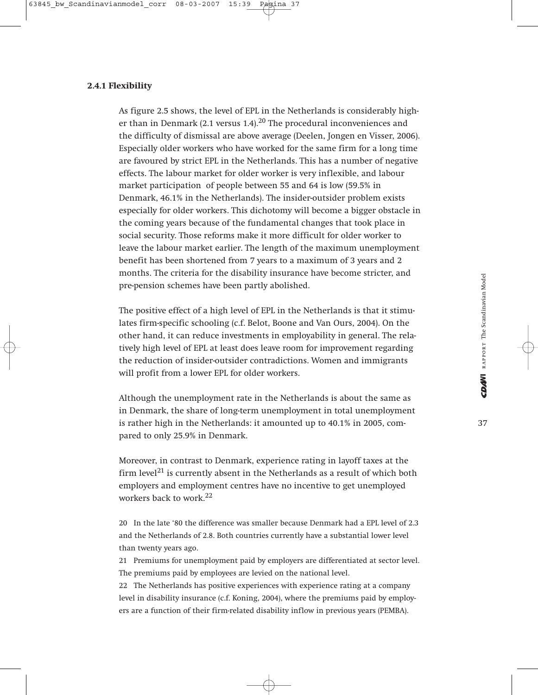# **2.4.1 Flexibility**

As figure 2.5 shows, the level of EPL in the Netherlands is considerably higher than in Denmark (2.1 versus 1.4).<sup>20</sup> The procedural inconveniences and the difficulty of dismissal are above average (Deelen, Jongen en Visser, 2006). Especially older workers who have worked for the same firm for a long time are favoured by strict EPL in the Netherlands. This has a number of negative effects. The labour market for older worker is very inflexible, and labour market participation of people between 55 and 64 is low (59.5% in Denmark, 46.1% in the Netherlands). The insider-outsider problem exists especially for older workers. This dichotomy will become a bigger obstacle in the coming years because of the fundamental changes that took place in social security. Those reforms make it more difficult for older worker to leave the labour market earlier. The length of the maximum unemployment benefit has been shortened from 7 years to a maximum of 3 years and 2 months. The criteria for the disability insurance have become stricter, and pre-pension schemes have been partly abolished.

The positive effect of a high level of EPL in the Netherlands is that it stimulates firm-specific schooling (c.f. Belot, Boone and Van Ours, 2004). On the other hand, it can reduce investments in employability in general. The relatively high level of EPL at least does leave room for improvement regarding the reduction of insider-outsider contradictions. Women and immigrants will profit from a lower EPL for older workers.

Although the unemployment rate in the Netherlands is about the same as in Denmark, the share of long-term unemployment in total unemployment is rather high in the Netherlands: it amounted up to 40.1% in 2005, compared to only 25.9% in Denmark.

Moreover, in contrast to Denmark, experience rating in layoff taxes at the firm level<sup>21</sup> is currently absent in the Netherlands as a result of which both employers and employment centres have no incentive to get unemployed workers back to work.<sup>22</sup>

20 In the late '80 the difference was smaller because Denmark had a EPL level of 2.3 and the Netherlands of 2.8. Both countries currently have a substantial lower level than twenty years ago.

21 Premiums for unemployment paid by employers are differentiated at sector level. The premiums paid by employees are levied on the national level.

22 The Netherlands has positive experiences with experience rating at a company level in disability insurance (c.f. Koning, 2004), where the premiums paid by employers are a function of their firm-related disability inflow in previous years (PEMBA).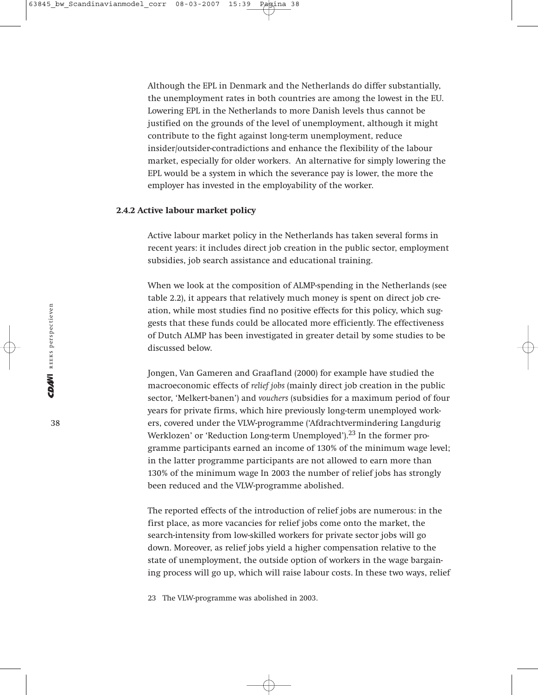Although the EPL in Denmark and the Netherlands do differ substantially, the unemployment rates in both countries are among the lowest in the EU. Lowering EPL in the Netherlands to more Danish levels thus cannot be justified on the grounds of the level of unemployment, although it might contribute to the fight against long-term unemployment, reduce insider/outsider-contradictions and enhance the flexibility of the labour market, especially for older workers. An alternative for simply lowering the EPL would be a system in which the severance pay is lower, the more the employer has invested in the employability of the worker.

# **2.4.2 Active labour market policy**

Active labour market policy in the Netherlands has taken several forms in recent years: it includes direct job creation in the public sector, employment subsidies, job search assistance and educational training.

When we look at the composition of ALMP-spending in the Netherlands (see table 2.2), it appears that relatively much money is spent on direct job creation, while most studies find no positive effects for this policy, which suggests that these funds could be allocated more efficiently. The effectiveness of Dutch ALMP has been investigated in greater detail by some studies to be discussed below.

Jongen, Van Gameren and Graafland (2000) for example have studied the macroeconomic effects of *relief jobs* (mainly direct job creation in the public sector, 'Melkert-banen') and *vouchers* (subsidies for a maximum period of four years for private firms, which hire previously long-term unemployed workers, covered under the VLW-programme ('Afdrachtvermindering Langdurig Werklozen' or 'Reduction Long-term Unemployed'). $^{23}$  In the former programme participants earned an income of 130% of the minimum wage level; in the latter programme participants are not allowed to earn more than 130% of the minimum wage In 2003 the number of relief jobs has strongly been reduced and the VLW-programme abolished.

The reported effects of the introduction of relief jobs are numerous: in the first place, as more vacancies for relief jobs come onto the market, the search-intensity from low-skilled workers for private sector jobs will go down. Moreover, as relief jobs yield a higher compensation relative to the state of unemployment, the outside option of workers in the wage bargaining process will go up, which will raise labour costs. In these two ways, relief

23 The VLW-programme was abolished in 2003.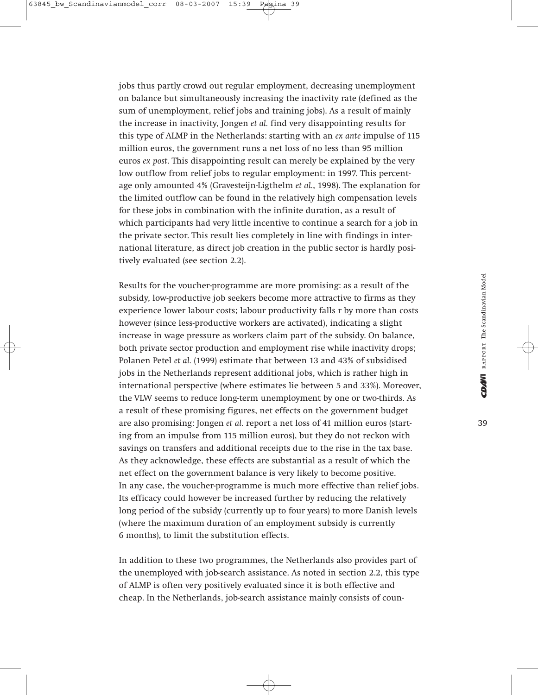jobs thus partly crowd out regular employment, decreasing unemployment on balance but simultaneously increasing the inactivity rate (defined as the sum of unemployment, relief jobs and training jobs). As a result of mainly the increase in inactivity, Jongen *et al.* find very disappointing results for this type of ALMP in the Netherlands: starting with an *ex ante* impulse of 115 million euros, the government runs a net loss of no less than 95 million euros *ex post*. This disappointing result can merely be explained by the very low outflow from relief jobs to regular employment: in 1997. This percentage only amounted 4% (Gravesteijn-Ligthelm *et al.*, 1998). The explanation for the limited outflow can be found in the relatively high compensation levels for these jobs in combination with the infinite duration, as a result of which participants had very little incentive to continue a search for a job in the private sector. This result lies completely in line with findings in international literature, as direct job creation in the public sector is hardly positively evaluated (see section 2.2).

Results for the voucher-programme are more promising: as a result of the subsidy, low-productive job seekers become more attractive to firms as they experience lower labour costs; labour productivity falls r by more than costs however (since less-productive workers are activated), indicating a slight increase in wage pressure as workers claim part of the subsidy. On balance, both private sector production and employment rise while inactivity drops; Polanen Petel *et al.* (1999) estimate that between 13 and 43% of subsidised jobs in the Netherlands represent additional jobs, which is rather high in international perspective (where estimates lie between 5 and 33%). Moreover, the VLW seems to reduce long-term unemployment by one or two-thirds. As a result of these promising figures, net effects on the government budget are also promising: Jongen *et al.* report a net loss of 41 million euros (starting from an impulse from 115 million euros), but they do not reckon with savings on transfers and additional receipts due to the rise in the tax base. As they acknowledge, these effects are substantial as a result of which the net effect on the government balance is very likely to become positive. In any case, the voucher-programme is much more effective than relief jobs. Its efficacy could however be increased further by reducing the relatively long period of the subsidy (currently up to four years) to more Danish levels (where the maximum duration of an employment subsidy is currently 6 months), to limit the substitution effects.

In addition to these two programmes, the Netherlands also provides part of the unemployed with job-search assistance. As noted in section 2.2, this type of ALMP is often very positively evaluated since it is both effective and cheap. In the Netherlands, job-search assistance mainly consists of coun-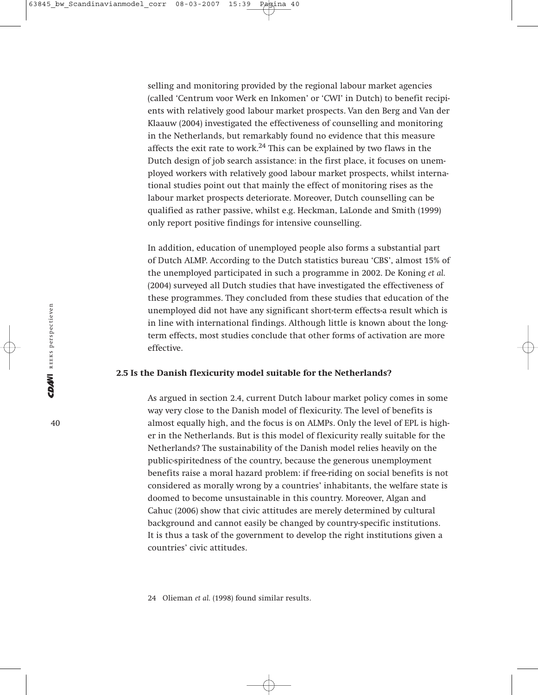selling and monitoring provided by the regional labour market agencies (called 'Centrum voor Werk en Inkomen' or 'CWI' in Dutch) to benefit recipients with relatively good labour market prospects. Van den Berg and Van der Klaauw (2004) investigated the effectiveness of counselling and monitoring in the Netherlands, but remarkably found no evidence that this measure affects the exit rate to work. $24$  This can be explained by two flaws in the Dutch design of job search assistance: in the first place, it focuses on unemployed workers with relatively good labour market prospects, whilst international studies point out that mainly the effect of monitoring rises as the labour market prospects deteriorate. Moreover, Dutch counselling can be qualified as rather passive, whilst e.g. Heckman, LaLonde and Smith (1999) only report positive findings for intensive counselling.

In addition, education of unemployed people also forms a substantial part of Dutch ALMP. According to the Dutch statistics bureau 'CBS', almost 15% of the unemployed participated in such a programme in 2002. De Koning *et al.* (2004) surveyed all Dutch studies that have investigated the effectiveness of these programmes. They concluded from these studies that education of the unemployed did not have any significant short-term effects-a result which is in line with international findings. Although little is known about the longterm effects, most studies conclude that other forms of activation are more effective.

### **2.5 Is the Danish flexicurity model suitable for the Netherlands?**

As argued in section 2.4, current Dutch labour market policy comes in some way very close to the Danish model of flexicurity. The level of benefits is almost equally high, and the focus is on ALMPs. Only the level of EPL is higher in the Netherlands. But is this model of flexicurity really suitable for the Netherlands? The sustainability of the Danish model relies heavily on the public-spiritedness of the country, because the generous unemployment benefits raise a moral hazard problem: if free-riding on social benefits is not considered as morally wrong by a countries' inhabitants, the welfare state is doomed to become unsustainable in this country. Moreover, Algan and Cahuc (2006) show that civic attitudes are merely determined by cultural background and cannot easily be changed by country-specific institutions. It is thus a task of the government to develop the right institutions given a countries' civic attitudes.

24 Olieman *et al.* (1998) found similar results.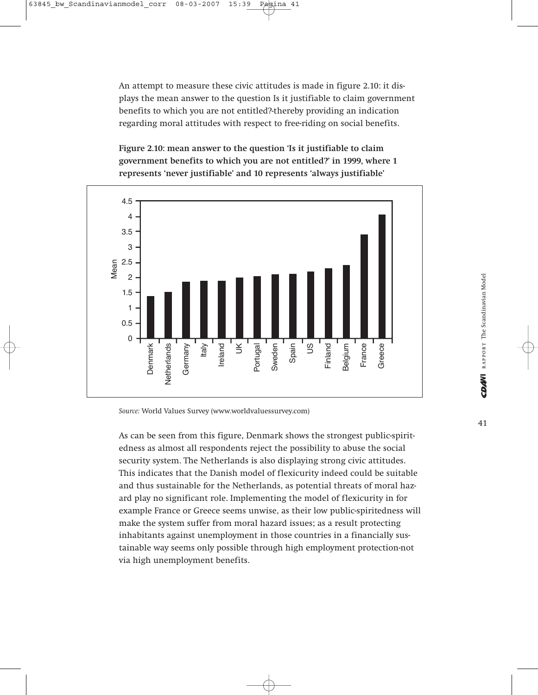An attempt to measure these civic attitudes is made in figure 2.10: it displays the mean answer to the question Is it justifiable to claim government benefits to which you are not entitled?-thereby providing an indication regarding moral attitudes with respect to free-riding on social benefits.

**Figure 2.10: mean answer to the question 'Is it justifiable to claim government benefits to which you are not entitled?' in 1999, where 1 represents 'never justifiable' and 10 represents 'always justifiable'** 



*Source:* World Values Survey (www.worldvaluessurvey.com)

As can be seen from this figure, Denmark shows the strongest public-spiritedness as almost all respondents reject the possibility to abuse the social security system. The Netherlands is also displaying strong civic attitudes. This indicates that the Danish model of flexicurity indeed could be suitable and thus sustainable for the Netherlands, as potential threats of moral hazard play no significant role. Implementing the model of flexicurity in for example France or Greece seems unwise, as their low public-spiritedness will make the system suffer from moral hazard issues; as a result protecting inhabitants against unemployment in those countries in a financially sustainable way seems only possible through high employment protection-not via high unemployment benefits.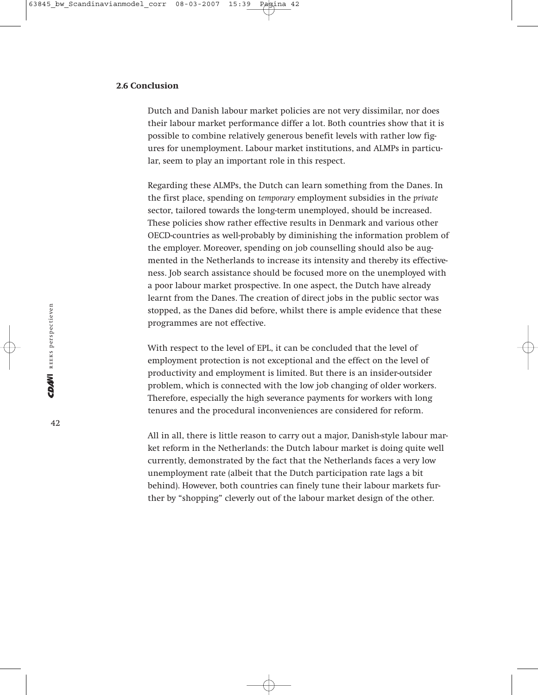# **2.6 Conclusion**

Dutch and Danish labour market policies are not very dissimilar, nor does their labour market performance differ a lot. Both countries show that it is possible to combine relatively generous benefit levels with rather low figures for unemployment. Labour market institutions, and ALMPs in particular, seem to play an important role in this respect.

Regarding these ALMPs, the Dutch can learn something from the Danes. In the first place, spending on *temporary* employment subsidies in the *private* sector, tailored towards the long-term unemployed, should be increased. These policies show rather effective results in Denmark and various other OECD-countries as well-probably by diminishing the information problem of the employer. Moreover, spending on job counselling should also be augmented in the Netherlands to increase its intensity and thereby its effectiveness. Job search assistance should be focused more on the unemployed with a poor labour market prospective. In one aspect, the Dutch have already learnt from the Danes. The creation of direct jobs in the public sector was stopped, as the Danes did before, whilst there is ample evidence that these programmes are not effective.

With respect to the level of EPL, it can be concluded that the level of employment protection is not exceptional and the effect on the level of productivity and employment is limited. But there is an insider-outsider problem, which is connected with the low job changing of older workers. Therefore, especially the high severance payments for workers with long tenures and the procedural inconveniences are considered for reform.

All in all, there is little reason to carry out a major, Danish-style labour market reform in the Netherlands: the Dutch labour market is doing quite well currently, demonstrated by the fact that the Netherlands faces a very low unemployment rate (albeit that the Dutch participation rate lags a bit behind). However, both countries can finely tune their labour markets further by "shopping" cleverly out of the labour market design of the other.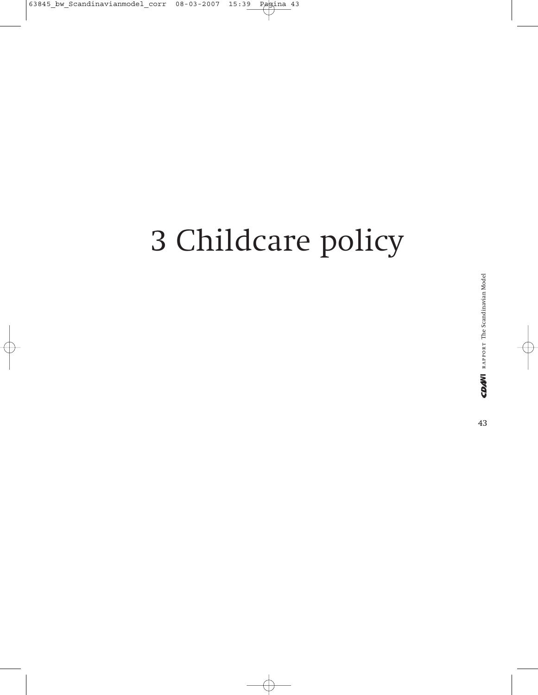# 3 Childcare policy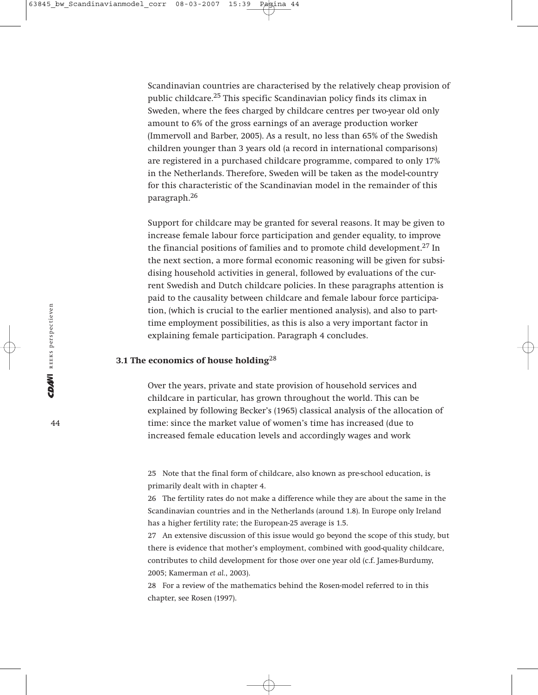Scandinavian countries are characterised by the relatively cheap provision of public childcare.25 This specific Scandinavian policy finds its climax in Sweden, where the fees charged by childcare centres per two-year old only amount to 6% of the gross earnings of an average production worker (Immervoll and Barber, 2005). As a result, no less than 65% of the Swedish children younger than 3 years old (a record in international comparisons) are registered in a purchased childcare programme, compared to only 17% in the Netherlands. Therefore, Sweden will be taken as the model-country for this characteristic of the Scandinavian model in the remainder of this paragraph.26

Support for childcare may be granted for several reasons. It may be given to increase female labour force participation and gender equality, to improve the financial positions of families and to promote child development.<sup>27</sup> In the next section, a more formal economic reasoning will be given for subsidising household activities in general, followed by evaluations of the current Swedish and Dutch childcare policies. In these paragraphs attention is paid to the causality between childcare and female labour force participation, (which is crucial to the earlier mentioned analysis), and also to parttime employment possibilities, as this is also a very important factor in explaining female participation. Paragraph 4 concludes.

#### **3.1 The economics of house holding**<sup>28</sup>

Over the years, private and state provision of household services and childcare in particular, has grown throughout the world. This can be explained by following Becker's (1965) classical analysis of the allocation of time: since the market value of women's time has increased (due to increased female education levels and accordingly wages and work

25 Note that the final form of childcare, also known as pre-school education, is primarily dealt with in chapter 4.

26 The fertility rates do not make a difference while they are about the same in the Scandinavian countries and in the Netherlands (around 1.8). In Europe only Ireland has a higher fertility rate; the European-25 average is 1.5.

27 An extensive discussion of this issue would go beyond the scope of this study, but there is evidence that mother's employment, combined with good-quality childcare, contributes to child development for those over one year old (c.f. James-Burdumy, 2005; Kamerman *et al.*, 2003).

28 For a review of the mathematics behind the Rosen-model referred to in this chapter, see Rosen (1997).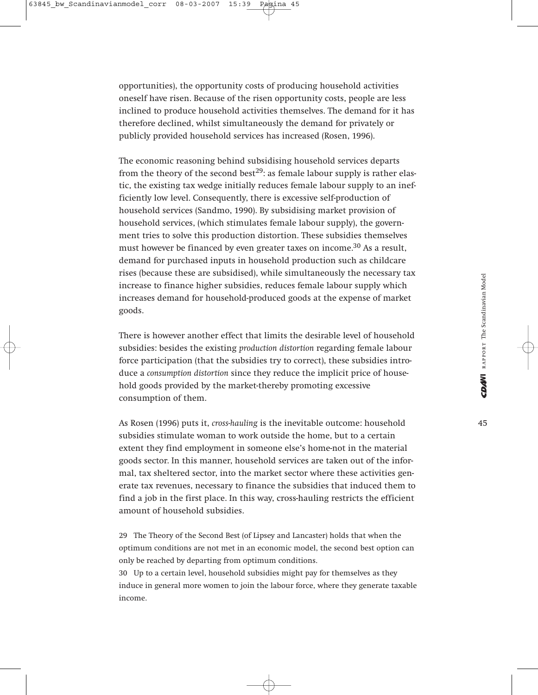opportunities), the opportunity costs of producing household activities oneself have risen. Because of the risen opportunity costs, people are less inclined to produce household activities themselves. The demand for it has therefore declined, whilst simultaneously the demand for privately or publicly provided household services has increased (Rosen, 1996).

The economic reasoning behind subsidising household services departs from the theory of the second best<sup>29</sup>: as female labour supply is rather elastic, the existing tax wedge initially reduces female labour supply to an inefficiently low level. Consequently, there is excessive self-production of household services (Sandmo, 1990). By subsidising market provision of household services, (which stimulates female labour supply), the government tries to solve this production distortion. These subsidies themselves must however be financed by even greater taxes on income.<sup>30</sup> As a result, demand for purchased inputs in household production such as childcare rises (because these are subsidised), while simultaneously the necessary tax increase to finance higher subsidies, reduces female labour supply which increases demand for household-produced goods at the expense of market goods.

There is however another effect that limits the desirable level of household subsidies: besides the existing *production distortion* regarding female labour force participation (that the subsidies try to correct), these subsidies introduce a *consumption distortion* since they reduce the implicit price of household goods provided by the market-thereby promoting excessive consumption of them.

As Rosen (1996) puts it, *cross-hauling* is the inevitable outcome: household subsidies stimulate woman to work outside the home, but to a certain extent they find employment in someone else's home-not in the material goods sector. In this manner, household services are taken out of the informal, tax sheltered sector, into the market sector where these activities generate tax revenues, necessary to finance the subsidies that induced them to find a job in the first place. In this way, cross-hauling restricts the efficient amount of household subsidies.

29 The Theory of the Second Best (of Lipsey and Lancaster) holds that when the optimum conditions are not met in an economic model, the second best option can only be reached by departing from optimum conditions.

30 Up to a certain level, household subsidies might pay for themselves as they induce in general more women to join the labour force, where they generate taxable income.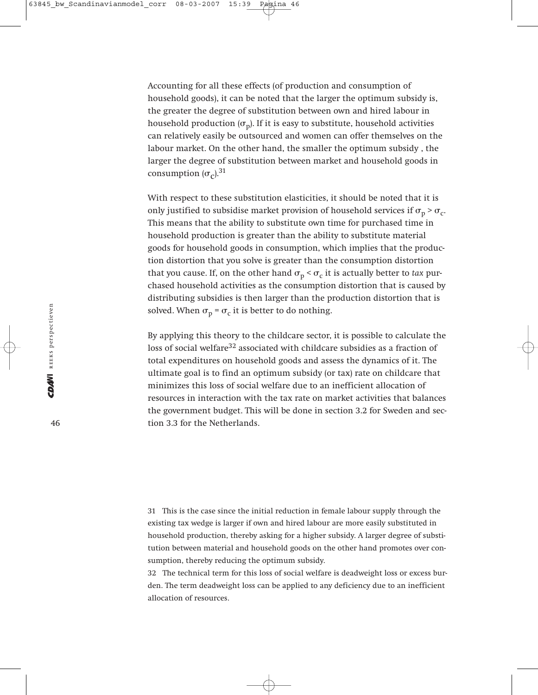Accounting for all these effects (of production and consumption of household goods), it can be noted that the larger the optimum subsidy is, the greater the degree of substitution between own and hired labour in household production  $(\sigma_n)$ . If it is easy to substitute, household activities can relatively easily be outsourced and women can offer themselves on the labour market. On the other hand, the smaller the optimum subsidy , the larger the degree of substitution between market and household goods in consumption  $(\sigma_c)$ .<sup>31</sup>

With respect to these substitution elasticities, it should be noted that it is only justified to subsidise market provision of household services if  $\sigma_p > \sigma_c$ . This means that the ability to substitute own time for purchased time in household production is greater than the ability to substitute material goods for household goods in consumption, which implies that the production distortion that you solve is greater than the consumption distortion that you cause. If, on the other hand  $\sigma_p < \sigma_c$  it is actually better to *tax* purchased household activities as the consumption distortion that is caused by distributing subsidies is then larger than the production distortion that is solved. When  $\sigma_p = \sigma_c$  it is better to do nothing.

By applying this theory to the childcare sector, it is possible to calculate the loss of social welfare<sup>32</sup> associated with childcare subsidies as a fraction of total expenditures on household goods and assess the dynamics of it. The ultimate goal is to find an optimum subsidy (or tax) rate on childcare that minimizes this loss of social welfare due to an inefficient allocation of resources in interaction with the tax rate on market activities that balances the government budget. This will be done in section 3.2 for Sweden and section 3.3 for the Netherlands.

31 This is the case since the initial reduction in female labour supply through the existing tax wedge is larger if own and hired labour are more easily substituted in household production, thereby asking for a higher subsidy. A larger degree of substitution between material and household goods on the other hand promotes over consumption, thereby reducing the optimum subsidy.

32 The technical term for this loss of social welfare is deadweight loss or excess burden. The term deadweight loss can be applied to any deficiency due to an inefficient allocation of resources.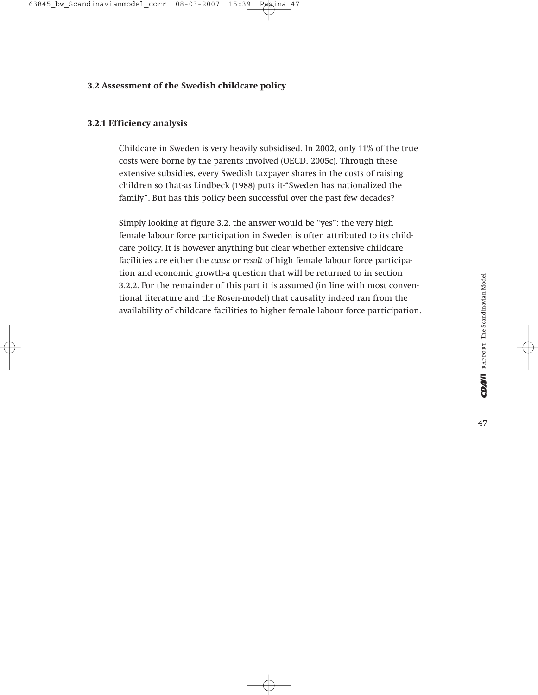# **3.2 Assessment of the Swedish childcare policy**

## **3.2.1 Efficiency analysis**

Childcare in Sweden is very heavily subsidised. In 2002, only 11% of the true costs were borne by the parents involved (OECD, 2005c). Through these extensive subsidies, every Swedish taxpayer shares in the costs of raising children so that-as Lindbeck (1988) puts it-"Sweden has nationalized the family". But has this policy been successful over the past few decades?

Simply looking at figure 3.2. the answer would be "yes": the very high female labour force participation in Sweden is often attributed to its childcare policy. It is however anything but clear whether extensive childcare facilities are either the *cause* or *result* of high female labour force participation and economic growth-a question that will be returned to in section 3.2.2. For the remainder of this part it is assumed (in line with most conventional literature and the Rosen-model) that causality indeed ran from the availability of childcare facilities to higher female labour force participation.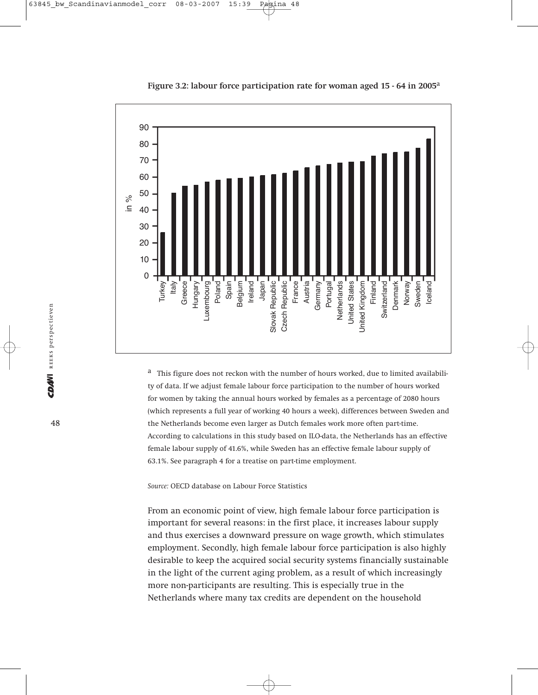

**Figure 3.2: labour force participation rate for woman aged 15 - 64 in 2005**<sup>a</sup>

<sup>a</sup> This figure does not reckon with the number of hours worked, due to limited availability of data. If we adjust female labour force participation to the number of hours worked for women by taking the annual hours worked by females as a percentage of 2080 hours (which represents a full year of working 40 hours a week), differences between Sweden and the Netherlands become even larger as Dutch females work more often part-time. According to calculations in this study based on ILO-data, the Netherlands has an effective female labour supply of 41.6%, while Sweden has an effective female labour supply of 63.1%. See paragraph 4 for a treatise on part-time employment.

*Source:* OECD database on Labour Force Statistics

From an economic point of view, high female labour force participation is important for several reasons: in the first place, it increases labour supply and thus exercises a downward pressure on wage growth, which stimulates employment. Secondly, high female labour force participation is also highly desirable to keep the acquired social security systems financially sustainable in the light of the current aging problem, as a result of which increasingly more non-participants are resulting. This is especially true in the Netherlands where many tax credits are dependent on the household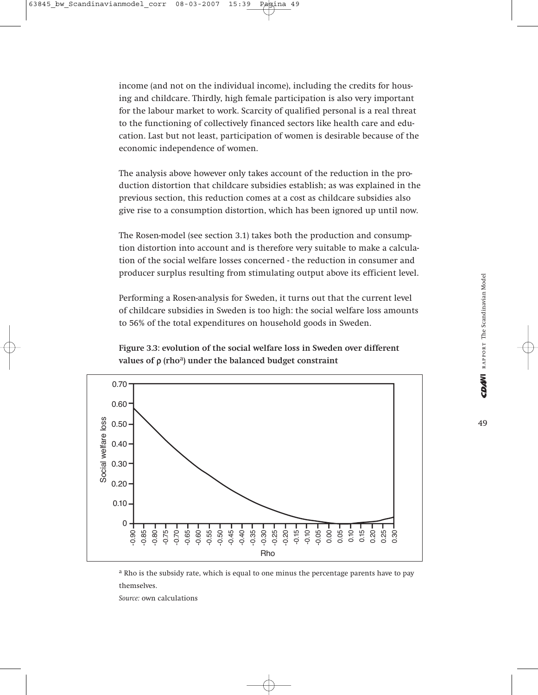income (and not on the individual income), including the credits for housing and childcare. Thirdly, high female participation is also very important for the labour market to work. Scarcity of qualified personal is a real threat to the functioning of collectively financed sectors like health care and education. Last but not least, participation of women is desirable because of the economic independence of women.

The analysis above however only takes account of the reduction in the production distortion that childcare subsidies establish; as was explained in the previous section, this reduction comes at a cost as childcare subsidies also give rise to a consumption distortion, which has been ignored up until now.

The Rosen-model (see section 3.1) takes both the production and consumption distortion into account and is therefore very suitable to make a calculation of the social welfare losses concerned - the reduction in consumer and producer surplus resulting from stimulating output above its efficient level.

Performing a Rosen-analysis for Sweden, it turns out that the current level of childcare subsidies in Sweden is too high: the social welfare loss amounts to 56% of the total expenditures on household goods in Sweden.

**Figure 3.3: evolution of the social welfare loss in Sweden over different values of** ρ **(rho**a**) under the balanced budget constraint**



a Rho is the subsidy rate, which is equal to one minus the percentage parents have to pay themselves.

*Source:* own calculations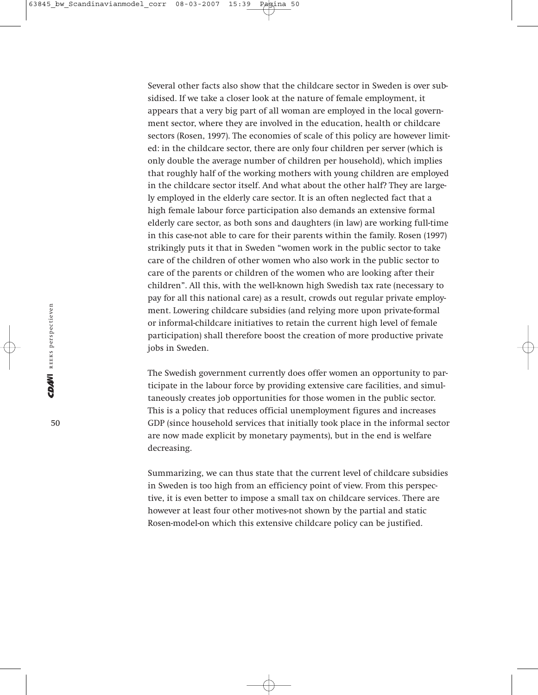Several other facts also show that the childcare sector in Sweden is over subsidised. If we take a closer look at the nature of female employment, it appears that a very big part of all woman are employed in the local government sector, where they are involved in the education, health or childcare sectors (Rosen, 1997). The economies of scale of this policy are however limited: in the childcare sector, there are only four children per server (which is only double the average number of children per household), which implies that roughly half of the working mothers with young children are employed in the childcare sector itself. And what about the other half? They are largely employed in the elderly care sector. It is an often neglected fact that a high female labour force participation also demands an extensive formal elderly care sector, as both sons and daughters (in law) are working full-time in this case-not able to care for their parents within the family. Rosen (1997) strikingly puts it that in Sweden "women work in the public sector to take care of the children of other women who also work in the public sector to care of the parents or children of the women who are looking after their children". All this, with the well-known high Swedish tax rate (necessary to pay for all this national care) as a result, crowds out regular private employment. Lowering childcare subsidies (and relying more upon private-formal or informal-childcare initiatives to retain the current high level of female participation) shall therefore boost the creation of more productive private jobs in Sweden.

The Swedish government currently does offer women an opportunity to participate in the labour force by providing extensive care facilities, and simultaneously creates job opportunities for those women in the public sector. This is a policy that reduces official unemployment figures and increases GDP (since household services that initially took place in the informal sector are now made explicit by monetary payments), but in the end is welfare decreasing.

Summarizing, we can thus state that the current level of childcare subsidies in Sweden is too high from an efficiency point of view. From this perspective, it is even better to impose a small tax on childcare services. There are however at least four other motives-not shown by the partial and static Rosen-model-on which this extensive childcare policy can be justified.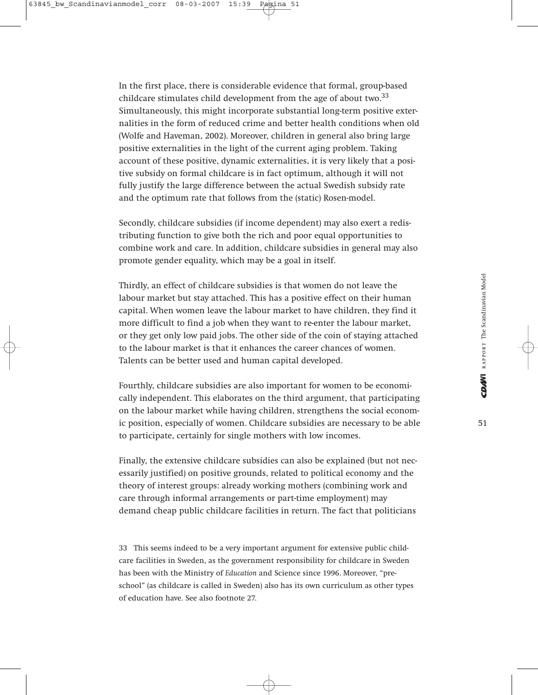In the first place, there is considerable evidence that formal, group-based childcare stimulates child development from the age of about two.<sup>33</sup> Simultaneously, this might incorporate substantial long-term positive externalities in the form of reduced crime and better health conditions when old (Wolfe and Haveman, 2002). Moreover, children in general also bring large positive externalities in the light of the current aging problem. Taking account of these positive, dynamic externalities, it is very likely that a positive subsidy on formal childcare is in fact optimum, although it will not fully justify the large difference between the actual Swedish subsidy rate and the optimum rate that follows from the (static) Rosen-model.

Secondly, childcare subsidies (if income dependent) may also exert a redistributing function to give both the rich and poor equal opportunities to combine work and care. In addition, childcare subsidies in general may also promote gender equality, which may be a goal in itself.

Thirdly, an effect of childcare subsidies is that women do not leave the labour market but stay attached. This has a positive effect on their human capital. When women leave the labour market to have children, they find it more difficult to find a job when they want to re-enter the labour market, or they get only low paid jobs. The other side of the coin of staying attached to the labour market is that it enhances the career chances of women. Talents can be better used and human capital developed.

Fourthly, childcare subsidies are also important for women to be economically independent. This elaborates on the third argument, that participating on the labour market while having children, strengthens the social economic position, especially of women. Childcare subsidies are necessary to be able to participate, certainly for single mothers with low incomes.

Finally, the extensive childcare subsidies can also be explained (but not necessarily justified) on positive grounds, related to political economy and the theory of interest groups: already working mothers (combining work and care through informal arrangements or part-time employment) may demand cheap public childcare facilities in return. The fact that politicians

33 This seems indeed to be a very important argument for extensive public childcare facilities in Sweden, as the government responsibility for childcare in Sweden has been with the Ministry of *Education* and Science since 1996. Moreover, "preschool" (as childcare is called in Sweden) also has its own curriculum as other types of education have. See also footnote 27.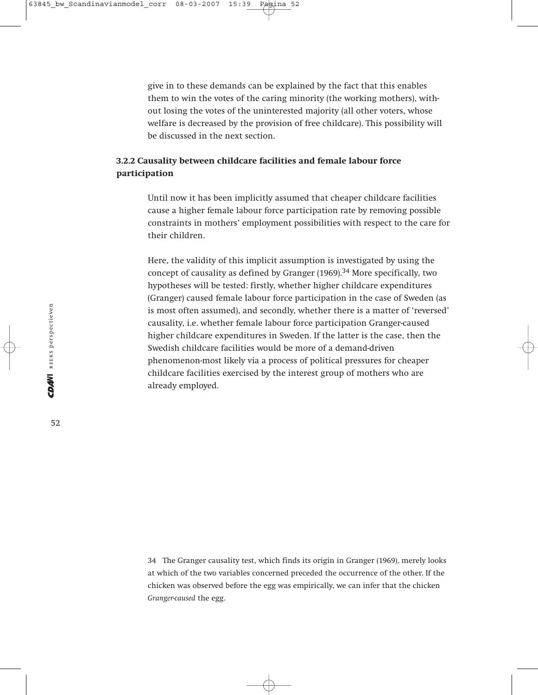give in to these demands can be explained by the fact that this enables them to win the votes of the caring minority (the working mothers), without losing the votes of the uninterested majority (all other voters, whose welfare is decreased by the provision of free childcare). This possibility will be discussed in the next section.

# **3.2.2 Causality between childcare facilities and female labour force participation**

Until now it has been implicitly assumed that cheaper childcare facilities cause a higher female labour force participation rate by removing possible constraints in mothers' employment possibilities with respect to the care for their children.

Here, the validity of this implicit assumption is investigated by using the concept of causality as defined by Granger  $(1969)$ .<sup>34</sup> More specifically, two hypotheses will be tested: firstly, whether higher childcare expenditures (Granger) caused female labour force participation in the case of Sweden (as is most often assumed), and secondly, whether there is a matter of 'reversed' causality, i.e. whether female labour force participation Granger-caused higher childcare expenditures in Sweden. If the latter is the case, then the Swedish childcare facilities would be more of a demand-driven phenomenon-most likely via a process of political pressures for cheaper childcare facilities exercised by the interest group of mothers who are already employed.

34 The Granger causality test, which finds its origin in Granger (1969), merely looks at which of the two variables concerned preceded the occurrence of the other. If the chicken was observed before the egg was empirically, we can infer that the chicken *Granger-caused* the egg.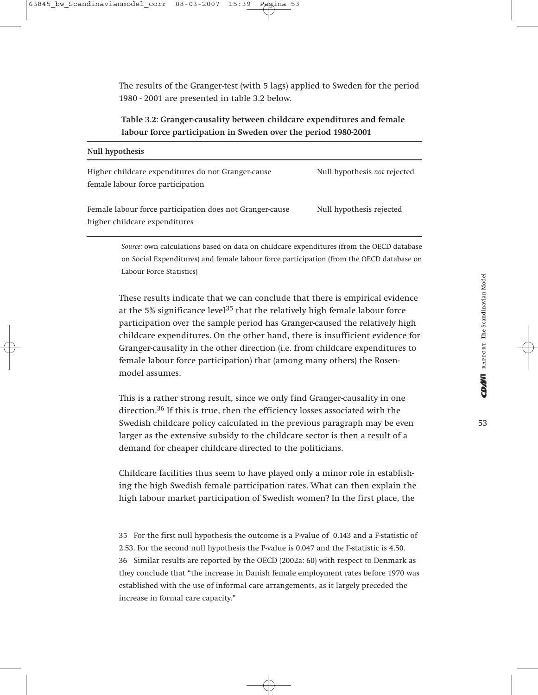The results of the Granger-test (with 5 lags) applied to Sweden for the period 1980 - 2001 are presented in table 3.2 below.

# **Table 3.2: Granger-causality between childcare expenditures and female labour force participation in Sweden over the period 1980-2001**

| Null hypothesis not rejected |
|------------------------------|
| Null hypothesis rejected     |
|                              |

*Source:* own calculations based on data on childcare expenditures (from the OECD database on Social Expenditures) and female labour force participation (from the OECD database on Labour Force Statistics)

These results indicate that we can conclude that there is empirical evidence at the 5% significance level<sup>35</sup> that the relatively high female labour force participation over the sample period has Granger-caused the relatively high childcare expenditures. On the other hand, there is insufficient evidence for Granger-causality in the other direction (i.e. from childcare expenditures to female labour force participation) that (among many others) the Rosenmodel assumes.

This is a rather strong result, since we only find Granger-causality in one direction.<sup>36</sup> If this is true, then the efficiency losses associated with the Swedish childcare policy calculated in the previous paragraph may be even larger as the extensive subsidy to the childcare sector is then a result of a demand for cheaper childcare directed to the politicians.

Childcare facilities thus seem to have played only a minor role in establishing the high Swedish female participation rates. What can then explain the high labour market participation of Swedish women? In the first place, the

35 For the first null hypothesis the outcome is a P-value of 0.143 and a F-statistic of 2.53. For the second null hypothesis the P-value is 0.047 and the F-statistic is 4.50. 36 Similar results are reported by the OECD (2002a: 60) with respect to Denmark as they conclude that "the increase in Danish female employment rates before 1970 was established with the use of informal care arrangements, as it largely preceded the increase in formal care capacity."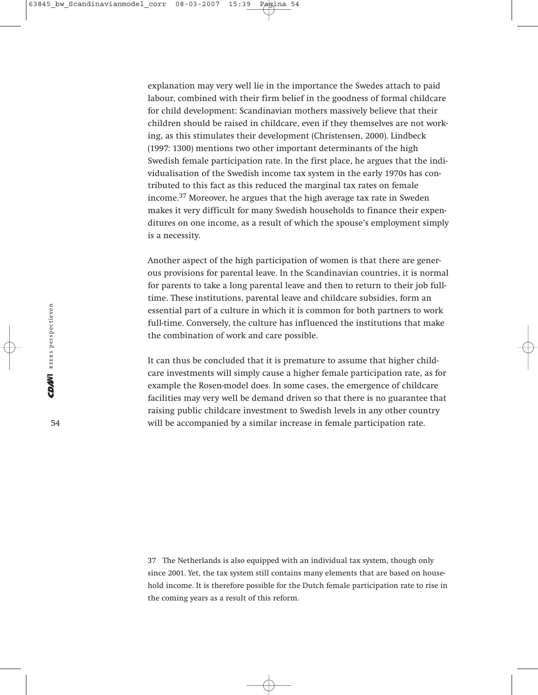explanation may very well lie in the importance the Swedes attach to paid labour, combined with their firm belief in the goodness of formal childcare for child development: Scandinavian mothers massively believe that their children should be raised in childcare, even if they themselves are not working, as this stimulates their development (Christensen, 2000). Lindbeck (1997: 1300) mentions two other important determinants of the high Swedish female participation rate. In the first place, he argues that the individualisation of the Swedish income tax system in the early 1970s has contributed to this fact as this reduced the marginal tax rates on female income.<sup>37</sup> Moreover, he argues that the high average tax rate in Sweden makes it very difficult for many Swedish households to finance their expenditures on one income, as a result of which the spouse's employment simply is a necessity.

Another aspect of the high participation of women is that there are generous provisions for parental leave. In the Scandinavian countries, it is normal for parents to take a long parental leave and then to return to their job fulltime. These institutions, parental leave and childcare subsidies, form an essential part of a culture in which it is common for both partners to work full-time. Conversely, the culture has influenced the institutions that make the combination of work and care possible.

It can thus be concluded that it is premature to assume that higher childcare investments will simply cause a higher female participation rate, as for example the Rosen-model does. In some cases, the emergence of childcare facilities may very well be demand driven so that there is no guarantee that raising public childcare investment to Swedish levels in any other country will be accompanied by a similar increase in female participation rate.

37 The Netherlands is also equipped with an individual tax system, though only since 2001. Yet, the tax system still contains many elements that are based on household income. It is therefore possible for the Dutch female participation rate to rise in the coming years as a result of this reform.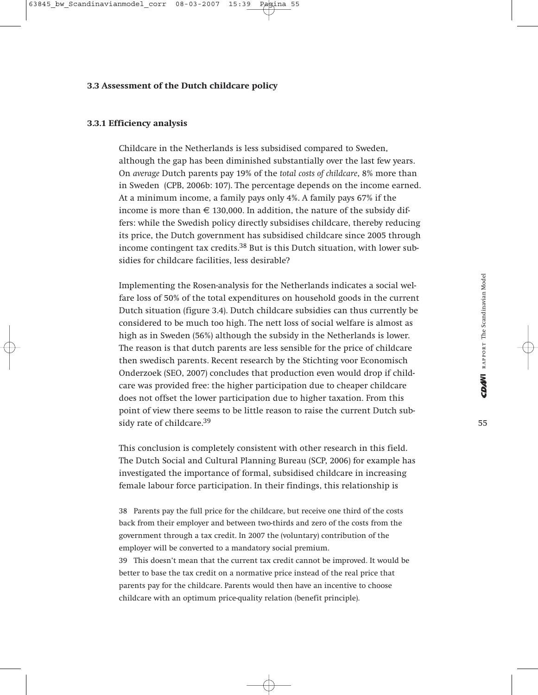#### **3.3 Assessment of the Dutch childcare policy**

## **3.3.1 Efficiency analysis**

Childcare in the Netherlands is less subsidised compared to Sweden, although the gap has been diminished substantially over the last few years. On *average* Dutch parents pay 19% of the *total costs of childcare*, 8% more than in Sweden (CPB, 2006b: 107). The percentage depends on the income earned. At a minimum income, a family pays only 4%. A family pays 67% if the income is more than  $\in$  130,000. In addition, the nature of the subsidy differs: while the Swedish policy directly subsidises childcare, thereby reducing its price, the Dutch government has subsidised childcare since 2005 through income contingent tax credits. $38$  But is this Dutch situation, with lower subsidies for childcare facilities, less desirable?

Implementing the Rosen-analysis for the Netherlands indicates a social welfare loss of 50% of the total expenditures on household goods in the current Dutch situation (figure 3.4). Dutch childcare subsidies can thus currently be considered to be much too high. The nett loss of social welfare is almost as high as in Sweden (56%) although the subsidy in the Netherlands is lower. The reason is that dutch parents are less sensible for the price of childcare then swedisch parents. Recent research by the Stichting voor Economisch Onderzoek (SEO, 2007) concludes that production even would drop if childcare was provided free: the higher participation due to cheaper childcare does not offset the lower participation due to higher taxation. From this point of view there seems to be little reason to raise the current Dutch subsidy rate of childcare.<sup>39</sup>

This conclusion is completely consistent with other research in this field. The Dutch Social and Cultural Planning Bureau (SCP, 2006) for example has investigated the importance of formal, subsidised childcare in increasing female labour force participation. In their findings, this relationship is

38 Parents pay the full price for the childcare, but receive one third of the costs back from their employer and between two-thirds and zero of the costs from the government through a tax credit. In 2007 the (voluntary) contribution of the employer will be converted to a mandatory social premium.

39 This doesn't mean that the current tax credit cannot be improved. It would be better to base the tax credit on a normative price instead of the real price that parents pay for the childcare. Parents would then have an incentive to choose childcare with an optimum price-quality relation (benefit principle).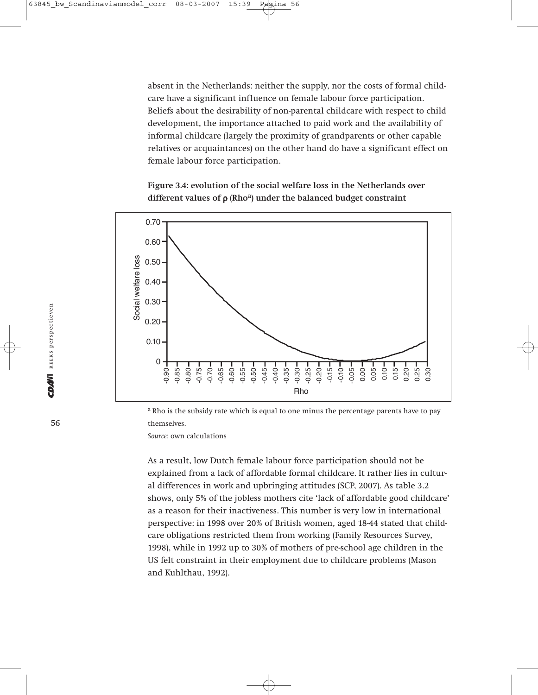absent in the Netherlands: neither the supply, nor the costs of formal childcare have a significant influence on female labour force participation. Beliefs about the desirability of non-parental childcare with respect to child development, the importance attached to paid work and the availability of informal childcare (largely the proximity of grandparents or other capable relatives or acquaintances) on the other hand do have a significant effect on female labour force participation.

**Figure 3.4: evolution of the social welfare loss in the Netherlands over different values of** ρ **(Rho**a**) under the balanced budget constraint**



<sup>a</sup> Rho is the subsidy rate which is equal to one minus the percentage parents have to pay themselves.

*Source*: own calculations

As a result, low Dutch female labour force participation should not be explained from a lack of affordable formal childcare. It rather lies in cultural differences in work and upbringing attitudes (SCP, 2007). As table 3.2 shows, only 5% of the jobless mothers cite 'lack of affordable good childcare' as a reason for their inactiveness. This number is very low in international perspective: in 1998 over 20% of British women, aged 18-44 stated that childcare obligations restricted them from working (Family Resources Survey, 1998), while in 1992 up to 30% of mothers of pre-school age children in the US felt constraint in their employment due to childcare problems (Mason and Kuhlthau, 1992).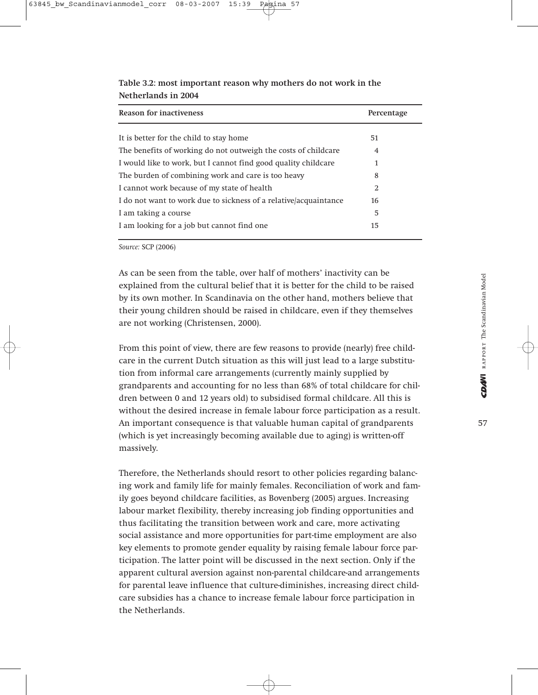| Reason for inactiveness                                          | Percentage |
|------------------------------------------------------------------|------------|
|                                                                  |            |
| It is better for the child to stay home                          | 51         |
| The benefits of working do not outweigh the costs of childcare   | 4          |
| I would like to work, but I cannot find good quality childcare   | 1          |
| The burden of combining work and care is too heavy               | 8          |
| I cannot work because of my state of health                      | 2          |
| I do not want to work due to sickness of a relative/acquaintance | 16         |
| I am taking a course                                             | 5          |
| I am looking for a job but cannot find one                       | 15         |

**Table 3.2: most important reason why mothers do not work in the Netherlands in 2004**

*Source:* SCP (2006)

As can be seen from the table, over half of mothers' inactivity can be explained from the cultural belief that it is better for the child to be raised by its own mother. In Scandinavia on the other hand, mothers believe that their young children should be raised in childcare, even if they themselves are not working (Christensen, 2000).

From this point of view, there are few reasons to provide (nearly) free childcare in the current Dutch situation as this will just lead to a large substitution from informal care arrangements (currently mainly supplied by grandparents and accounting for no less than 68% of total childcare for children between 0 and 12 years old) to subsidised formal childcare. All this is without the desired increase in female labour force participation as a result. An important consequence is that valuable human capital of grandparents (which is yet increasingly becoming available due to aging) is written-off massively.

Therefore, the Netherlands should resort to other policies regarding balancing work and family life for mainly females. Reconciliation of work and family goes beyond childcare facilities, as Bovenberg (2005) argues. Increasing labour market flexibility, thereby increasing job finding opportunities and thus facilitating the transition between work and care, more activating social assistance and more opportunities for part-time employment are also key elements to promote gender equality by raising female labour force participation. The latter point will be discussed in the next section. Only if the apparent cultural aversion against non-parental childcare-and arrangements for parental leave influence that culture-diminishes, increasing direct childcare subsidies has a chance to increase female labour force participation in the Netherlands.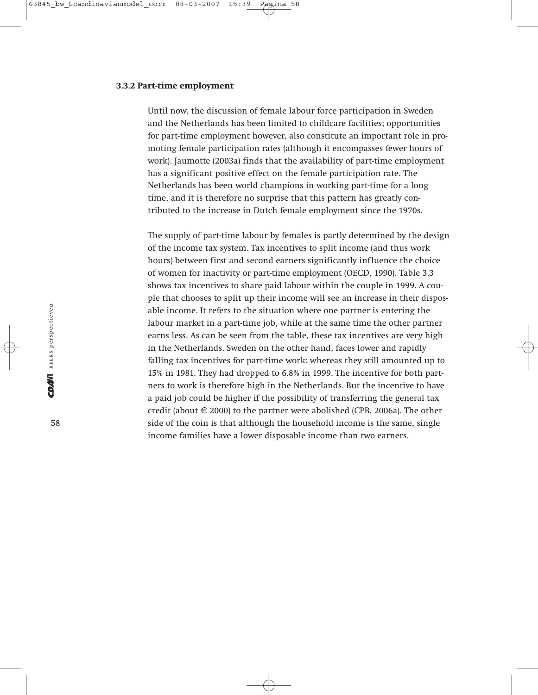#### **3.3.2 Part-time employment**

Until now, the discussion of female labour force participation in Sweden and the Netherlands has been limited to childcare facilities; opportunities for part-time employment however, also constitute an important role in promoting female participation rates (although it encompasses fewer hours of work). Jaumotte (2003a) finds that the availability of part-time employment has a significant positive effect on the female participation rate. The Netherlands has been world champions in working part-time for a long time, and it is therefore no surprise that this pattern has greatly contributed to the increase in Dutch female employment since the 1970s.

The supply of part-time labour by females is partly determined by the design of the income tax system. Tax incentives to split income (and thus work hours) between first and second earners significantly influence the choice of women for inactivity or part-time employment (OECD, 1990). Table 3.3 shows tax incentives to share paid labour within the couple in 1999. A couple that chooses to split up their income will see an increase in their disposable income. It refers to the situation where one partner is entering the labour market in a part-time job, while at the same time the other partner earns less. As can be seen from the table, these tax incentives are very high in the Netherlands. Sweden on the other hand, faces lower and rapidly falling tax incentives for part-time work: whereas they still amounted up to 15% in 1981. They had dropped to 6.8% in 1999. The incentive for both partners to work is therefore high in the Netherlands. But the incentive to have a paid job could be higher if the possibility of transferring the general tax credit (about  $\in$  2000) to the partner were abolished (CPB, 2006a). The other side of the coin is that although the household income is the same, single income families have a lower disposable income than two earners.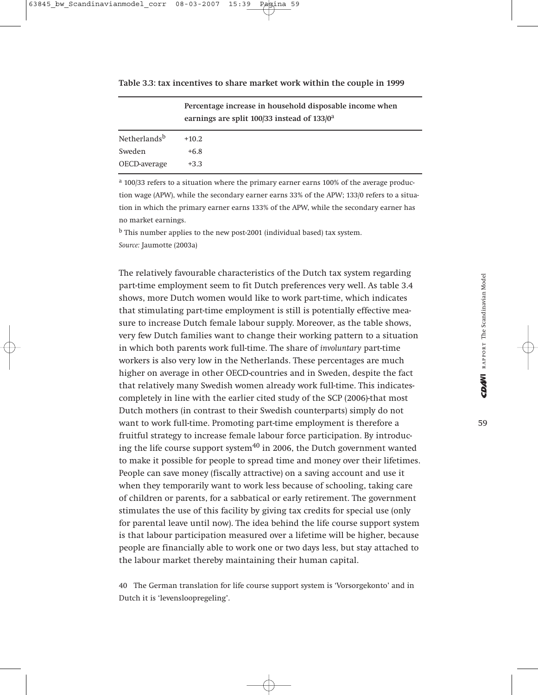| Table 3.3: tax incentives to share market work within the couple in 1999 |  |  |  |  |  |
|--------------------------------------------------------------------------|--|--|--|--|--|
|--------------------------------------------------------------------------|--|--|--|--|--|

|                          | Percentage increase in household disposable income when<br>earnings are split 100/33 instead of 133/0 <sup>a</sup> |  |  |  |
|--------------------------|--------------------------------------------------------------------------------------------------------------------|--|--|--|
| Netherlands <sup>b</sup> | $+10.2$                                                                                                            |  |  |  |
| Sweden                   | $+6.8$                                                                                                             |  |  |  |
| OECD-average             | $+3.3$                                                                                                             |  |  |  |

<sup>a</sup> 100/33 refers to a situation where the primary earner earns 100% of the average production wage (APW), while the secondary earner earns 33% of the APW; 133/0 refers to a situation in which the primary earner earns 133% of the APW, while the secondary earner has no market earnings.

<sup>b</sup> This number applies to the new post-2001 (individual based) tax system. *Source:* Jaumotte (2003a)

The relatively favourable characteristics of the Dutch tax system regarding part-time employment seem to fit Dutch preferences very well. As table 3.4 shows, more Dutch women would like to work part-time, which indicates that stimulating part-time employment is still is potentially effective measure to increase Dutch female labour supply. Moreover, as the table shows, very few Dutch families want to change their working pattern to a situation in which both parents work full-time. The share of *involuntary* part-time workers is also very low in the Netherlands. These percentages are much higher on average in other OECD-countries and in Sweden, despite the fact that relatively many Swedish women already work full-time. This indicatescompletely in line with the earlier cited study of the SCP (2006)-that most Dutch mothers (in contrast to their Swedish counterparts) simply do not want to work full-time. Promoting part-time employment is therefore a fruitful strategy to increase female labour force participation. By introducing the life course support system $40$  in 2006, the Dutch government wanted to make it possible for people to spread time and money over their lifetimes. People can save money (fiscally attractive) on a saving account and use it when they temporarily want to work less because of schooling, taking care of children or parents, for a sabbatical or early retirement. The government stimulates the use of this facility by giving tax credits for special use (only for parental leave until now). The idea behind the life course support system is that labour participation measured over a lifetime will be higher, because people are financially able to work one or two days less, but stay attached to the labour market thereby maintaining their human capital.

40 The German translation for life course support system is 'Vorsorgekonto' and in Dutch it is 'levensloopregeling'.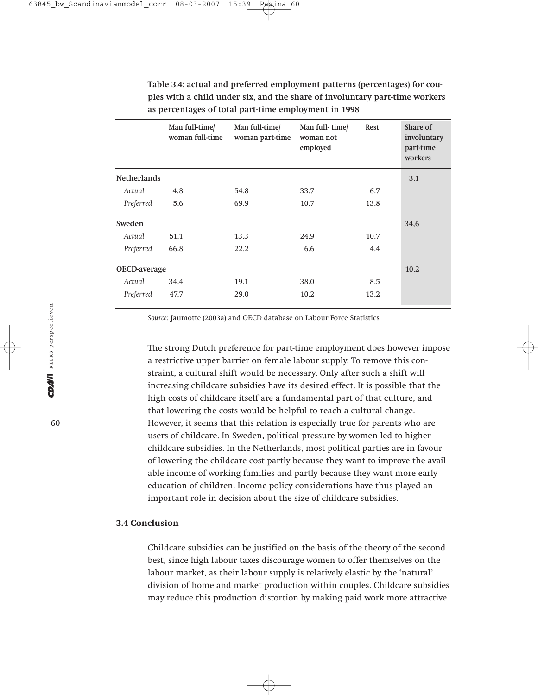|                    | Man full-time<br>woman full-time | Man full-time/<br>woman part-time | Man full-time<br>woman not<br>employed | Rest | Share of<br>involuntary<br>part-time<br>workers |
|--------------------|----------------------------------|-----------------------------------|----------------------------------------|------|-------------------------------------------------|
| <b>Netherlands</b> |                                  |                                   |                                        |      | 3.1                                             |
| Actual             | 4,8                              | 54.8                              | 33.7                                   | 6.7  |                                                 |
| Preferred          | 5.6                              | 69.9                              | 10.7                                   | 13.8 |                                                 |
| Sweden             |                                  |                                   |                                        |      | 34,6                                            |
| Actual             | 51.1                             | 13.3                              | 24.9                                   | 10.7 |                                                 |
| Preferred          | 66.8                             | 22.2                              | 6.6                                    | 4.4  |                                                 |
| OECD-average       |                                  |                                   |                                        |      | 10.2                                            |
| Actual             | 34.4                             | 19.1                              | 38.0                                   | 8.5  |                                                 |
| Preferred          | 47.7                             | 29.0                              | 10.2                                   | 13.2 |                                                 |

**Table 3.4: actual and preferred employment patterns (percentages) for couples with a child under six, and the share of involuntary part-time workers as percentages of total part-time employment in 1998**

*Source:* Jaumotte (2003a) and OECD database on Labour Force Statistics

The strong Dutch preference for part-time employment does however impose a restrictive upper barrier on female labour supply. To remove this constraint, a cultural shift would be necessary. Only after such a shift will increasing childcare subsidies have its desired effect. It is possible that the high costs of childcare itself are a fundamental part of that culture, and that lowering the costs would be helpful to reach a cultural change. However, it seems that this relation is especially true for parents who are users of childcare. In Sweden, political pressure by women led to higher childcare subsidies. In the Netherlands, most political parties are in favour of lowering the childcare cost partly because they want to improve the available income of working families and partly because they want more early education of children. Income policy considerations have thus played an important role in decision about the size of childcare subsidies.

## **3.4 Conclusion**

Childcare subsidies can be justified on the basis of the theory of the second best, since high labour taxes discourage women to offer themselves on the labour market, as their labour supply is relatively elastic by the 'natural' division of home and market production within couples. Childcare subsidies may reduce this production distortion by making paid work more attractive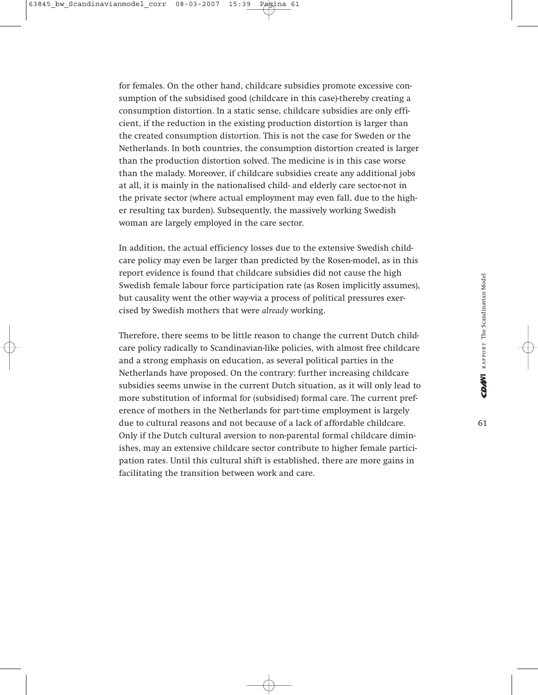for females. On the other hand, childcare subsidies promote excessive consumption of the subsidised good (childcare in this case)-thereby creating a consumption distortion. In a static sense, childcare subsidies are only efficient, if the reduction in the existing production distortion is larger than the created consumption distortion. This is not the case for Sweden or the Netherlands. In both countries, the consumption distortion created is larger than the production distortion solved. The medicine is in this case worse than the malady. Moreover, if childcare subsidies create any additional jobs at all, it is mainly in the nationalised child- and elderly care sector-not in the private sector (where actual employment may even fall, due to the higher resulting tax burden). Subsequently, the massively working Swedish woman are largely employed in the care sector.

In addition, the actual efficiency losses due to the extensive Swedish childcare policy may even be larger than predicted by the Rosen-model, as in this report evidence is found that childcare subsidies did not cause the high Swedish female labour force participation rate (as Rosen implicitly assumes), but causality went the other way-via a process of political pressures exercised by Swedish mothers that were *already* working.

Therefore, there seems to be little reason to change the current Dutch childcare policy radically to Scandinavian-like policies, with almost free childcare and a strong emphasis on education, as several political parties in the Netherlands have proposed. On the contrary: further increasing childcare subsidies seems unwise in the current Dutch situation, as it will only lead to more substitution of informal for (subsidised) formal care. The current preference of mothers in the Netherlands for part-time employment is largely due to cultural reasons and not because of a lack of affordable childcare. Only if the Dutch cultural aversion to non-parental formal childcare diminishes, may an extensive childcare sector contribute to higher female participation rates. Until this cultural shift is established, there are more gains in facilitating the transition between work and care.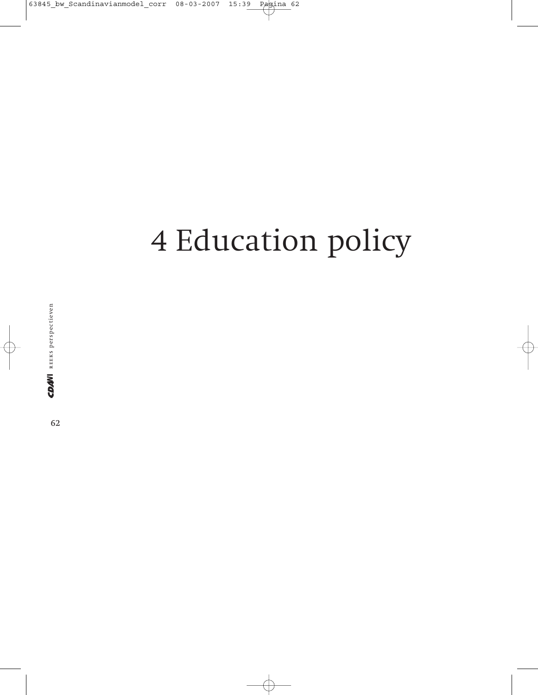# 4 Education policy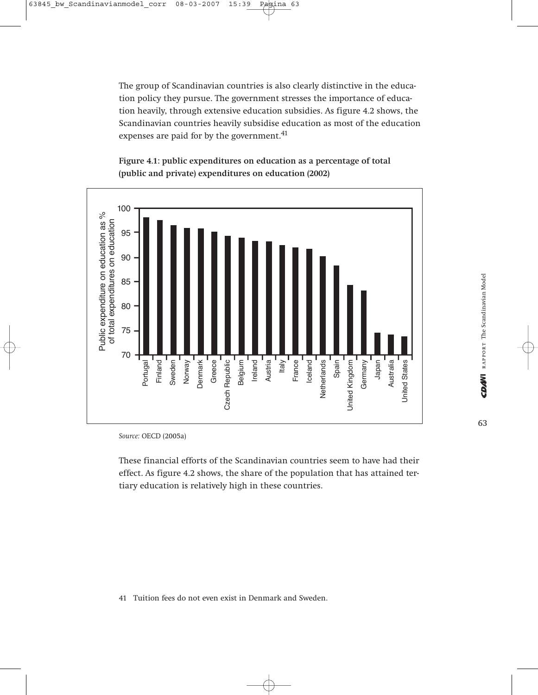The group of Scandinavian countries is also clearly distinctive in the education policy they pursue. The government stresses the importance of education heavily, through extensive education subsidies. As figure 4.2 shows, the Scandinavian countries heavily subsidise education as most of the education expenses are paid for by the government.<sup>41</sup>





*Source:* OECD (2005a)

These financial efforts of the Scandinavian countries seem to have had their effect. As figure 4.2 shows, the share of the population that has attained tertiary education is relatively high in these countries.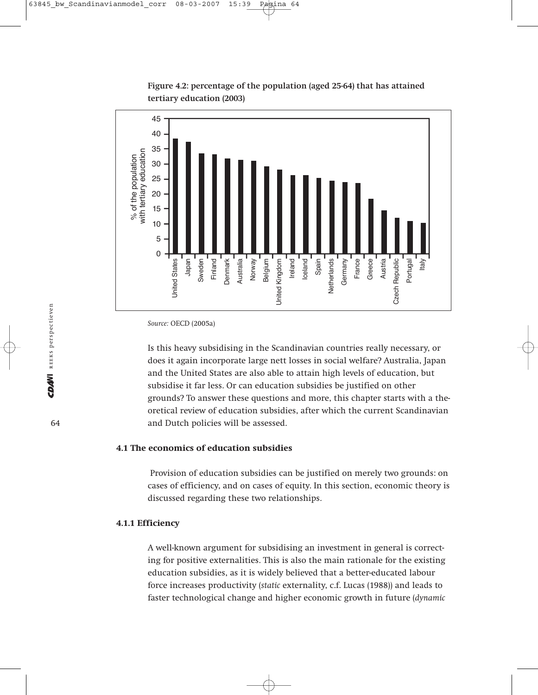



*Source:* OECD (2005a)

Is this heavy subsidising in the Scandinavian countries really necessary, or does it again incorporate large nett losses in social welfare? Australia, Japan and the United States are also able to attain high levels of education, but subsidise it far less. Or can education subsidies be justified on other grounds? To answer these questions and more, this chapter starts with a theoretical review of education subsidies, after which the current Scandinavian and Dutch policies will be assessed.

# **4.1 The economics of education subsidies**

Provision of education subsidies can be justified on merely two grounds: on cases of efficiency, and on cases of equity. In this section, economic theory is discussed regarding these two relationships.

## **4.1.1 Efficiency**

A well-known argument for subsidising an investment in general is correcting for positive externalities. This is also the main rationale for the existing education subsidies, as it is widely believed that a better-educated labour force increases productivity (*static* externality, c.f. Lucas (1988)) and leads to faster technological change and higher economic growth in future (*dynamic*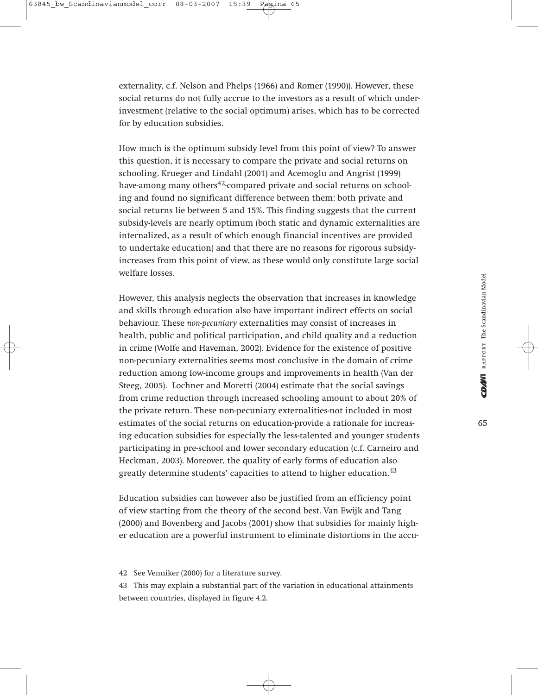externality, c.f. Nelson and Phelps (1966) and Romer (1990)). However, these social returns do not fully accrue to the investors as a result of which underinvestment (relative to the social optimum) arises, which has to be corrected for by education subsidies.

How much is the optimum subsidy level from this point of view? To answer this question, it is necessary to compare the private and social returns on schooling. Krueger and Lindahl (2001) and Acemoglu and Angrist (1999) have-among many others<sup>42</sup>-compared private and social returns on schooling and found no significant difference between them: both private and social returns lie between 5 and 15%. This finding suggests that the current subsidy-levels are nearly optimum (both static and dynamic externalities are internalized, as a result of which enough financial incentives are provided to undertake education) and that there are no reasons for rigorous subsidyincreases from this point of view, as these would only constitute large social welfare losses.

However, this analysis neglects the observation that increases in knowledge and skills through education also have important indirect effects on social behaviour. These *non-pecuniary* externalities may consist of increases in health, public and political participation, and child quality and a reduction in crime (Wolfe and Haveman, 2002). Evidence for the existence of positive non-pecuniary externalities seems most conclusive in the domain of crime reduction among low-income groups and improvements in health (Van der Steeg, 2005). Lochner and Moretti (2004) estimate that the social savings from crime reduction through increased schooling amount to about 20% of the private return. These non-pecuniary externalities-not included in most estimates of the social returns on education-provide a rationale for increasing education subsidies for especially the less-talented and younger students participating in pre-school and lower secondary education (c.f. Carneiro and Heckman, 2003). Moreover, the quality of early forms of education also greatly determine students' capacities to attend to higher education.<sup>43</sup>

Education subsidies can however also be justified from an efficiency point of view starting from the theory of the second best. Van Ewijk and Tang (2000) and Bovenberg and Jacobs (2001) show that subsidies for mainly higher education are a powerful instrument to eliminate distortions in the accu-

42 See Venniker (2000) for a literature survey.

<sup>43</sup> This may explain a substantial part of the variation in educational attainments between countries, displayed in figure 4.2.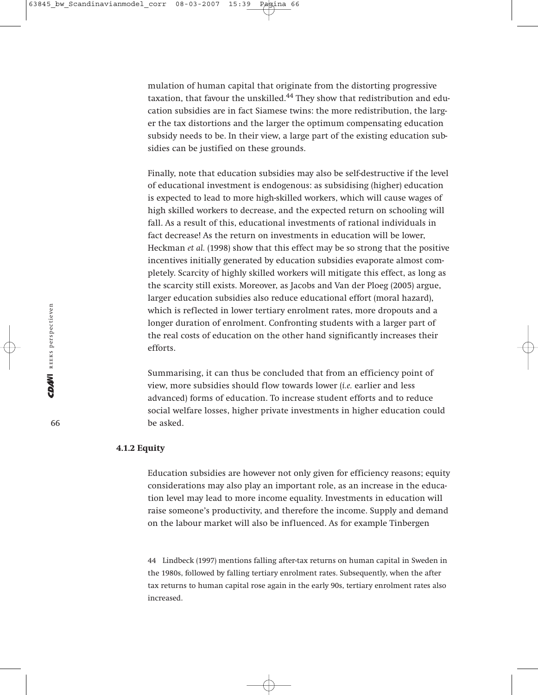mulation of human capital that originate from the distorting progressive taxation, that favour the unskilled.<sup>44</sup> They show that redistribution and education subsidies are in fact Siamese twins: the more redistribution, the larger the tax distortions and the larger the optimum compensating education subsidy needs to be. In their view, a large part of the existing education subsidies can be justified on these grounds.

Finally, note that education subsidies may also be self-destructive if the level of educational investment is endogenous: as subsidising (higher) education is expected to lead to more high-skilled workers, which will cause wages of high skilled workers to decrease, and the expected return on schooling will fall. As a result of this, educational investments of rational individuals in fact decrease! As the return on investments in education will be lower, Heckman *et al.* (1998) show that this effect may be so strong that the positive incentives initially generated by education subsidies evaporate almost completely. Scarcity of highly skilled workers will mitigate this effect, as long as the scarcity still exists. Moreover, as Jacobs and Van der Ploeg (2005) argue, larger education subsidies also reduce educational effort (moral hazard), which is reflected in lower tertiary enrolment rates, more dropouts and a longer duration of enrolment. Confronting students with a larger part of the real costs of education on the other hand significantly increases their efforts.

Summarising, it can thus be concluded that from an efficiency point of view, more subsidies should flow towards lower (*i.e.* earlier and less advanced) forms of education. To increase student efforts and to reduce social welfare losses, higher private investments in higher education could be asked.

# **4.1.2 Equity**

Education subsidies are however not only given for efficiency reasons; equity considerations may also play an important role, as an increase in the education level may lead to more income equality. Investments in education will raise someone's productivity, and therefore the income. Supply and demand on the labour market will also be influenced. As for example Tinbergen

44 Lindbeck (1997) mentions falling after-tax returns on human capital in Sweden in the 1980s, followed by falling tertiary enrolment rates. Subsequently, when the after tax returns to human capital rose again in the early 90s, tertiary enrolment rates also increased.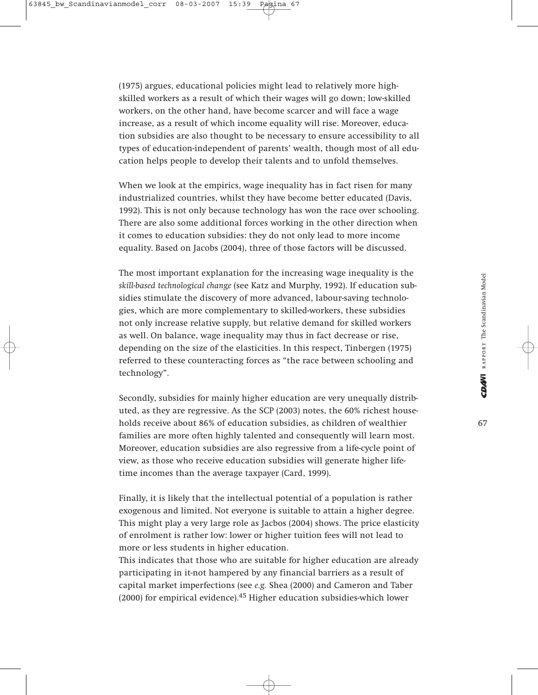(1975) argues, educational policies might lead to relatively more highskilled workers as a result of which their wages will go down; low-skilled workers, on the other hand, have become scarcer and will face a wage increase, as a result of which income equality will rise. Moreover, education subsidies are also thought to be necessary to ensure accessibility to all types of education-independent of parents' wealth, though most of all education helps people to develop their talents and to unfold themselves.

When we look at the empirics, wage inequality has in fact risen for many industrialized countries, whilst they have become better educated (Davis, 1992). This is not only because technology has won the race over schooling. There are also some additional forces working in the other direction when it comes to education subsidies: they do not only lead to more income equality. Based on Jacobs (2004), three of those factors will be discussed.

The most important explanation for the increasing wage inequality is the *skill-based technological change* (see Katz and Murphy, 1992). If education subsidies stimulate the discovery of more advanced, labour-saving technologies, which are more complementary to skilled-workers, these subsidies not only increase relative supply, but relative demand for skilled workers as well. On balance, wage inequality may thus in fact decrease or rise, depending on the size of the elasticities. In this respect, Tinbergen (1975) referred to these counteracting forces as "the race between schooling and technology".

Secondly, subsidies for mainly higher education are very unequally distributed, as they are regressive. As the SCP (2003) notes, the 60% richest households receive about 86% of education subsidies, as children of wealthier families are more often highly talented and consequently will learn most. Moreover, education subsidies are also regressive from a life-cycle point of view, as those who receive education subsidies will generate higher lifetime incomes than the average taxpayer (Card, 1999).

Finally, it is likely that the intellectual potential of a population is rather exogenous and limited. Not everyone is suitable to attain a higher degree. This might play a very large role as Jacbos (2004) shows. The price elasticity of enrolment is rather low: lower or higher tuition fees will not lead to more or less students in higher education.

This indicates that those who are suitable for higher education are already participating in it-not hampered by any financial barriers as a result of capital market imperfections (see *e.g.* Shea (2000) and Cameron and Taber  $(2000)$  for empirical evidence).<sup>45</sup> Higher education subsidies-which lower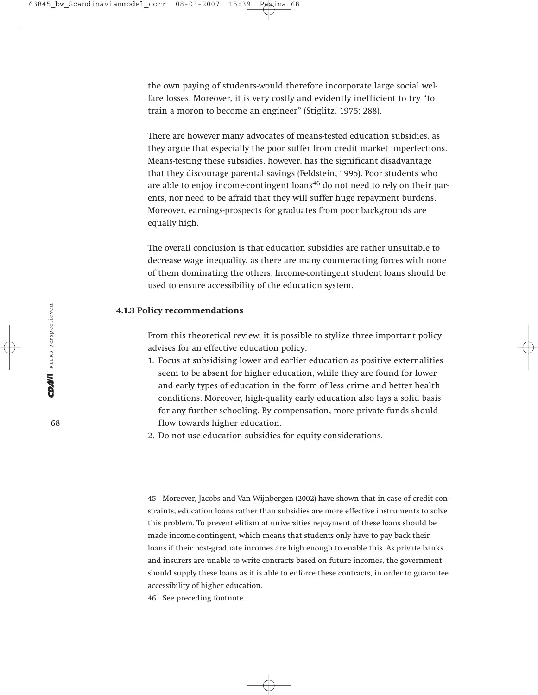the own paying of students-would therefore incorporate large social welfare losses. Moreover, it is very costly and evidently inefficient to try "to train a moron to become an engineer" (Stiglitz, 1975: 288).

There are however many advocates of means-tested education subsidies, as they argue that especially the poor suffer from credit market imperfections. Means-testing these subsidies, however, has the significant disadvantage that they discourage parental savings (Feldstein, 1995). Poor students who are able to enjoy income-contingent loans<sup>46</sup> do not need to rely on their parents, nor need to be afraid that they will suffer huge repayment burdens. Moreover, earnings-prospects for graduates from poor backgrounds are equally high.

The overall conclusion is that education subsidies are rather unsuitable to decrease wage inequality, as there are many counteracting forces with none of them dominating the others. Income-contingent student loans should be used to ensure accessibility of the education system.

# **4.1.3 Policy recommendations**

From this theoretical review, it is possible to stylize three important policy advises for an effective education policy:

- 1. Focus at subsidising lower and earlier education as positive externalities seem to be absent for higher education, while they are found for lower and early types of education in the form of less crime and better health conditions. Moreover, high-quality early education also lays a solid basis for any further schooling. By compensation, more private funds should flow towards higher education.
- 2. Do not use education subsidies for equity-considerations.

45 Moreover, Jacobs and Van Wijnbergen (2002) have shown that in case of credit constraints, education loans rather than subsidies are more effective instruments to solve this problem. To prevent elitism at universities repayment of these loans should be made income-contingent, which means that students only have to pay back their loans if their post-graduate incomes are high enough to enable this. As private banks and insurers are unable to write contracts based on future incomes, the government should supply these loans as it is able to enforce these contracts, in order to guarantee accessibility of higher education.

46 See preceding footnote.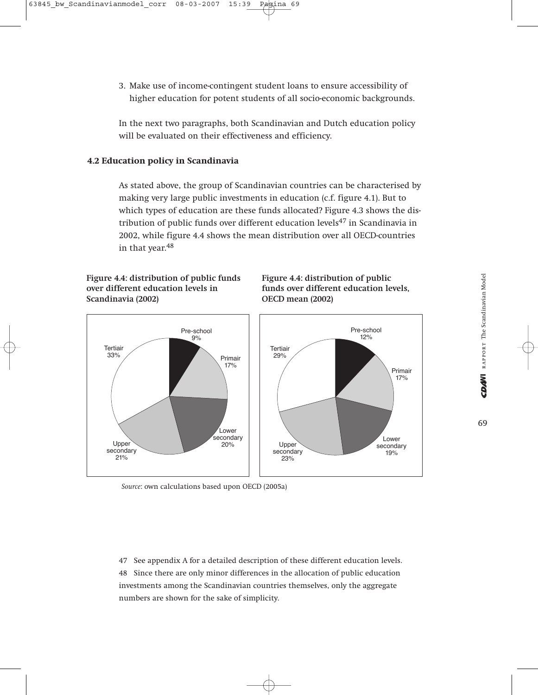3. Make use of income-contingent student loans to ensure accessibility of higher education for potent students of all socio-economic backgrounds.

In the next two paragraphs, both Scandinavian and Dutch education policy will be evaluated on their effectiveness and efficiency.

# **4.2 Education policy in Scandinavia**

As stated above, the group of Scandinavian countries can be characterised by making very large public investments in education (c.f. figure 4.1). But to which types of education are these funds allocated? Figure 4.3 shows the distribution of public funds over different education levels $47$  in Scandinavia in 2002, while figure 4.4 shows the mean distribution over all OECD-countries in that year.<sup>48</sup>

# **Figure 4.4: distribution of public funds over different education levels in Scandinavia (2002)**





*Source*: own calculations based upon OECD (2005a)

47 See appendix A for a detailed description of these different education levels. 48 Since there are only minor differences in the allocation of public education investments among the Scandinavian countries themselves, only the aggregate numbers are shown for the sake of simplicity.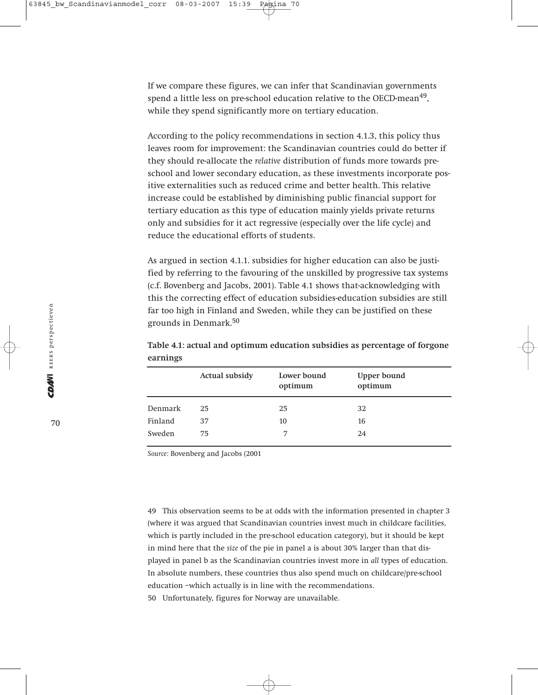If we compare these figures, we can infer that Scandinavian governments spend a little less on pre-school education relative to the OECD-mean<sup>49</sup>, while they spend significantly more on tertiary education.

According to the policy recommendations in section 4.1.3, this policy thus leaves room for improvement: the Scandinavian countries could do better if they should re-allocate the *relative* distribution of funds more towards preschool and lower secondary education, as these investments incorporate positive externalities such as reduced crime and better health. This relative increase could be established by diminishing public financial support for tertiary education as this type of education mainly yields private returns only and subsidies for it act regressive (especially over the life cycle) and reduce the educational efforts of students.

As argued in section 4.1.1. subsidies for higher education can also be justified by referring to the favouring of the unskilled by progressive tax systems (c.f. Bovenberg and Jacobs, 2001). Table 4.1 shows that-acknowledging with this the correcting effect of education subsidies-education subsidies are still far too high in Finland and Sweden, while they can be justified on these grounds in Denmark.<sup>50</sup>

|         | Actual subsidy | Lower bound<br>optimum | Upper bound<br>optimum |
|---------|----------------|------------------------|------------------------|
| Denmark | 25             | 25                     | 32                     |
| Finland | 37             | 10                     | 16                     |
| Sweden  | 75             | 7                      | 24                     |

**Table 4.1: actual and optimum education subsidies as percentage of forgone earnings**

*Source:* Bovenberg and Jacobs (2001

49 This observation seems to be at odds with the information presented in chapter 3 (where it was argued that Scandinavian countries invest much in childcare facilities, which is partly included in the pre-school education category), but it should be kept in mind here that the *size* of the pie in panel a is about 30% larger than that displayed in panel b as the Scandinavian countries invest more in *all* types of education. In absolute numbers, these countries thus also spend much on childcare/pre-school education –which actually is in line with the recommendations. 50 Unfortunately, figures for Norway are unavailable.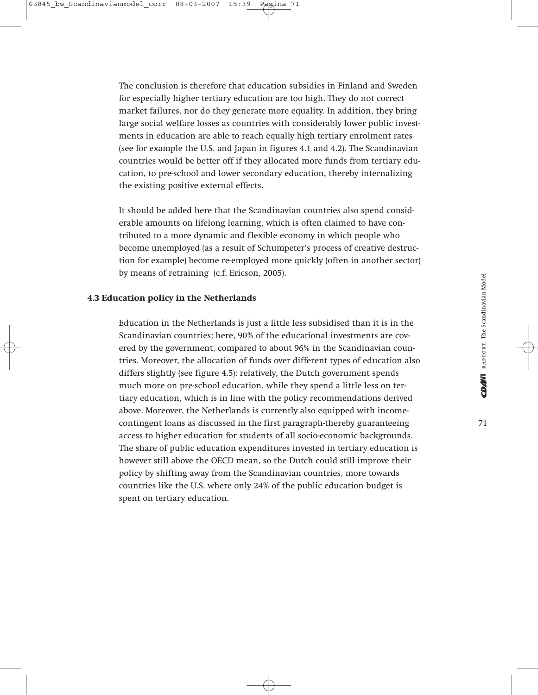The conclusion is therefore that education subsidies in Finland and Sweden for especially higher tertiary education are too high. They do not correct market failures, nor do they generate more equality. In addition, they bring large social welfare losses as countries with considerably lower public investments in education are able to reach equally high tertiary enrolment rates (see for example the U.S. and Japan in figures 4.1 and 4.2). The Scandinavian countries would be better off if they allocated more funds from tertiary education, to pre-school and lower secondary education, thereby internalizing the existing positive external effects.

It should be added here that the Scandinavian countries also spend considerable amounts on lifelong learning, which is often claimed to have contributed to a more dynamic and flexible economy in which people who become unemployed (as a result of Schumpeter's process of creative destruction for example) become re-employed more quickly (often in another sector) by means of retraining (c.f. Ericson, 2005).

# **4.3 Education policy in the Netherlands**

Education in the Netherlands is just a little less subsidised than it is in the Scandinavian countries: here, 90% of the educational investments are covered by the government, compared to about 96% in the Scandinavian countries. Moreover, the allocation of funds over different types of education also differs slightly (see figure 4.5): relatively, the Dutch government spends much more on pre-school education, while they spend a little less on tertiary education, which is in line with the policy recommendations derived above. Moreover, the Netherlands is currently also equipped with incomecontingent loans as discussed in the first paragraph-thereby guaranteeing access to higher education for students of all socio-economic backgrounds. The share of public education expenditures invested in tertiary education is however still above the OECD mean, so the Dutch could still improve their policy by shifting away from the Scandinavian countries, more towards countries like the U.S. where only 24% of the public education budget is spent on tertiary education.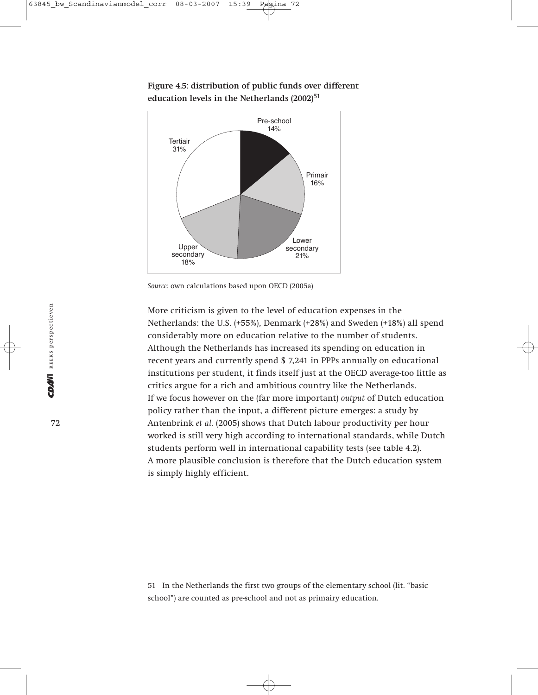



More criticism is given to the level of education expenses in the Netherlands: the U.S. (+55%), Denmark (+28%) and Sweden (+18%) all spend considerably more on education relative to the number of students. Although the Netherlands has increased its spending on education in recent years and currently spend \$ 7,241 in PPPs annually on educational institutions per student, it finds itself just at the OECD average-too little as critics argue for a rich and ambitious country like the Netherlands. If we focus however on the (far more important) *output* of Dutch education policy rather than the input, a different picture emerges: a study by Antenbrink *et al.* (2005) shows that Dutch labour productivity per hour worked is still very high according to international standards, while Dutch students perform well in international capability tests (see table 4.2). A more plausible conclusion is therefore that the Dutch education system is simply highly efficient.

51 In the Netherlands the first two groups of the elementary school (lit. "basic school") are counted as pre-school and not as primairy education.

*Source:* own calculations based upon OECD (2005a)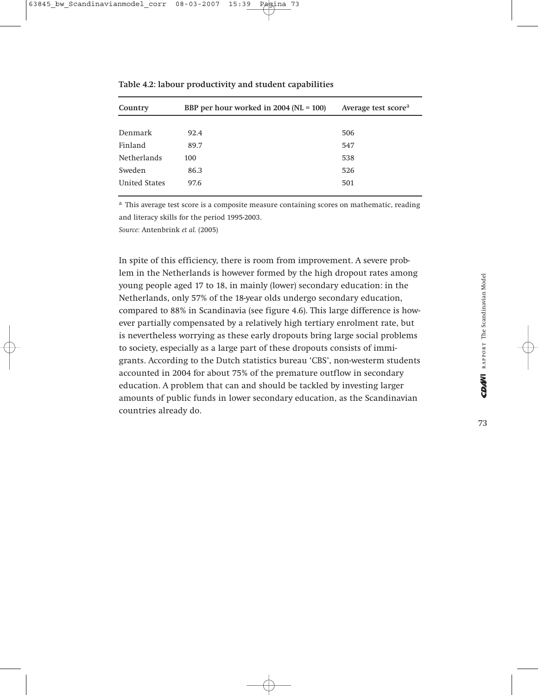| Country              | BBP per hour worked in $2004$ (NL = 100) | Average test score <sup>a</sup> |
|----------------------|------------------------------------------|---------------------------------|
|                      |                                          |                                 |
| Denmark              | 92.4                                     | 506                             |
| Finland              | 89.7                                     | 547                             |
| <b>Netherlands</b>   | 100                                      | 538                             |
| Sweden               | 86.3                                     | 526                             |
| <b>United States</b> | 97.6                                     | 501                             |

**Table 4.2: labour productivity and student capabilities**

a This average test score is a composite measure containing scores on mathematic, reading and literacy skills for the period 1995-2003.

*Source:* Antenbrink *et al.* (2005)

In spite of this efficiency, there is room from improvement. A severe problem in the Netherlands is however formed by the high dropout rates among young people aged 17 to 18, in mainly (lower) secondary education: in the Netherlands, only 57% of the 18-year olds undergo secondary education, compared to 88% in Scandinavia (see figure 4.6). This large difference is however partially compensated by a relatively high tertiary enrolment rate, but is nevertheless worrying as these early dropouts bring large social problems to society, especially as a large part of these dropouts consists of immigrants. According to the Dutch statistics bureau 'CBS', non-westerm students accounted in 2004 for about 75% of the premature outflow in secondary education. A problem that can and should be tackled by investing larger amounts of public funds in lower secondary education, as the Scandinavian countries already do.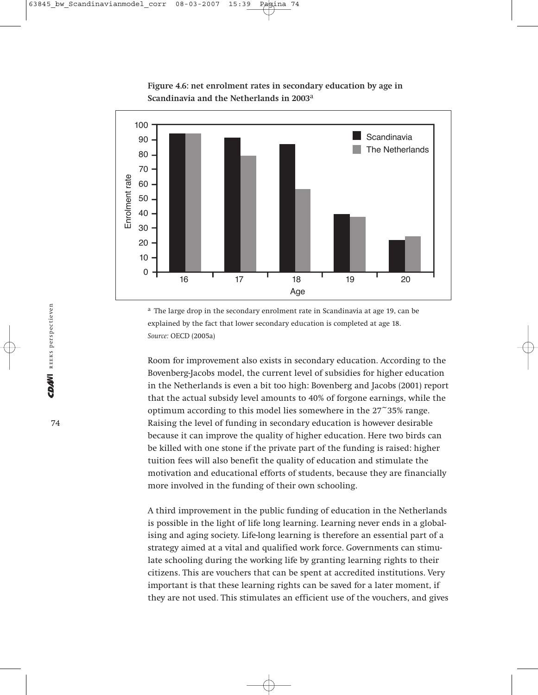

**Figure 4.6: net enrolment rates in secondary education by age in Scandinavia and the Netherlands in 2003**<sup>a</sup>

<sup>a</sup> The large drop in the secondary enrolment rate in Scandinavia at age 19, can be explained by the fact that lower secondary education is completed at age 18. *Source:* OECD (2005a)

Room for improvement also exists in secondary education. According to the Bovenberg-Jacobs model, the current level of subsidies for higher education in the Netherlands is even a bit too high: Bovenberg and Jacobs (2001) report that the actual subsidy level amounts to 40% of forgone earnings, while the optimum according to this model lies somewhere in the 27~35% range. Raising the level of funding in secondary education is however desirable because it can improve the quality of higher education. Here two birds can be killed with one stone if the private part of the funding is raised: higher tuition fees will also benefit the quality of education and stimulate the motivation and educational efforts of students, because they are financially more involved in the funding of their own schooling.

A third improvement in the public funding of education in the Netherlands is possible in the light of life long learning. Learning never ends in a globalising and aging society. Life-long learning is therefore an essential part of a strategy aimed at a vital and qualified work force. Governments can stimulate schooling during the working life by granting learning rights to their citizens. This are vouchers that can be spent at accredited institutions. Very important is that these learning rights can be saved for a later moment, if they are not used. This stimulates an efficient use of the vouchers, and gives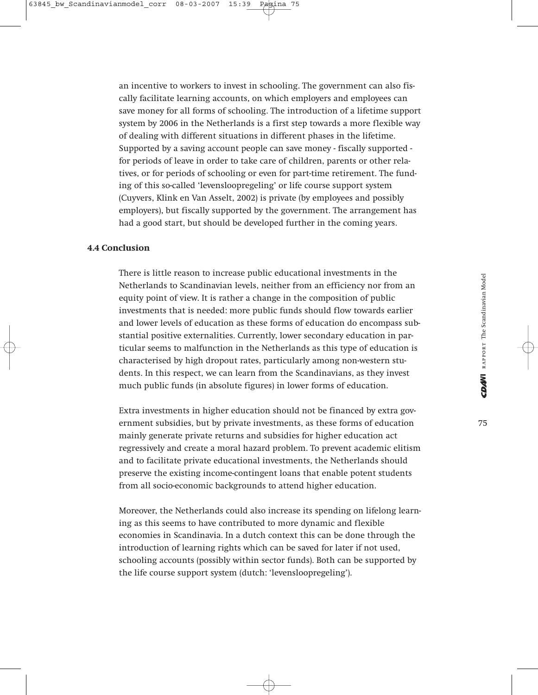an incentive to workers to invest in schooling. The government can also fiscally facilitate learning accounts, on which employers and employees can save money for all forms of schooling. The introduction of a lifetime support system by 2006 in the Netherlands is a first step towards a more flexible way of dealing with different situations in different phases in the lifetime. Supported by a saving account people can save money - fiscally supported for periods of leave in order to take care of children, parents or other relatives, or for periods of schooling or even for part-time retirement. The funding of this so-called 'levensloopregeling' or life course support system (Cuyvers, Klink en Van Asselt, 2002) is private (by employees and possibly employers), but fiscally supported by the government. The arrangement has had a good start, but should be developed further in the coming years.

#### **4.4 Conclusion**

There is little reason to increase public educational investments in the Netherlands to Scandinavian levels, neither from an efficiency nor from an equity point of view. It is rather a change in the composition of public investments that is needed: more public funds should flow towards earlier and lower levels of education as these forms of education do encompass substantial positive externalities. Currently, lower secondary education in particular seems to malfunction in the Netherlands as this type of education is characterised by high dropout rates, particularly among non-western students. In this respect, we can learn from the Scandinavians, as they invest much public funds (in absolute figures) in lower forms of education.

Extra investments in higher education should not be financed by extra government subsidies, but by private investments, as these forms of education mainly generate private returns and subsidies for higher education act regressively and create a moral hazard problem. To prevent academic elitism and to facilitate private educational investments, the Netherlands should preserve the existing income-contingent loans that enable potent students from all socio-economic backgrounds to attend higher education.

Moreover, the Netherlands could also increase its spending on lifelong learning as this seems to have contributed to more dynamic and flexible economies in Scandinavia. In a dutch context this can be done through the introduction of learning rights which can be saved for later if not used, schooling accounts (possibly within sector funds). Both can be supported by the life course support system (dutch: 'levensloopregeling').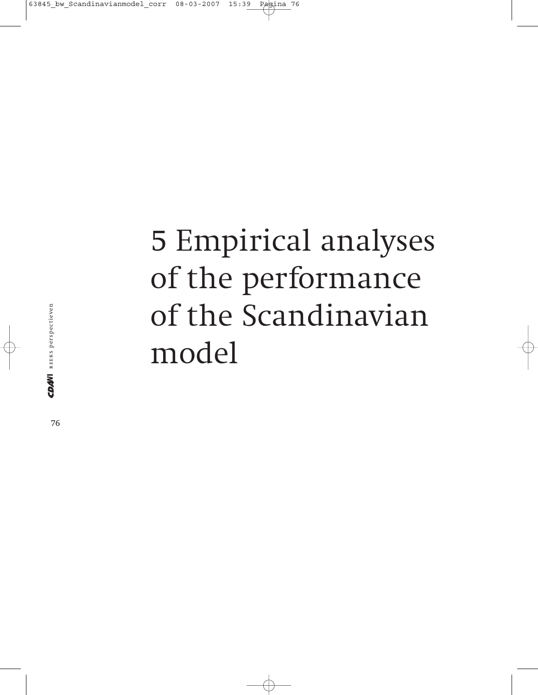## 5 Empirical analyses of the performance of the Scandinavian model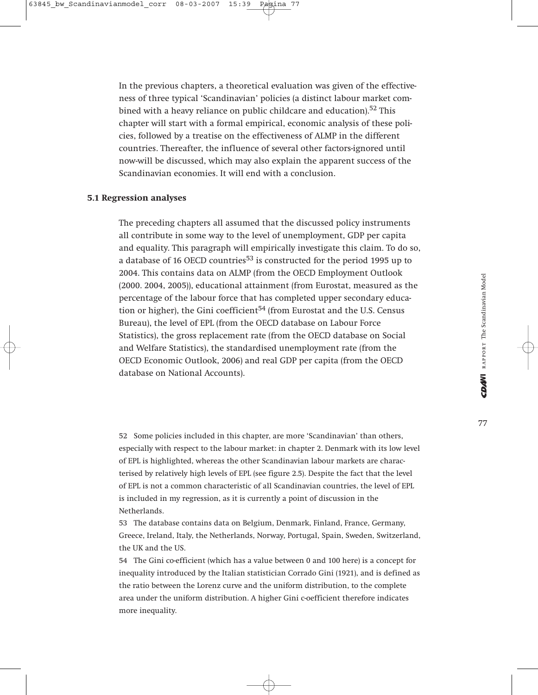In the previous chapters, a theoretical evaluation was given of the effectiveness of three typical 'Scandinavian' policies (a distinct labour market combined with a heavy reliance on public childcare and education).<sup>52</sup> This chapter will start with a formal empirical, economic analysis of these policies, followed by a treatise on the effectiveness of ALMP in the different countries. Thereafter, the influence of several other factors-ignored until now-will be discussed, which may also explain the apparent success of the Scandinavian economies. It will end with a conclusion.

#### **5.1 Regression analyses**

The preceding chapters all assumed that the discussed policy instruments all contribute in some way to the level of unemployment, GDP per capita and equality. This paragraph will empirically investigate this claim. To do so, a database of 16 OECD countries<sup>53</sup> is constructed for the period 1995 up to 2004. This contains data on ALMP (from the OECD Employment Outlook (2000. 2004, 2005)), educational attainment (from Eurostat, measured as the percentage of the labour force that has completed upper secondary education or higher), the Gini coefficient<sup>54</sup> (from Eurostat and the U.S. Census Bureau), the level of EPL (from the OECD database on Labour Force Statistics), the gross replacement rate (from the OECD database on Social and Welfare Statistics), the standardised unemployment rate (from the OECD Economic Outlook, 2006) and real GDP per capita (from the OECD database on National Accounts).

52 Some policies included in this chapter, are more 'Scandinavian' than others, especially with respect to the labour market: in chapter 2. Denmark with its low level of EPL is highlighted, whereas the other Scandinavian labour markets are characterised by relatively high levels of EPL (see figure 2.5). Despite the fact that the level of EPL is not a common characteristic of all Scandinavian countries, the level of EPL is included in my regression, as it is currently a point of discussion in the Netherlands.

53 The database contains data on Belgium, Denmark, Finland, France, Germany, Greece, Ireland, Italy, the Netherlands, Norway, Portugal, Spain, Sweden, Switzerland, the UK and the US.

54 The Gini co-efficient (which has a value between 0 and 100 here) is a concept for inequality introduced by the Italian statistician Corrado Gini (1921), and is defined as the ratio between the Lorenz curve and the uniform distribution, to the complete area under the uniform distribution. A higher Gini c-oefficient therefore indicates more inequality.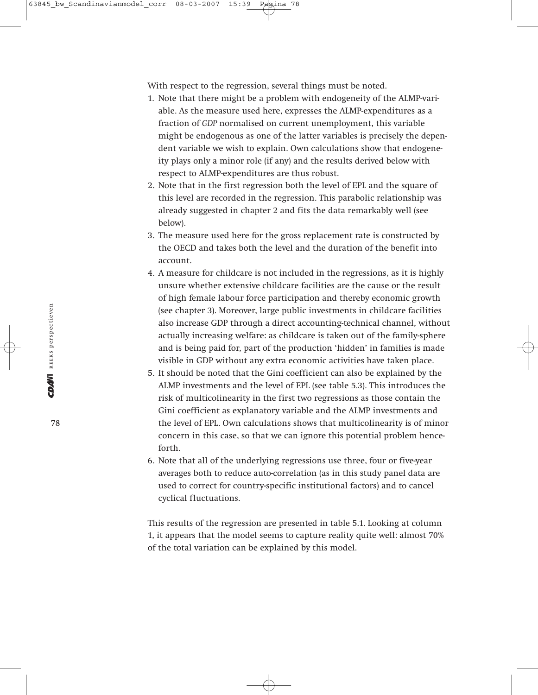With respect to the regression, several things must be noted.

- 1. Note that there might be a problem with endogeneity of the ALMP-variable. As the measure used here, expresses the ALMP-expenditures as a fraction of *GDP* normalised on current unemployment, this variable might be endogenous as one of the latter variables is precisely the dependent variable we wish to explain. Own calculations show that endogeneity plays only a minor role (if any) and the results derived below with respect to ALMP-expenditures are thus robust.
- 2. Note that in the first regression both the level of EPL and the square of this level are recorded in the regression. This parabolic relationship was already suggested in chapter 2 and fits the data remarkably well (see below).
- 3. The measure used here for the gross replacement rate is constructed by the OECD and takes both the level and the duration of the benefit into account.
- 4. A measure for childcare is not included in the regressions, as it is highly unsure whether extensive childcare facilities are the cause or the result of high female labour force participation and thereby economic growth (see chapter 3). Moreover, large public investments in childcare facilities also increase GDP through a direct accounting-technical channel, without actually increasing welfare: as childcare is taken out of the family-sphere and is being paid for, part of the production 'hidden' in families is made visible in GDP without any extra economic activities have taken place.
- 5. It should be noted that the Gini coefficient can also be explained by the ALMP investments and the level of EPL (see table 5.3). This introduces the risk of multicolinearity in the first two regressions as those contain the Gini coefficient as explanatory variable and the ALMP investments and the level of EPL. Own calculations shows that multicolinearity is of minor concern in this case, so that we can ignore this potential problem henceforth.
- 6. Note that all of the underlying regressions use three, four or five-year averages both to reduce auto-correlation (as in this study panel data are used to correct for country-specific institutional factors) and to cancel cyclical fluctuations.

This results of the regression are presented in table 5.1. Looking at column 1, it appears that the model seems to capture reality quite well: almost 70% of the total variation can be explained by this model.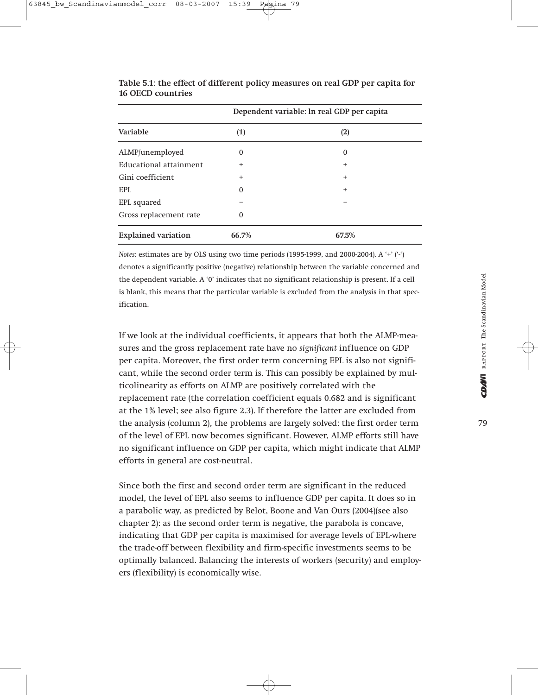| Dependent variable: In real GDP per capita |           |           |
|--------------------------------------------|-----------|-----------|
| Variable                                   | (1)       | (2)       |
| ALMP/unemployed                            | 0         | $\Omega$  |
| Educational attainment                     | $\ddot{}$ | $\ddot{}$ |
| Gini coefficient                           | $\ddot{}$ | $\ddot{}$ |
| EPL                                        | 0         | $\ddot{}$ |
| EPL squared                                |           |           |
| Gross replacement rate                     | 0         |           |
| <b>Explained variation</b>                 | 66.7%     | 67.5%     |

**Table 5.1: the effect of different policy measures on real GDP per capita for 16 OECD countries**

*Notes:* estimates are by OLS using two time periods (1995-1999, and 2000-2004). A '+' ('-') denotes a significantly positive (negative) relationship between the variable concerned and the dependent variable. A '0' indicates that no significant relationship is present. If a cell is blank, this means that the particular variable is excluded from the analysis in that specification.

If we look at the individual coefficients, it appears that both the ALMP-measures and the gross replacement rate have no *significant* influence on GDP per capita. Moreover, the first order term concerning EPL is also not significant, while the second order term is. This can possibly be explained by multicolinearity as efforts on ALMP are positively correlated with the replacement rate (the correlation coefficient equals 0.682 and is significant at the 1% level; see also figure 2.3). If therefore the latter are excluded from the analysis (column 2), the problems are largely solved: the first order term of the level of EPL now becomes significant. However, ALMP efforts still have no significant influence on GDP per capita, which might indicate that ALMP efforts in general are cost-neutral.

Since both the first and second order term are significant in the reduced model, the level of EPL also seems to influence GDP per capita. It does so in a parabolic way, as predicted by Belot, Boone and Van Ours (2004)(see also chapter 2): as the second order term is negative, the parabola is concave, indicating that GDP per capita is maximised for average levels of EPL-where the trade-off between flexibility and firm-specific investments seems to be optimally balanced. Balancing the interests of workers (security) and employers (flexibility) is economically wise.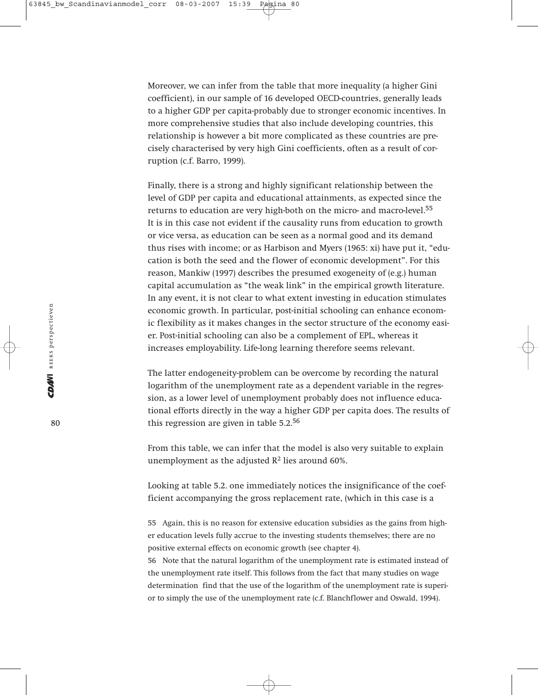Moreover, we can infer from the table that more inequality (a higher Gini coefficient), in our sample of 16 developed OECD-countries, generally leads to a higher GDP per capita-probably due to stronger economic incentives. In more comprehensive studies that also include developing countries, this relationship is however a bit more complicated as these countries are precisely characterised by very high Gini coefficients, often as a result of corruption (c.f. Barro, 1999).

Finally, there is a strong and highly significant relationship between the level of GDP per capita and educational attainments, as expected since the returns to education are very high-both on the micro- and macro-level.<sup>55</sup> It is in this case not evident if the causality runs from education to growth or vice versa, as education can be seen as a normal good and its demand thus rises with income; or as Harbison and Myers (1965: xi) have put it, "education is both the seed and the flower of economic development". For this reason, Mankiw (1997) describes the presumed exogeneity of (e.g.) human capital accumulation as "the weak link" in the empirical growth literature. In any event, it is not clear to what extent investing in education stimulates economic growth. In particular, post-initial schooling can enhance economic flexibility as it makes changes in the sector structure of the economy easier. Post-initial schooling can also be a complement of EPL, whereas it increases employability. Life-long learning therefore seems relevant.

The latter endogeneity-problem can be overcome by recording the natural logarithm of the unemployment rate as a dependent variable in the regression, as a lower level of unemployment probably does not influence educational efforts directly in the way a higher GDP per capita does. The results of this regression are given in table 5.2.56

From this table, we can infer that the model is also very suitable to explain unemployment as the adjusted  $\mathbb{R}^2$  lies around 60%.

Looking at table 5.2. one immediately notices the insignificance of the coefficient accompanying the gross replacement rate, (which in this case is a

55 Again, this is no reason for extensive education subsidies as the gains from higher education levels fully accrue to the investing students themselves; there are no positive external effects on economic growth (see chapter 4).

56 Note that the natural logarithm of the unemployment rate is estimated instead of the unemployment rate itself. This follows from the fact that many studies on wage determination find that the use of the logarithm of the unemployment rate is superior to simply the use of the unemployment rate (c.f. Blanchflower and Oswald, 1994).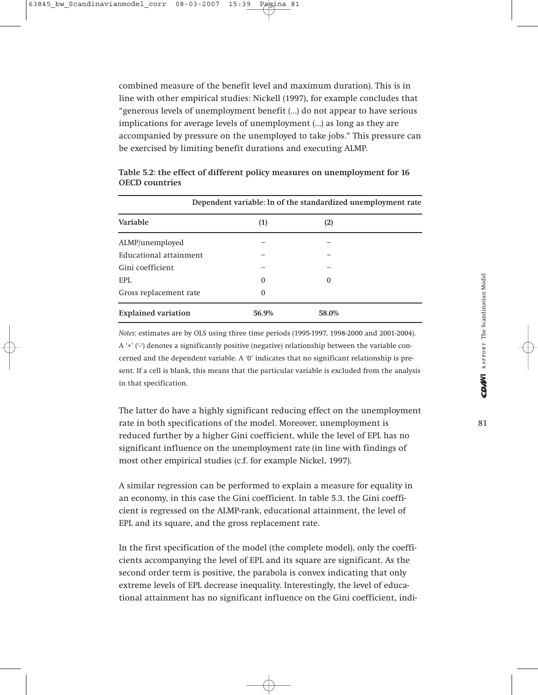combined measure of the benefit level and maximum duration). This is in line with other empirical studies: Nickell (1997), for example concludes that "generous levels of unemployment benefit (…) do not appear to have serious implications for average levels of unemployment (…) as long as they are accompanied by pressure on the unemployed to take jobs." This pressure can be exercised by limiting benefit durations and executing ALMP.

| Dependent variable: ln of the standardized unemployment rate |          |          |  |
|--------------------------------------------------------------|----------|----------|--|
| Variable                                                     | (1)      | (2)      |  |
| ALMP/unemployed                                              |          |          |  |
| Educational attainment                                       |          |          |  |
| Gini coefficient                                             |          |          |  |
| EPL                                                          | $\Omega$ | $\Omega$ |  |
| Gross replacement rate                                       | $\Omega$ |          |  |
| <b>Explained variation</b>                                   | 56.9%    | 58.0%    |  |

| Table 5.2: the effect of different policy measures on unemployment for 16 |  |
|---------------------------------------------------------------------------|--|
| <b>OECD</b> countries                                                     |  |

*Notes:* estimates are by OLS using three time periods (1995-1997, 1998-2000 and 2001-2004). A '+' ('-') denotes a significantly positive (negative) relationship between the variable concerned and the dependent variable. A '0' indicates that no significant relationship is present. If a cell is blank, this means that the particular variable is excluded from the analysis in that specification.

The latter do have a highly significant reducing effect on the unemployment rate in both specifications of the model. Moreover, unemployment is reduced further by a higher Gini coefficient, while the level of EPL has no significant influence on the unemployment rate (in line with findings of most other empirical studies (c.f. for example Nickel, 1997).

A similar regression can be performed to explain a measure for equality in an economy, in this case the Gini coefficient. In table 5.3. the Gini coefficient is regressed on the ALMP-rank, educational attainment, the level of EPL and its square, and the gross replacement rate.

In the first specification of the model (the complete model), only the coefficients accompanying the level of EPL and its square are significant. As the second order term is positive, the parabola is convex indicating that only extreme levels of EPL decrease inequality. Interestingly, the level of educational attainment has no significant influence on the Gini coefficient, indi-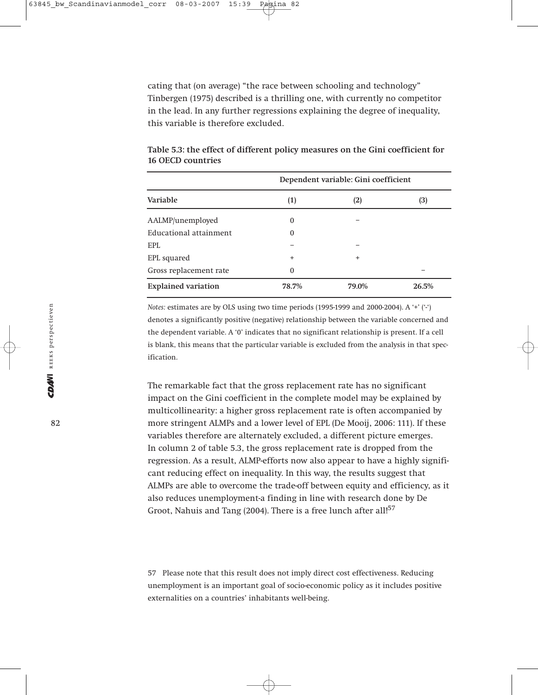cating that (on average) "the race between schooling and technology" Tinbergen (1975) described is a thrilling one, with currently no competitor in the lead. In any further regressions explaining the degree of inequality, this variable is therefore excluded.

| Dependent variable: Gini coefficient |           |           |       |
|--------------------------------------|-----------|-----------|-------|
| Variable                             | (1)       | (2)       | (3)   |
| AALMP/unemployed                     | $\Omega$  |           |       |
| Educational attainment               | 0         |           |       |
| EPL                                  |           |           |       |
| EPL squared                          | $\ddot{}$ | $\ddot{}$ |       |
| Gross replacement rate               | $\Omega$  |           |       |
| <b>Explained variation</b>           | 78.7%     | 79.0%     | 26.5% |

**Table 5.3: the effect of different policy measures on the Gini coefficient for 16 OECD countries**

*Notes:* estimates are by OLS using two time periods (1995-1999 and 2000-2004). A '+' ('-') denotes a significantly positive (negative) relationship between the variable concerned and the dependent variable. A '0' indicates that no significant relationship is present. If a cell is blank, this means that the particular variable is excluded from the analysis in that specification.

The remarkable fact that the gross replacement rate has no significant impact on the Gini coefficient in the complete model may be explained by multicollinearity: a higher gross replacement rate is often accompanied by more stringent ALMPs and a lower level of EPL (De Mooij, 2006: 111). If these variables therefore are alternately excluded, a different picture emerges. In column 2 of table 5.3, the gross replacement rate is dropped from the regression. As a result, ALMP-efforts now also appear to have a highly significant reducing effect on inequality. In this way, the results suggest that ALMPs are able to overcome the trade-off between equity and efficiency, as it also reduces unemployment-a finding in line with research done by De Groot, Nahuis and Tang (2004). There is a free lunch after all!<sup>57</sup>

57 Please note that this result does not imply direct cost effectiveness. Reducing unemployment is an important goal of socio-economic policy as it includes positive externalities on a countries' inhabitants well-being.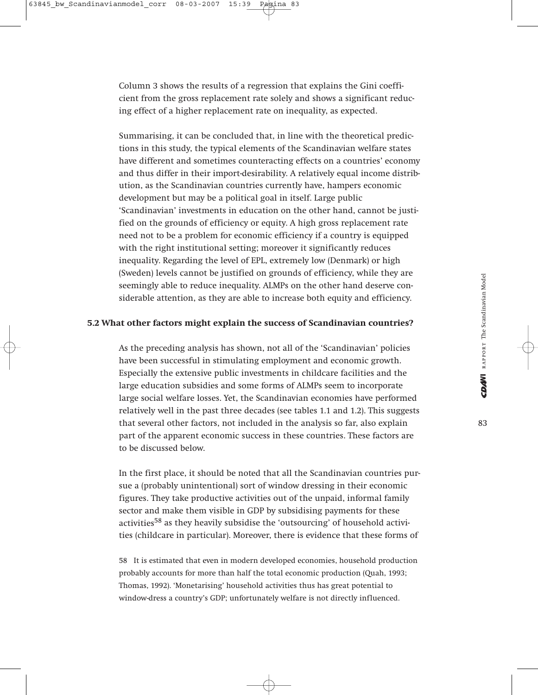Column 3 shows the results of a regression that explains the Gini coefficient from the gross replacement rate solely and shows a significant reducing effect of a higher replacement rate on inequality, as expected.

Summarising, it can be concluded that, in line with the theoretical predictions in this study, the typical elements of the Scandinavian welfare states have different and sometimes counteracting effects on a countries' economy and thus differ in their import-desirability. A relatively equal income distribution, as the Scandinavian countries currently have, hampers economic development but may be a political goal in itself. Large public 'Scandinavian' investments in education on the other hand, cannot be justified on the grounds of efficiency or equity. A high gross replacement rate need not to be a problem for economic efficiency if a country is equipped with the right institutional setting; moreover it significantly reduces inequality. Regarding the level of EPL, extremely low (Denmark) or high (Sweden) levels cannot be justified on grounds of efficiency, while they are seemingly able to reduce inequality. ALMPs on the other hand deserve considerable attention, as they are able to increase both equity and efficiency.

#### **5.2 What other factors might explain the success of Scandinavian countries?**

As the preceding analysis has shown, not all of the 'Scandinavian' policies have been successful in stimulating employment and economic growth. Especially the extensive public investments in childcare facilities and the large education subsidies and some forms of ALMPs seem to incorporate large social welfare losses. Yet, the Scandinavian economies have performed relatively well in the past three decades (see tables 1.1 and 1.2). This suggests that several other factors, not included in the analysis so far, also explain part of the apparent economic success in these countries. These factors are to be discussed below.

In the first place, it should be noted that all the Scandinavian countries pursue a (probably unintentional) sort of window dressing in their economic figures. They take productive activities out of the unpaid, informal family sector and make them visible in GDP by subsidising payments for these activities<sup>58</sup> as they heavily subsidise the 'outsourcing' of household activities (childcare in particular). Moreover, there is evidence that these forms of

58 It is estimated that even in modern developed economies, household production probably accounts for more than half the total economic production (Quah, 1993; Thomas, 1992). 'Monetarising' household activities thus has great potential to window-dress a country's GDP; unfortunately welfare is not directly influenced.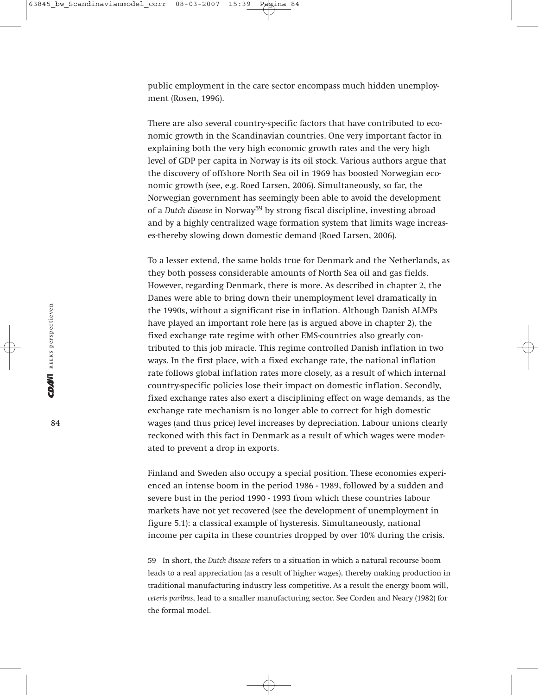public employment in the care sector encompass much hidden unemployment (Rosen, 1996).

There are also several country-specific factors that have contributed to economic growth in the Scandinavian countries. One very important factor in explaining both the very high economic growth rates and the very high level of GDP per capita in Norway is its oil stock. Various authors argue that the discovery of offshore North Sea oil in 1969 has boosted Norwegian economic growth (see, e.g. Roed Larsen, 2006). Simultaneously, so far, the Norwegian government has seemingly been able to avoid the development of a *Dutch disease* in Norway<sup>59</sup> by strong fiscal discipline, investing abroad and by a highly centralized wage formation system that limits wage increases-thereby slowing down domestic demand (Roed Larsen, 2006).

To a lesser extend, the same holds true for Denmark and the Netherlands, as they both possess considerable amounts of North Sea oil and gas fields. However, regarding Denmark, there is more. As described in chapter 2, the Danes were able to bring down their unemployment level dramatically in the 1990s, without a significant rise in inflation. Although Danish ALMPs have played an important role here (as is argued above in chapter 2), the fixed exchange rate regime with other EMS-countries also greatly contributed to this job miracle. This regime controlled Danish inflation in two ways. In the first place, with a fixed exchange rate, the national inflation rate follows global inflation rates more closely, as a result of which internal country-specific policies lose their impact on domestic inflation. Secondly, fixed exchange rates also exert a disciplining effect on wage demands, as the exchange rate mechanism is no longer able to correct for high domestic wages (and thus price) level increases by depreciation. Labour unions clearly reckoned with this fact in Denmark as a result of which wages were moderated to prevent a drop in exports.

Finland and Sweden also occupy a special position. These economies experienced an intense boom in the period 1986 - 1989, followed by a sudden and severe bust in the period 1990 - 1993 from which these countries labour markets have not yet recovered (see the development of unemployment in figure 5.1): a classical example of hysteresis. Simultaneously, national income per capita in these countries dropped by over 10% during the crisis.

59 In short, the *Dutch disease* refers to a situation in which a natural recourse boom leads to a real appreciation (as a result of higher wages), thereby making production in traditional manufacturing industry less competitive. As a result the energy boom will, *ceteris paribus*, lead to a smaller manufacturing sector. See Corden and Neary (1982) for the formal model.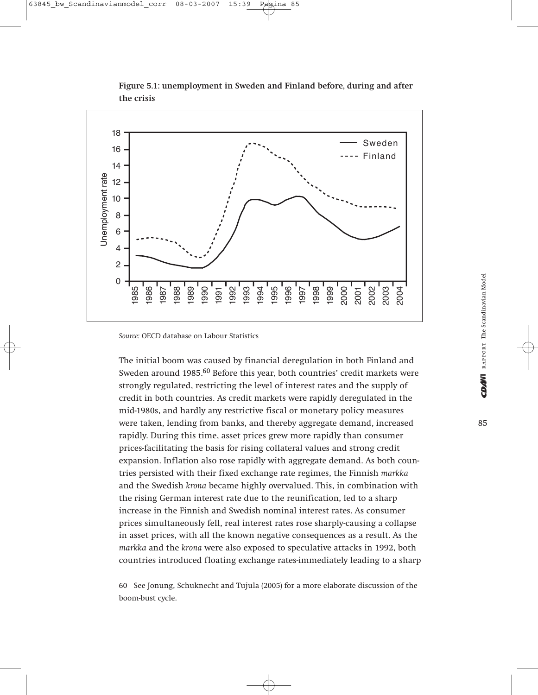

**Figure 5.1: unemployment in Sweden and Finland before, during and after the crisis**

*Source:* OECD database on Labour Statistics

The initial boom was caused by financial deregulation in both Finland and Sweden around 1985.<sup>60</sup> Before this year, both countries' credit markets were strongly regulated, restricting the level of interest rates and the supply of credit in both countries. As credit markets were rapidly deregulated in the mid-1980s, and hardly any restrictive fiscal or monetary policy measures were taken, lending from banks, and thereby aggregate demand, increased rapidly. During this time, asset prices grew more rapidly than consumer prices-facilitating the basis for rising collateral values and strong credit expansion. Inflation also rose rapidly with aggregate demand. As both countries persisted with their fixed exchange rate regimes, the Finnish *markka* and the Swedish *krona* became highly overvalued. This, in combination with the rising German interest rate due to the reunification, led to a sharp increase in the Finnish and Swedish nominal interest rates. As consumer prices simultaneously fell, real interest rates rose sharply-causing a collapse in asset prices, with all the known negative consequences as a result. As the *markka* and the *krona* were also exposed to speculative attacks in 1992, both countries introduced floating exchange floating exchange rates-immediately leading to a section of the sharp interact to the strength rate of the strength rate of the strength rate of the strength rate of the strength rat

60 See Jonung, Schuknecht and Tujula (2005) for a more elaborate discussion of the boom-bust cycle.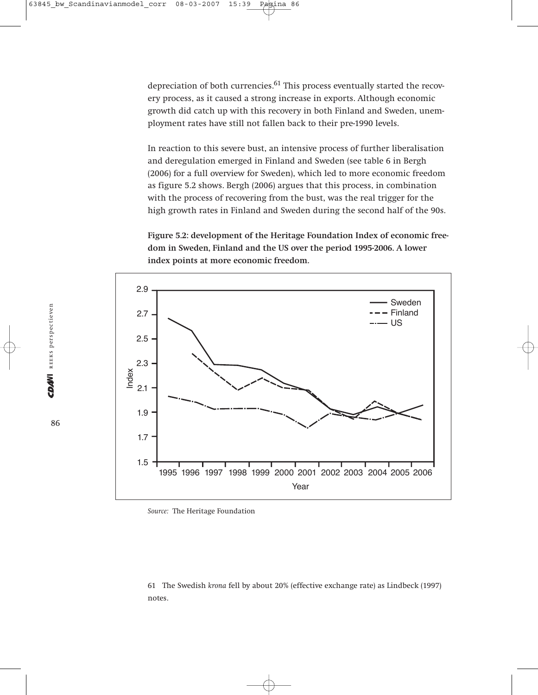depreciation of both currencies.<sup>61</sup> This process eventually started the recovery process, as it caused a strong increase in exports. Although economic growth did catch up with this recovery in both Finland and Sweden, unemployment rates have still not fallen back to their pre-1990 levels.

In reaction to this severe bust, an intensive process of further liberalisation and deregulation emerged in Finland and Sweden (see table 6 in Bergh (2006) for a full overview for Sweden), which led to more economic freedom as figure 5.2 shows. Bergh (2006) argues that this process, in combination with the process of recovering from the bust, was the real trigger for the high growth rates in Finland and Sweden during the second half of the 90s.

**Figure 5.2: development of the Heritage Foundation Index of economic freedom in Sweden, Finland and the US over the period 1995-2006. A lower index points at more economic freedom.** 



*Source:* The Heritage Foundation

61 The Swedish *krona* fell by about 20% (effective exchange rate) as Lindbeck (1997) notes.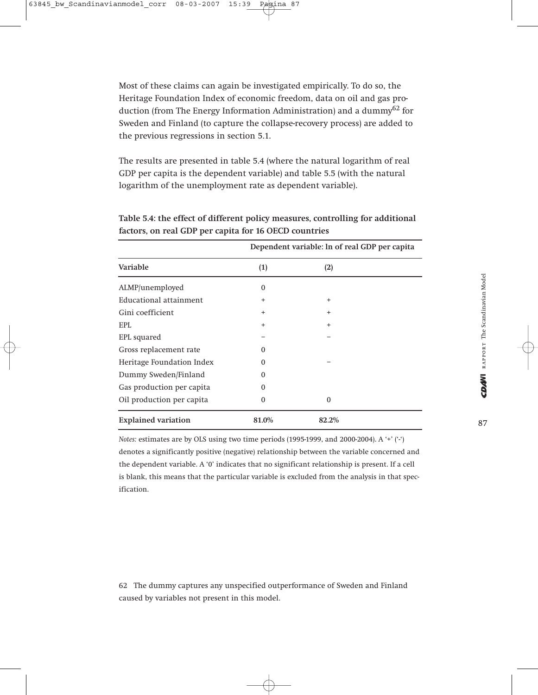Most of these claims can again be investigated empirically. To do so, the Heritage Foundation Index of economic freedom, data on oil and gas production (from The Energy Information Administration) and a dummy62 for Sweden and Finland (to capture the collapse-recovery process) are added to the previous regressions in section 5.1.

The results are presented in table 5.4 (where the natural logarithm of real GDP per capita is the dependent variable) and table 5.5 (with the natural logarithm of the unemployment rate as dependent variable).

| Dependent variable: In of real GDP per capita |           |           |
|-----------------------------------------------|-----------|-----------|
| Variable                                      | (1)       | (2)       |
| ALMP/unemployed                               | $\Omega$  |           |
| Educational attainment                        | $\ddot{}$ | $\ddot{}$ |
| Gini coefficient                              | $^{+}$    | $\ddot{}$ |
| EPI.                                          | $\ddot{}$ | $\ddot{}$ |
| EPL squared                                   |           |           |
| Gross replacement rate                        | $\Omega$  |           |
| Heritage Foundation Index                     | $\Omega$  |           |
| Dummy Sweden/Finland                          | $\Omega$  |           |
| Gas production per capita                     | $\Omega$  |           |
| Oil production per capita                     | $\Omega$  | $\Omega$  |
| <b>Explained variation</b>                    | 81.0%     | 82.2%     |

**Table 5.4: the effect of different policy measures, controlling for additional factors, on real GDP per capita for 16 OECD countries**

*Notes:* estimates are by OLS using two time periods (1995-1999, and 2000-2004). A '+' ('-') denotes a significantly positive (negative) relationship between the variable concerned and the dependent variable. A '0' indicates that no significant relationship is present. If a cell is blank, this means that the particular variable is excluded from the analysis in that specification.

62 The dummy captures any unspecified outperformance of Sweden and Finland caused by variables not present in this model.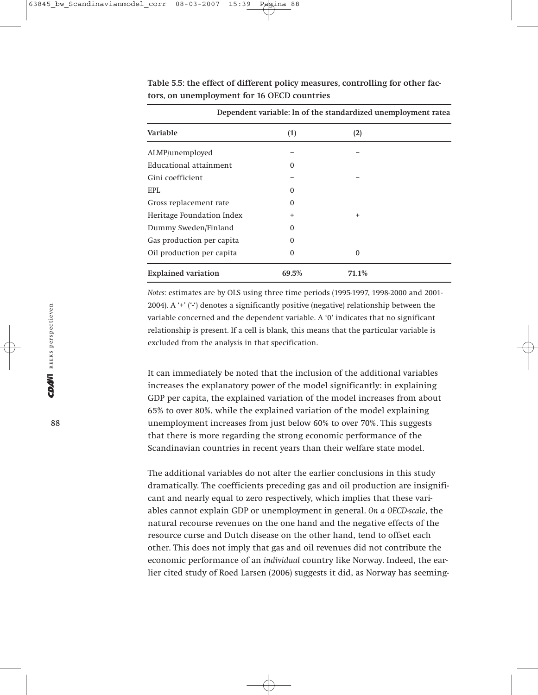| Dependent variable: ln of the standardized unemployment ratea |           |           |  |
|---------------------------------------------------------------|-----------|-----------|--|
| Variable                                                      | (1)       | (2)       |  |
| ALMP/unemployed                                               |           |           |  |
| Educational attainment                                        | O         |           |  |
| Gini coefficient                                              |           |           |  |
| <b>EPL</b>                                                    | $\Omega$  |           |  |
| Gross replacement rate                                        | O         |           |  |
| Heritage Foundation Index                                     | $\ddot{}$ | $\ddot{}$ |  |
| Dummy Sweden/Finland                                          | $\Omega$  |           |  |
| Gas production per capita                                     | 0         |           |  |
| Oil production per capita                                     | 0         | $\Omega$  |  |
| <b>Explained variation</b>                                    | 69.5%     | 71.1%     |  |

**Table 5.5: the effect of different policy measures, controlling for other factors, on unemployment for 16 OECD countries** 

*Notes:* estimates are by OLS using three time periods (1995-1997, 1998-2000 and 2001- 2004). A '+' ('-') denotes a significantly positive (negative) relationship between the variable concerned and the dependent variable. A '0' indicates that no significant relationship is present. If a cell is blank, this means that the particular variable is excluded from the analysis in that specification.

It can immediately be noted that the inclusion of the additional variables increases the explanatory power of the model significantly: in explaining GDP per capita, the explained variation of the model increases from about 65% to over 80%, while the explained variation of the model explaining unemployment increases from just below 60% to over 70%. This suggests that there is more regarding the strong economic performance of the Scandinavian countries in recent years than their welfare state model.

The additional variables do not alter the earlier conclusions in this study dramatically. The coefficients preceding gas and oil production are insignificant and nearly equal to zero respectively, which implies that these variables cannot explain GDP or unemployment in general. *On a OECD-scale*, the natural recourse revenues on the one hand and the negative effects of the resource curse and Dutch disease on the other hand, tend to offset each other. This does not imply that gas and oil revenues did not contribute the economic performance of an *individual* country like Norway. Indeed, the earlier cited study of Roed Larsen (2006) suggests it did, as Norway has seeming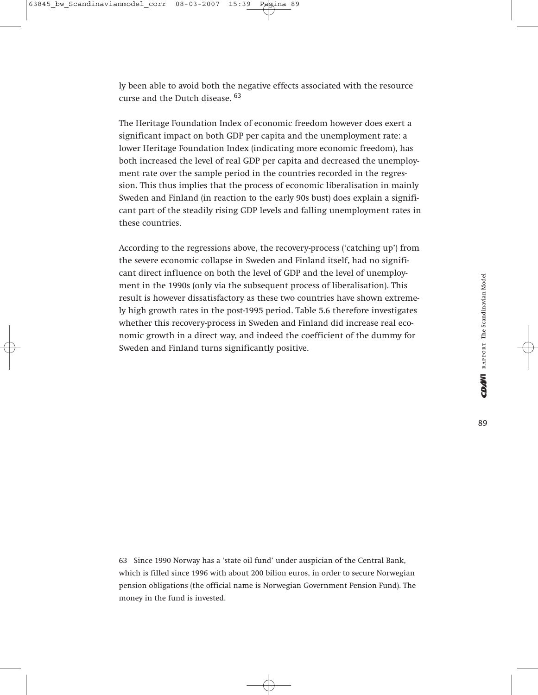ly been able to avoid both the negative effects associated with the resource curse and the Dutch disease. <sup>63</sup>

The Heritage Foundation Index of economic freedom however does exert a significant impact on both GDP per capita and the unemployment rate: a lower Heritage Foundation Index (indicating more economic freedom), has both increased the level of real GDP per capita and decreased the unemployment rate over the sample period in the countries recorded in the regression. This thus implies that the process of economic liberalisation in mainly Sweden and Finland (in reaction to the early 90s bust) does explain a significant part of the steadily rising GDP levels and falling unemployment rates in these countries.

According to the regressions above, the recovery-process ('catching up') from the severe economic collapse in Sweden and Finland itself, had no significant direct influence on both the level of GDP and the level of unemployment in the 1990s (only via the subsequent process of liberalisation). This result is however dissatisfactory as these two countries have shown extremely high growth rates in the post-1995 period. Table 5.6 therefore investigates whether this recovery-process in Sweden and Finland did increase real economic growth in a direct way, and indeed the coefficient of the dummy for Sweden and Finland turns significantly positive.

63 Since 1990 Norway has a 'state oil fund' under auspician of the Central Bank, which is filled since 1996 with about 200 bilion euros, in order to secure Norwegian pension obligations (the official name is Norwegian Government Pension Fund). The money in the fund is invested.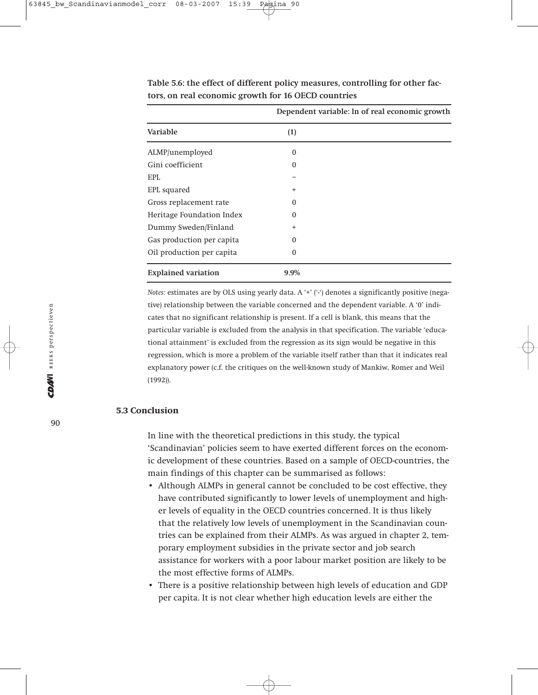|                            | Dependent variable: In of real economic growth |  |
|----------------------------|------------------------------------------------|--|
| Variable                   | (1)                                            |  |
| ALMP/unemployed            | $\Omega$                                       |  |
| Gini coefficient           | $\mathbf{0}$                                   |  |
| EPL                        |                                                |  |
| EPL squared                | $\ddot{}$                                      |  |
| Gross replacement rate     | $\mathbf{0}$                                   |  |
| Heritage Foundation Index  | $\mathbf{0}$                                   |  |
| Dummy Sweden/Finland       | $\ddot{}$                                      |  |
| Gas production per capita  | $\Omega$                                       |  |
| Oil production per capita  | $\Omega$                                       |  |
| <b>Explained variation</b> | 9.9%                                           |  |

**Table 5.6: the effect of different policy measures, controlling for other factors, on real economic growth for 16 OECD countries** 

*Notes:* estimates are by OLS using yearly data. A '+' ('-') denotes a significantly positive (negative) relationship between the variable concerned and the dependent variable. A '0' indicates that no significant relationship is present. If a cell is blank, this means that the particular variable is excluded from the analysis in that specification. The variable 'educational attainment' is excluded from the regression as its sign would be negative in this regression, which is more a problem of the variable itself rather than that it indicates real explanatory power (c.f. the critiques on the well-known study of Mankiw, Romer and Weil (1992)).

#### **5.3 Conclusion**

In line with the theoretical predictions in this study, the typical 'Scandinavian' policies seem to have exerted different forces on the economic development of these countries. Based on a sample of OECD-countries, the main findings of this chapter can be summarised as follows:

- Although ALMPs in general cannot be concluded to be cost effective, they have contributed significantly to lower levels of unemployment and higher levels of equality in the OECD countries concerned. It is thus likely that the relatively low levels of unemployment in the Scandinavian countries can be explained from their ALMPs. As was argued in chapter 2, temporary employment subsidies in the private sector and job search assistance for workers with a poor labour market position are likely to be the most effective forms of ALMPs.
- There is a positive relationship between high levels of education and GDP per capita. It is not clear whether high education levels are either the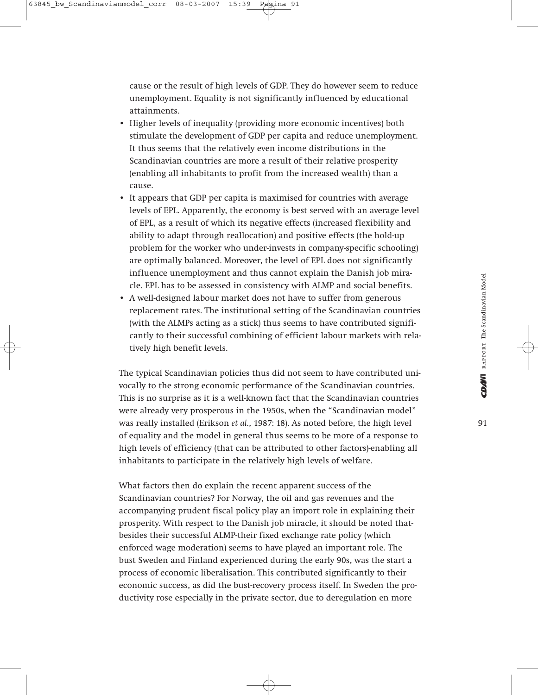cause or the result of high levels of GDP. They do however seem to reduce unemployment. Equality is not significantly influenced by educational attainments.

- Higher levels of inequality (providing more economic incentives) both stimulate the development of GDP per capita and reduce unemployment. It thus seems that the relatively even income distributions in the Scandinavian countries are more a result of their relative prosperity (enabling all inhabitants to profit from the increased wealth) than a cause.
- It appears that GDP per capita is maximised for countries with average levels of EPL. Apparently, the economy is best served with an average level of EPL, as a result of which its negative effects (increased flexibility and ability to adapt through reallocation) and positive effects (the hold-up problem for the worker who under-invests in company-specific schooling) are optimally balanced. Moreover, the level of EPL does not significantly influence unemployment and thus cannot explain the Danish job miracle. EPL has to be assessed in consistency with ALMP and social benefits.
- A well-designed labour market does not have to suffer from generous replacement rates. The institutional setting of the Scandinavian countries (with the ALMPs acting as a stick) thus seems to have contributed significantly to their successful combining of efficient labour markets with relatively high benefit levels.

The typical Scandinavian policies thus did not seem to have contributed univocally to the strong economic performance of the Scandinavian countries. This is no surprise as it is a well-known fact that the Scandinavian countries were already very prosperous in the 1950s, when the "Scandinavian model" was really installed (Erikson *et al.*, 1987: 18). As noted before, the high level of equality and the model in general thus seems to be more of a response to high levels of efficiency (that can be attributed to other factors)-enabling all inhabitants to participate in the relatively high levels of welfare.

What factors then do explain the recent apparent success of the Scandinavian countries? For Norway, the oil and gas revenues and the accompanying prudent fiscal policy play an import role in explaining their prosperity. With respect to the Danish job miracle, it should be noted thatbesides their successful ALMP-their fixed exchange rate policy (which enforced wage moderation) seems to have played an important role. The bust Sweden and Finland experienced during the early 90s, was the start a process of economic liberalisation. This contributed significantly to their economic success, as did the bust-recovery process itself. In Sweden the productivity rose especially in the private sector, due to deregulation en more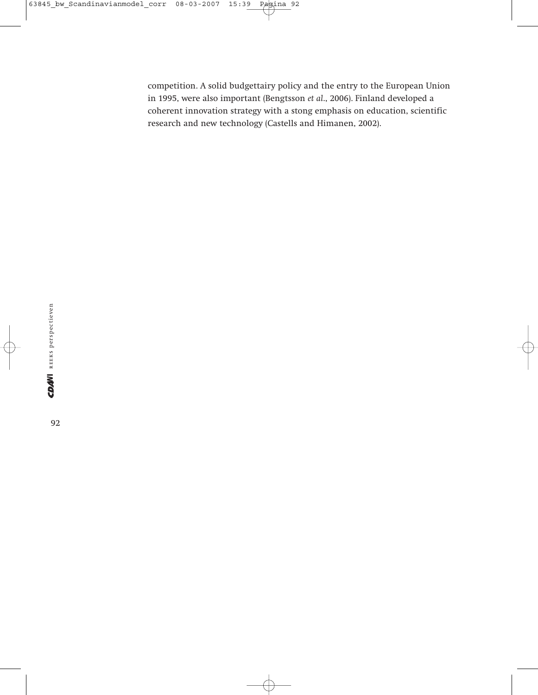competition. A solid budgettairy policy and the entry to the European Union in 1995, were also important (Bengtsson *et al*., 2006). Finland developed a coherent innovation strategy with a stong emphasis on education, scientific research and new technology (Castells and Himanen, 2002).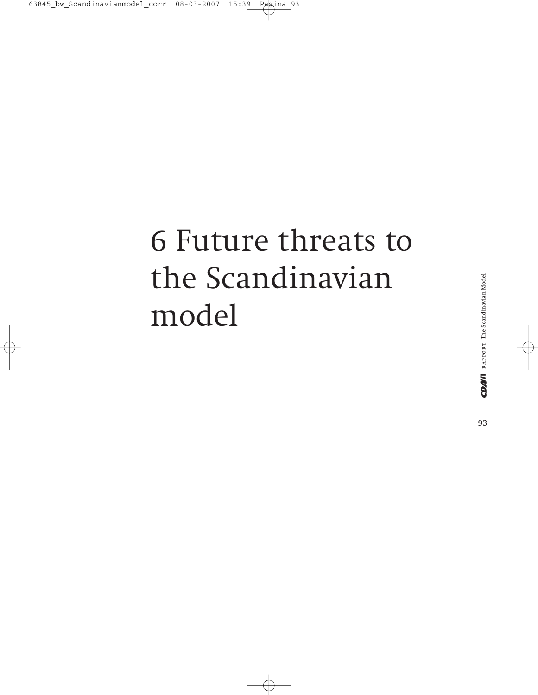### 6 Future threats to the Scandinavian model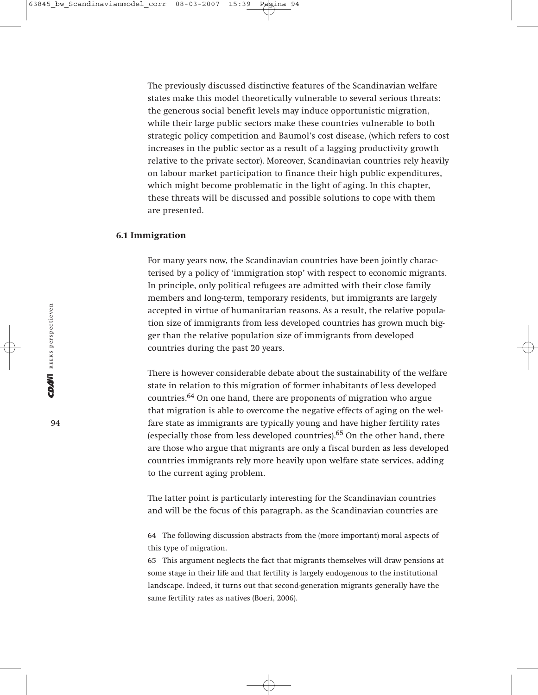The previously discussed distinctive features of the Scandinavian welfare states make this model theoretically vulnerable to several serious threats: the generous social benefit levels may induce opportunistic migration, while their large public sectors make these countries vulnerable to both strategic policy competition and Baumol's cost disease, (which refers to cost increases in the public sector as a result of a lagging productivity growth relative to the private sector). Moreover, Scandinavian countries rely heavily on labour market participation to finance their high public expenditures, which might become problematic in the light of aging. In this chapter, these threats will be discussed and possible solutions to cope with them are presented.

#### **6.1 Immigration**

For many years now, the Scandinavian countries have been jointly characterised by a policy of 'immigration stop' with respect to economic migrants. In principle, only political refugees are admitted with their close family members and long-term, temporary residents, but immigrants are largely accepted in virtue of humanitarian reasons. As a result, the relative population size of immigrants from less developed countries has grown much bigger than the relative population size of immigrants from developed countries during the past 20 years.

There is however considerable debate about the sustainability of the welfare state in relation to this migration of former inhabitants of less developed countries.64 On one hand, there are proponents of migration who argue that migration is able to overcome the negative effects of aging on the welfare state as immigrants are typically young and have higher fertility rates (especially those from less developed countries). $65$  On the other hand, there are those who argue that migrants are only a fiscal burden as less developed countries immigrants rely more heavily upon welfare state services, adding to the current aging problem.

The latter point is particularly interesting for the Scandinavian countries and will be the focus of this paragraph, as the Scandinavian countries are

64 The following discussion abstracts from the (more important) moral aspects of this type of migration.

65 This argument neglects the fact that migrants themselves will draw pensions at some stage in their life and that fertility is largely endogenous to the institutional landscape. Indeed, it turns out that second-generation migrants generally have the same fertility rates as natives (Boeri, 2006).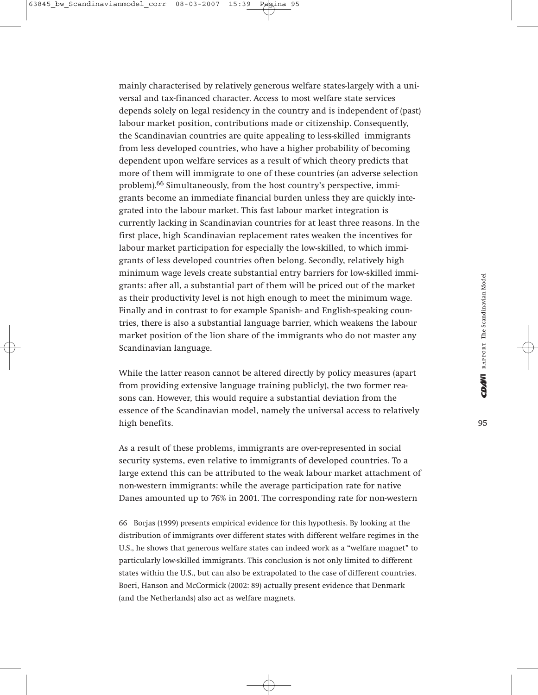mainly characterised by relatively generous welfare states-largely with a universal and tax-financed character. Access to most welfare state services depends solely on legal residency in the country and is independent of (past) labour market position, contributions made or citizenship. Consequently, the Scandinavian countries are quite appealing to less-skilled immigrants from less developed countries, who have a higher probability of becoming dependent upon welfare services as a result of which theory predicts that more of them will immigrate to one of these countries (an adverse selection problem).66 Simultaneously, from the host country's perspective, immigrants become an immediate financial burden unless they are quickly integrated into the labour market. This fast labour market integration is currently lacking in Scandinavian countries for at least three reasons. In the first place, high Scandinavian replacement rates weaken the incentives for labour market participation for especially the low-skilled, to which immigrants of less developed countries often belong. Secondly, relatively high minimum wage levels create substantial entry barriers for low-skilled immigrants: after all, a substantial part of them will be priced out of the market as their productivity level is not high enough to meet the minimum wage. Finally and in contrast to for example Spanish- and English-speaking countries, there is also a substantial language barrier, which weakens the labour market position of the lion share of the immigrants who do not master any Scandinavian language.

While the latter reason cannot be altered directly by policy measures (apart from providing extensive language training publicly), the two former reasons can. However, this would require a substantial deviation from the essence of the Scandinavian model, namely the universal access to relatively high benefits.

As a result of these problems, immigrants are over-represented in social security systems, even relative to immigrants of developed countries. To a large extend this can be attributed to the weak labour market attachment of non-western immigrants: while the average participation rate for native Danes amounted up to 76% in 2001. The corresponding rate for non-western

66 Borjas (1999) presents empirical evidence for this hypothesis. By looking at the distribution of immigrants over different states with different welfare regimes in the U.S., he shows that generous welfare states can indeed work as a "welfare magnet" to particularly low-skilled immigrants. This conclusion is not only limited to different states within the U.S., but can also be extrapolated to the case of different countries. Boeri, Hanson and McCormick (2002: 89) actually present evidence that Denmark (and the Netherlands) also act as welfare magnets.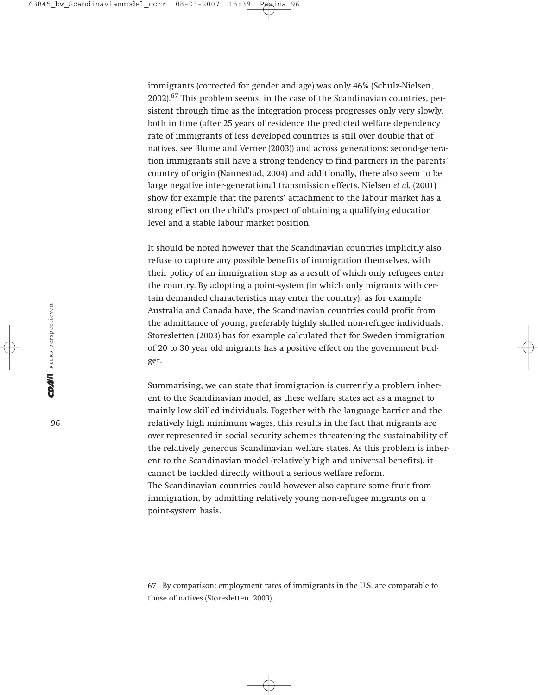immigrants (corrected for gender and age) was only 46% (Schulz-Nielsen, 2002).67 This problem seems, in the case of the Scandinavian countries, persistent through time as the integration process progresses only very slowly, both in time (after 25 years of residence the predicted welfare dependency rate of immigrants of less developed countries is still over double that of natives, see Blume and Verner (2003)) and across generations: second-generation immigrants still have a strong tendency to find partners in the parents' country of origin (Nannestad, 2004) and additionally, there also seem to be large negative inter-generational transmission effects. Nielsen *et al.* (2001) show for example that the parents' attachment to the labour market has a strong effect on the child's prospect of obtaining a qualifying education level and a stable labour market position.

It should be noted however that the Scandinavian countries implicitly also refuse to capture any possible benefits of immigration themselves, with their policy of an immigration stop as a result of which only refugees enter the country. By adopting a point-system (in which only migrants with certain demanded characteristics may enter the country), as for example Australia and Canada have, the Scandinavian countries could profit from the admittance of young, preferably highly skilled non-refugee individuals. Storesletten (2003) has for example calculated that for Sweden immigration of 20 to 30 year old migrants has a positive effect on the government budget.

Summarising, we can state that immigration is currently a problem inherent to the Scandinavian model, as these welfare states act as a magnet to mainly low-skilled individuals. Together with the language barrier and the relatively high minimum wages, this results in the fact that migrants are over-represented in social security schemes-threatening the sustainability of the relatively generous Scandinavian welfare states. As this problem is inherent to the Scandinavian model (relatively high and universal benefits), it cannot be tackled directly without a serious welfare reform. The Scandinavian countries could however also capture some fruit from immigration, by admitting relatively young non-refugee migrants on a point-system basis.

67 By comparison: employment rates of immigrants in the U.S. are comparable to those of natives (Storesletten, 2003).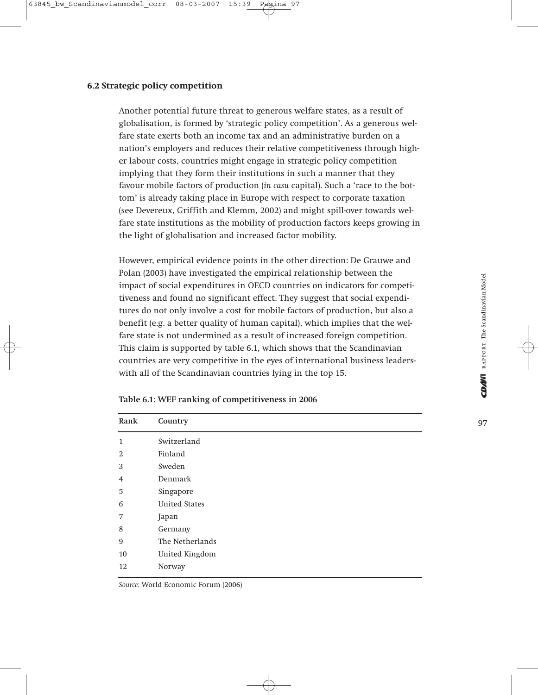#### **6.2 Strategic policy competition**

Another potential future threat to generous welfare states, as a result of globalisation, is formed by 'strategic policy competition'. As a generous welfare state exerts both an income tax and an administrative burden on a nation's employers and reduces their relative competitiveness through higher labour costs, countries might engage in strategic policy competition implying that they form their institutions in such a manner that they favour mobile factors of production (*in casu* capital). Such a 'race to the bottom' is already taking place in Europe with respect to corporate taxation (see Devereux, Griffith and Klemm, 2002) and might spill-over towards welfare state institutions as the mobility of production factors keeps growing in the light of globalisation and increased factor mobility.

However, empirical evidence points in the other direction: De Grauwe and Polan (2003) have investigated the empirical relationship between the impact of social expenditures in OECD countries on indicators for competitiveness and found no significant effect. They suggest that social expenditures do not only involve a cost for mobile factors of production, but also a benefit (e.g. a better quality of human capital), which implies that the welfare state is not undermined as a result of increased foreign competition. This claim is supported by table 6.1, which shows that the Scandinavian countries are very competitive in the eyes of international business leaderswith all of the Scandinavian countries lying in the top 15.

| Rank           | Country              |
|----------------|----------------------|
| $\mathbf{1}$   | Switzerland          |
| $\overline{2}$ | Finland              |
| 3              | Sweden               |
| 4              | Denmark              |
| 5              | Singapore            |
| 6              | <b>United States</b> |
| 7              | Japan                |
| 8              | Germany              |
| 9              | The Netherlands      |
| 10             | United Kingdom       |
| 12             | Norway               |

|  | Table 6.1: WEF ranking of competitiveness in 2006 |
|--|---------------------------------------------------|
|--|---------------------------------------------------|

*Source:* World Economic Forum (2006)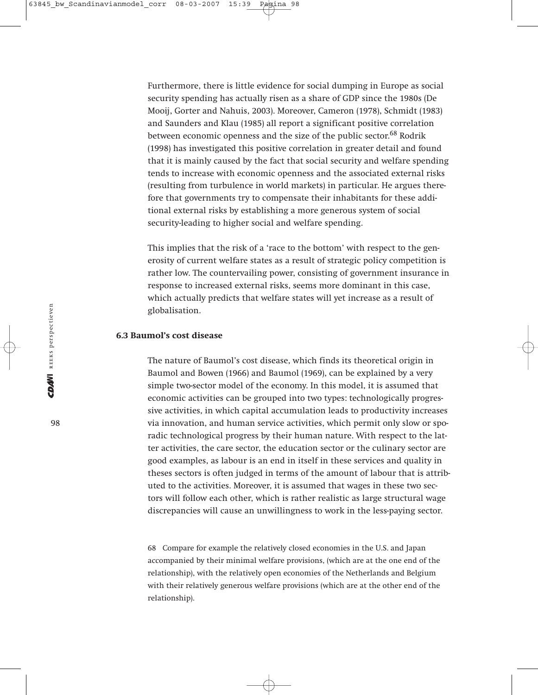Furthermore, there is little evidence for social dumping in Europe as social security spending has actually risen as a share of GDP since the 1980s (De Mooij, Gorter and Nahuis, 2003). Moreover, Cameron (1978), Schmidt (1983) and Saunders and Klau (1985) all report a significant positive correlation between economic openness and the size of the public sector.<sup>68</sup> Rodrik (1998) has investigated this positive correlation in greater detail and found that it is mainly caused by the fact that social security and welfare spending tends to increase with economic openness and the associated external risks (resulting from turbulence in world markets) in particular. He argues therefore that governments try to compensate their inhabitants for these additional external risks by establishing a more generous system of social security-leading to higher social and welfare spending.

This implies that the risk of a 'race to the bottom' with respect to the generosity of current welfare states as a result of strategic policy competition is rather low. The countervailing power, consisting of government insurance in response to increased external risks, seems more dominant in this case, which actually predicts that welfare states will yet increase as a result of globalisation.

#### **6.3 Baumol's cost disease**

The nature of Baumol's cost disease, which finds its theoretical origin in Baumol and Bowen (1966) and Baumol (1969), can be explained by a very simple two-sector model of the economy. In this model, it is assumed that economic activities can be grouped into two types: technologically progressive activities, in which capital accumulation leads to productivity increases via innovation, and human service activities, which permit only slow or sporadic technological progress by their human nature. With respect to the latter activities, the care sector, the education sector or the culinary sector are good examples, as labour is an end in itself in these services and quality in theses sectors is often judged in terms of the amount of labour that is attributed to the activities. Moreover, it is assumed that wages in these two sectors will follow each other, which is rather realistic as large structural wage discrepancies will cause an unwillingness to work in the less-paying sector.

68 Compare for example the relatively closed economies in the U.S. and Japan accompanied by their minimal welfare provisions, (which are at the one end of the relationship), with the relatively open economies of the Netherlands and Belgium with their relatively generous welfare provisions (which are at the other end of the relationship).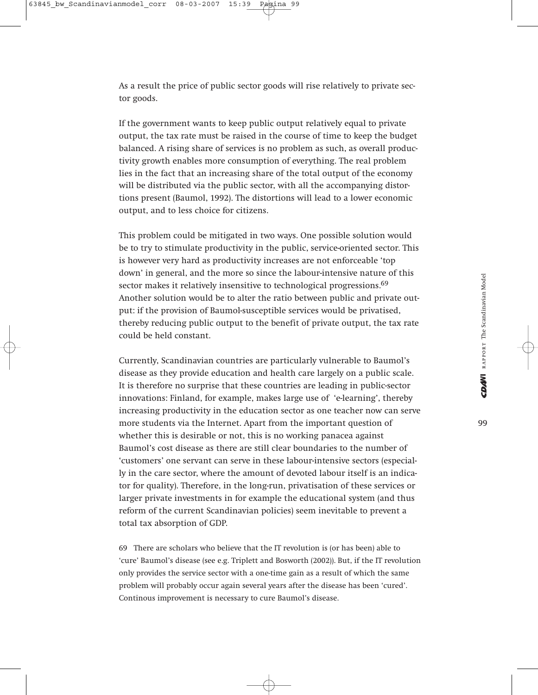As a result the price of public sector goods will rise relatively to private sector goods.

If the government wants to keep public output relatively equal to private output, the tax rate must be raised in the course of time to keep the budget balanced. A rising share of services is no problem as such, as overall productivity growth enables more consumption of everything. The real problem lies in the fact that an increasing share of the total output of the economy will be distributed via the public sector, with all the accompanying distortions present (Baumol, 1992). The distortions will lead to a lower economic output, and to less choice for citizens.

This problem could be mitigated in two ways. One possible solution would be to try to stimulate productivity in the public, service-oriented sector. This is however very hard as productivity increases are not enforceable 'top down' in general, and the more so since the labour-intensive nature of this sector makes it relatively insensitive to technological progressions.<sup>69</sup> Another solution would be to alter the ratio between public and private output: if the provision of Baumol-susceptible services would be privatised, thereby reducing public output to the benefit of private output, the tax rate could be held constant.

Currently, Scandinavian countries are particularly vulnerable to Baumol's disease as they provide education and health care largely on a public scale. It is therefore no surprise that these countries are leading in public-sector innovations: Finland, for example, makes large use of 'e-learning', thereby increasing productivity in the education sector as one teacher now can serve more students via the Internet. Apart from the important question of whether this is desirable or not, this is no working panacea against Baumol's cost disease as there are still clear boundaries to the number of 'customers' one servant can serve in these labour-intensive sectors (especially in the care sector, where the amount of devoted labour itself is an indicator for quality). Therefore, in the long-run, privatisation of these services or larger private investments in for example the educational system (and thus reform of the current Scandinavian policies) seem inevitable to prevent a total tax absorption of GDP.

69 There are scholars who believe that the IT revolution is (or has been) able to 'cure' Baumol's disease (see e.g. Triplett and Bosworth (2002)). But, if the IT revolution only provides the service sector with a one-time gain as a result of which the same problem will probably occur again several years after the disease has been 'cured'. Continous improvement is necessary to cure Baumol's disease.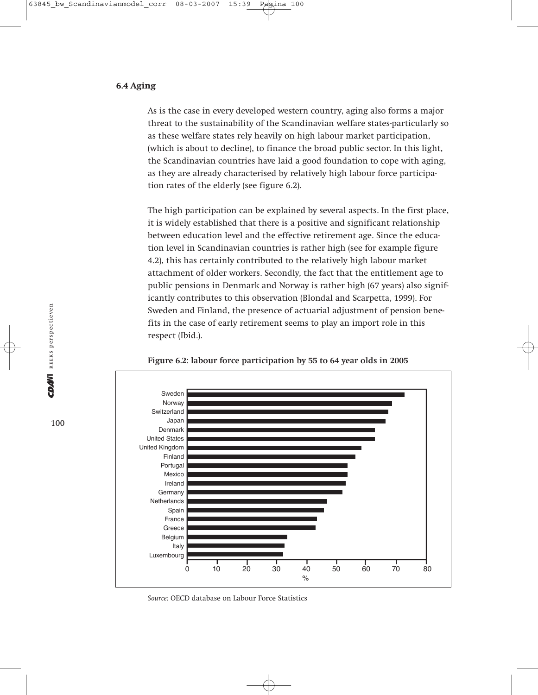#### **6.4 Aging**

As is the case in every developed western country, aging also forms a major threat to the sustainability of the Scandinavian welfare states-particularly so as these welfare states rely heavily on high labour market participation, (which is about to decline), to finance the broad public sector. In this light, the Scandinavian countries have laid a good foundation to cope with aging, as they are already characterised by relatively high labour force participation rates of the elderly (see figure 6.2).

The high participation can be explained by several aspects. In the first place, it is widely established that there is a positive and significant relationship between education level and the effective retirement age. Since the education level in Scandinavian countries is rather high (see for example figure 4.2), this has certainly contributed to the relatively high labour market attachment of older workers. Secondly, the fact that the entitlement age to public pensions in Denmark and Norway is rather high (67 years) also significantly contributes to this observation (Blondal and Scarpetta, 1999). For Sweden and Finland, the presence of actuarial adjustment of pension benefits in the case of early retirement seems to play an import role in this respect (Ibid.).



**Figure 6.2: labour force participation by 55 to 64 year olds in 2005** 

*Source:* OECD database on Labour Force Statistics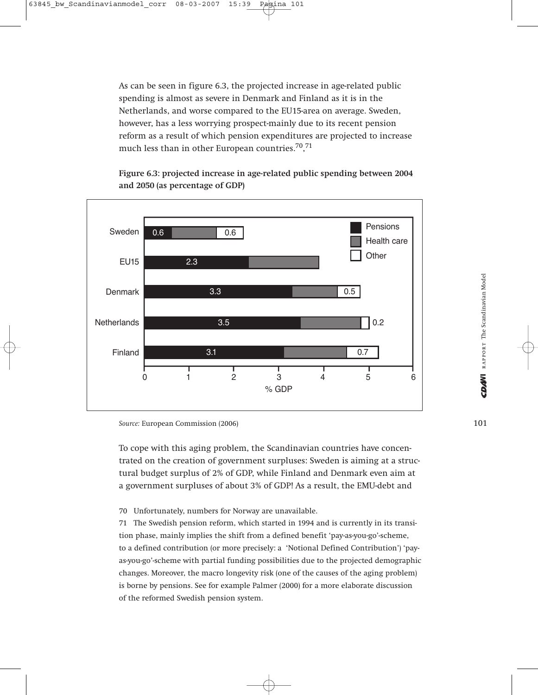As can be seen in figure 6.3, the projected increase in age-related public spending is almost as severe in Denmark and Finland as it is in the Netherlands, and worse compared to the EU15-area on average. Sweden, however, has a less worrying prospect-mainly due to its recent pension reform as a result of which pension expenditures are projected to increase much less than in other European countries.<sup>70</sup>,<sup>71</sup>

**Figure 6.3: projected increase in age-related public spending between 2004 and 2050 (as percentage of GDP)**



*Source:* European Commission (2006)

To cope with this aging problem, the Scandinavian countries have concentrated on the creation of government surpluses: Sweden is aiming at a structural budget surplus of 2% of GDP, while Finland and Denmark even aim at a government surpluses of about 3% of GDP! As a result, the EMU-debt and

70 Unfortunately, numbers for Norway are unavailable.

71 The Swedish pension reform, which started in 1994 and is currently in its transition phase, mainly implies the shift from a defined benefit 'pay-as-you-go'-scheme, to a defined contribution (or more precisely: a 'Notional Defined Contribution') 'payas-you-go'-scheme with partial funding possibilities due to the projected demographic changes. Moreover, the macro longevity risk (one of the causes of the aging problem) is borne by pensions. See for example Palmer (2000) for a more elaborate discussion of the reformed Swedish pension system.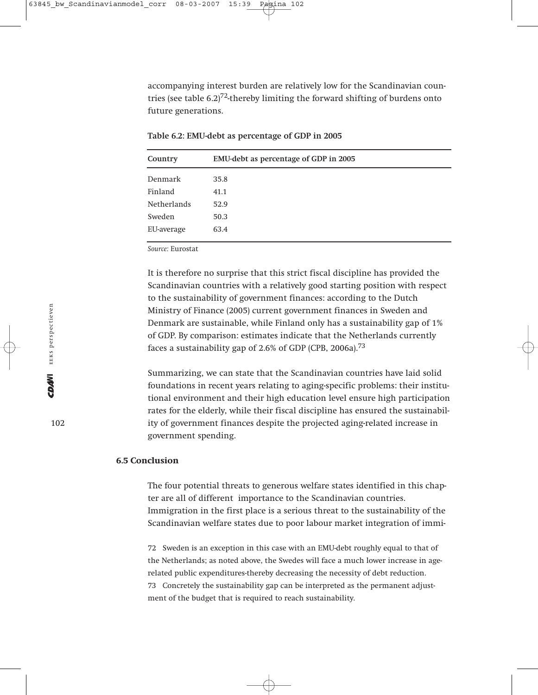accompanying interest burden are relatively low for the Scandinavian countries (see table  $6.2$ )<sup>72</sup>-thereby limiting the forward shifting of burdens onto future generations.

| Country            | EMU-debt as percentage of GDP in 2005 |
|--------------------|---------------------------------------|
| Denmark            | 35.8                                  |
| Finland            | 41.1                                  |
| <b>Netherlands</b> | 52.9                                  |
| Sweden             | 50.3                                  |
| EU-average         | 63.4                                  |

**Table 6.2: EMU-debt as percentage of GDP in 2005**

*Source:* Eurostat

It is therefore no surprise that this strict fiscal discipline has provided the Scandinavian countries with a relatively good starting position with respect to the sustainability of government finances: according to the Dutch Ministry of Finance (2005) current government finances in Sweden and Denmark are sustainable, while Finland only has a sustainability gap of 1% of GDP. By comparison: estimates indicate that the Netherlands currently faces a sustainability gap of 2.6% of GDP (CPB, 2006a).<sup>73</sup>

Summarizing, we can state that the Scandinavian countries have laid solid foundations in recent years relating to aging-specific problems: their institutional environment and their high education level ensure high participation rates for the elderly, while their fiscal discipline has ensured the sustainability of government finances despite the projected aging-related increase in government spending.

#### **6.5 Conclusion**

The four potential threats to generous welfare states identified in this chapter are all of different importance to the Scandinavian countries. Immigration in the first place is a serious threat to the sustainability of the Scandinavian welfare states due to poor labour market integration of immi-

72 Sweden is an exception in this case with an EMU-debt roughly equal to that of the Netherlands; as noted above, the Swedes will face a much lower increase in agerelated public expenditures-thereby decreasing the necessity of debt reduction. 73 Concretely the sustainability gap can be interpreted as the permanent adjustment of the budget that is required to reach sustainability.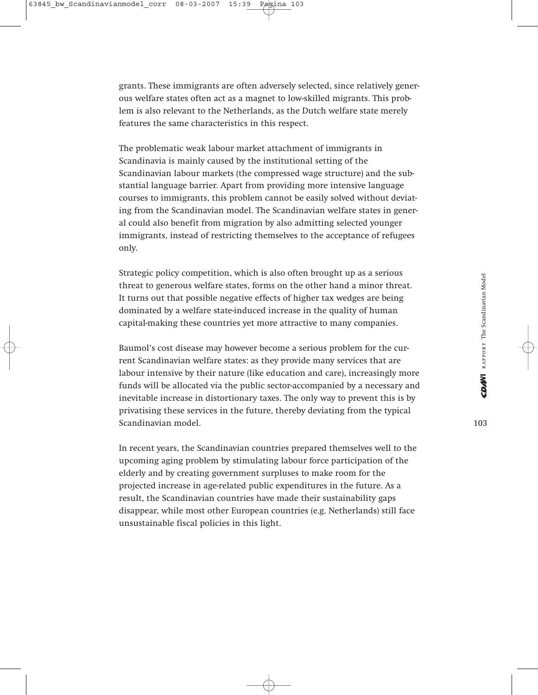grants. These immigrants are often adversely selected, since relatively generous welfare states often act as a magnet to low-skilled migrants. This problem is also relevant to the Netherlands, as the Dutch welfare state merely features the same characteristics in this respect.

The problematic weak labour market attachment of immigrants in Scandinavia is mainly caused by the institutional setting of the Scandinavian labour markets (the compressed wage structure) and the substantial language barrier. Apart from providing more intensive language courses to immigrants, this problem cannot be easily solved without deviating from the Scandinavian model. The Scandinavian welfare states in general could also benefit from migration by also admitting selected younger immigrants, instead of restricting themselves to the acceptance of refugees only.

Strategic policy competition, which is also often brought up as a serious threat to generous welfare states, forms on the other hand a minor threat. It turns out that possible negative effects of higher tax wedges are being dominated by a welfare state-induced increase in the quality of human capital-making these countries yet more attractive to many companies.

Baumol's cost disease may however become a serious problem for the current Scandinavian welfare states: as they provide many services that are labour intensive by their nature (like education and care), increasingly more funds will be allocated via the public sector-accompanied by a necessary and inevitable increase in distortionary taxes. The only way to prevent this is by privatising these services in the future, thereby deviating from the typical Scandinavian model.

In recent years, the Scandinavian countries prepared themselves well to the upcoming aging problem by stimulating labour force participation of the elderly and by creating government surpluses to make room for the projected increase in age-related public expenditures in the future. As a result, the Scandinavian countries have made their sustainability gaps disappear, while most other European countries (e.g. Netherlands) still face unsustainable fiscal policies in this light.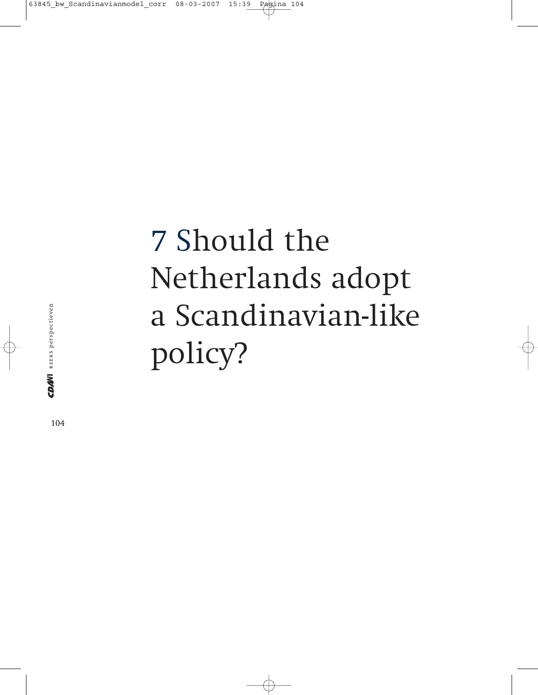# 7 Should the Netherlands adopt a Scandinavian-like policy?

CDAM REEKS perspectieven reeks perspectieven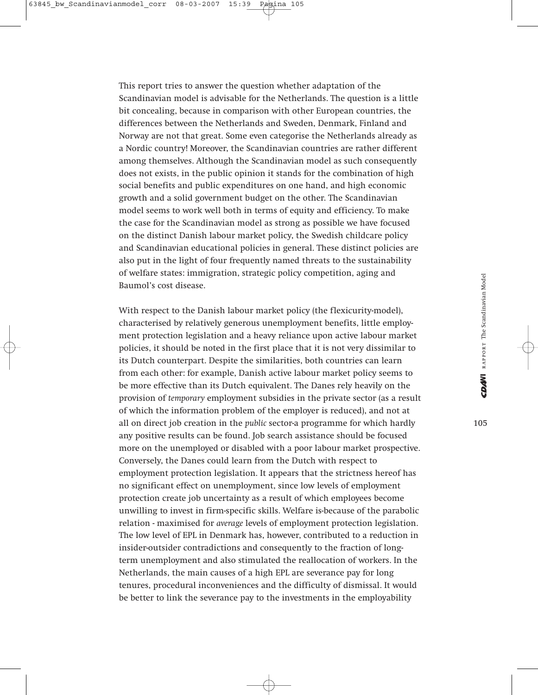This report tries to answer the question whether adaptation of the Scandinavian model is advisable for the Netherlands. The question is a little bit concealing, because in comparison with other European countries, the differences between the Netherlands and Sweden, Denmark, Finland and Norway are not that great. Some even categorise the Netherlands already as a Nordic country! Moreover, the Scandinavian countries are rather different among themselves. Although the Scandinavian model as such consequently does not exists, in the public opinion it stands for the combination of high social benefits and public expenditures on one hand, and high economic growth and a solid government budget on the other. The Scandinavian model seems to work well both in terms of equity and efficiency. To make the case for the Scandinavian model as strong as possible we have focused on the distinct Danish labour market policy, the Swedish childcare policy and Scandinavian educational policies in general. These distinct policies are also put in the light of four frequently named threats to the sustainability of welfare states: immigration, strategic policy competition, aging and Baumol's cost disease.

With respect to the Danish labour market policy (the flexicurity-model), characterised by relatively generous unemployment benefits, little employment protection legislation and a heavy reliance upon active labour market policies, it should be noted in the first place that it is not very dissimilar to its Dutch counterpart. Despite the similarities, both countries can learn from each other: for example, Danish active labour market policy seems to be more effective than its Dutch equivalent. The Danes rely heavily on the provision of *temporary* employment subsidies in the private sector (as a result of which the information problem of the employer is reduced), and not at all on direct job creation in the *public* sector-a programme for which hardly any positive results can be found. Job search assistance should be focused more on the unemployed or disabled with a poor labour market prospective. Conversely, the Danes could learn from the Dutch with respect to employment protection legislation. It appears that the strictness hereof has no significant effect on unemployment, since low levels of employment protection create job uncertainty as a result of which employees become unwilling to invest in firm-specific skills. Welfare is-because of the parabolic relation - maximised for *average* levels of employment protection legislation. The low level of EPL in Denmark has, however, contributed to a reduction in insider-outsider contradictions and consequently to the fraction of longterm unemployment and also stimulated the reallocation of workers. In the Netherlands, the main causes of a high EPL are severance pay for long tenures, procedural inconveniences and the difficulty of dismissal. It would be better to link the severance pay to the investments in the employability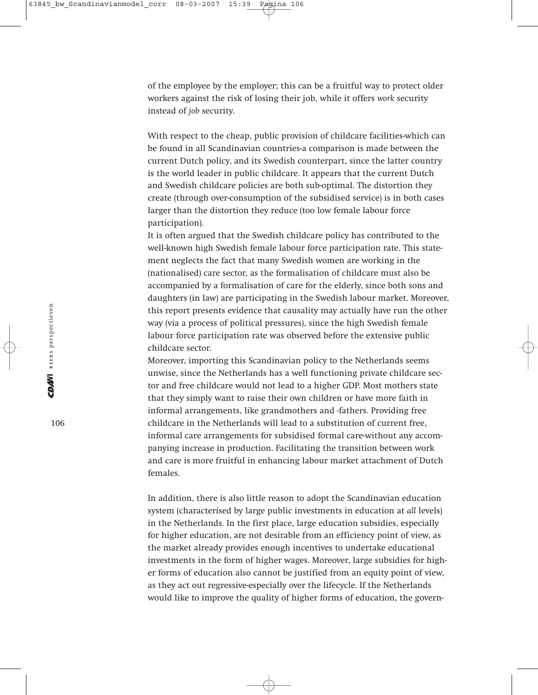of the employee by the employer; this can be a fruitful way to protect older workers against the risk of losing their job, while it offers *work* security instead of *job* security.

With respect to the cheap, public provision of childcare facilities-which can be found in all Scandinavian countries-a comparison is made between the current Dutch policy, and its Swedish counterpart, since the latter country is the world leader in public childcare. It appears that the current Dutch and Swedish childcare policies are both sub-optimal. The distortion they create (through over-consumption of the subsidised service) is in both cases larger than the distortion they reduce (too low female labour force participation).

It is often argued that the Swedish childcare policy has contributed to the well-known high Swedish female labour force participation rate. This statement neglects the fact that many Swedish women are working in the (nationalised) care sector, as the formalisation of childcare must also be accompanied by a formalisation of care for the elderly, since both sons and daughters (in law) are participating in the Swedish labour market. Moreover, this report presents evidence that causality may actually have run the other way (via a process of political pressures), since the high Swedish female labour force participation rate was observed before the extensive public childcare sector.

Moreover, importing this Scandinavian policy to the Netherlands seems unwise, since the Netherlands has a well functioning private childcare sector and free childcare would not lead to a higher GDP. Most mothers state that they simply want to raise their own children or have more faith in informal arrangements, like grandmothers and -fathers. Providing free childcare in the Netherlands will lead to a substitution of current free, informal care arrangements for subsidised formal care-without any accompanying increase in production. Facilitating the transition between work and care is more fruitful in enhancing labour market attachment of Dutch females.

In addition, there is also little reason to adopt the Scandinavian education system (characterised by large public investments in education at *all* levels) in the Netherlands. In the first place, large education subsidies, especially for higher education, are not desirable from an efficiency point of view, as the market already provides enough incentives to undertake educational investments in the form of higher wages. Moreover, large subsidies for higher forms of education also cannot be justified from an equity point of view, as they act out regressive-especially over the lifecycle. If the Netherlands would like to improve the quality of higher forms of education, the govern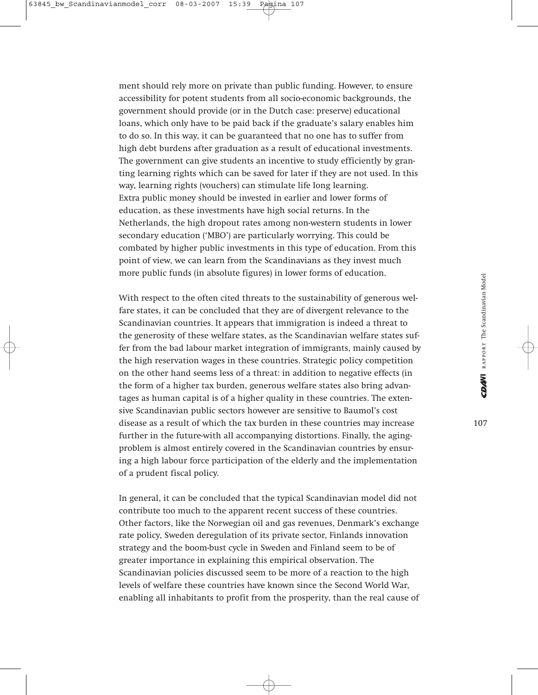ment should rely more on private than public funding. However, to ensure accessibility for potent students from all socio-economic backgrounds, the government should provide (or in the Dutch case: preserve) educational loans, which only have to be paid back if the graduate's salary enables him to do so. In this way, it can be guaranteed that no one has to suffer from high debt burdens after graduation as a result of educational investments. The government can give students an incentive to study efficiently by granting learning rights which can be saved for later if they are not used. In this way, learning rights (vouchers) can stimulate life long learning. Extra public money should be invested in earlier and lower forms of education, as these investments have high social returns. In the Netherlands, the high dropout rates among non-western students in lower secondary education ('MBO') are particularly worrying. This could be combated by higher public investments in this type of education. From this point of view, we can learn from the Scandinavians as they invest much more public funds (in absolute figures) in lower forms of education.

With respect to the often cited threats to the sustainability of generous welfare states, it can be concluded that they are of divergent relevance to the Scandinavian countries. It appears that immigration is indeed a threat to the generosity of these welfare states, as the Scandinavian welfare states suffer from the bad labour market integration of immigrants, mainly caused by the high reservation wages in these countries. Strategic policy competition on the other hand seems less of a threat: in addition to negative effects (in the form of a higher tax burden, generous welfare states also bring advantages as human capital is of a higher quality in these countries. The extensive Scandinavian public sectors however are sensitive to Baumol's cost disease as a result of which the tax burden in these countries may increase further in the future-with all accompanying distortions. Finally, the agingproblem is almost entirely covered in the Scandinavian countries by ensuring a high labour force participation of the elderly and the implementation of a prudent fiscal policy.

In general, it can be concluded that the typical Scandinavian model did not contribute too much to the apparent recent success of these countries. Other factors, like the Norwegian oil and gas revenues, Denmark's exchange rate policy, Sweden deregulation of its private sector, Finlands innovation strategy and the boom-bust cycle in Sweden and Finland seem to be of greater importance in explaining this empirical observation. The Scandinavian policies discussed seem to be more of a reaction to the high levels of welfare these countries have known since the Second World War, enabling all inhabitants to profit from the prosperity, than the real cause of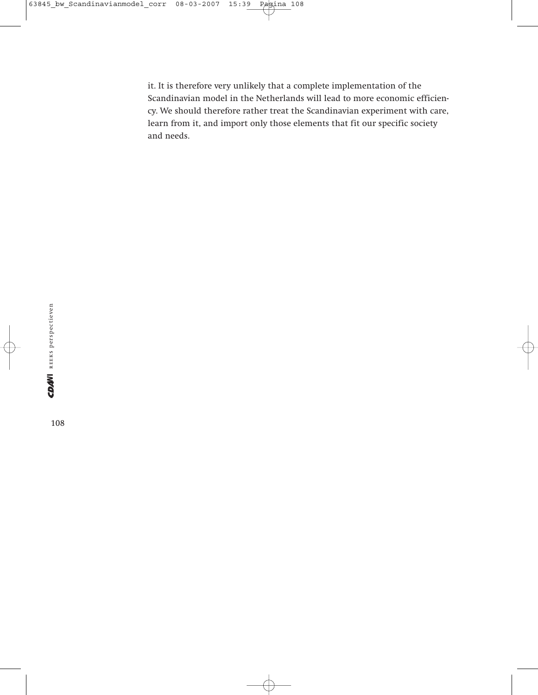it. It is therefore very unlikely that a complete implementation of the Scandinavian model in the Netherlands will lead to more economic efficiency. We should therefore rather treat the Scandinavian experiment with care, learn from it, and import only those elements that fit our specific society and needs.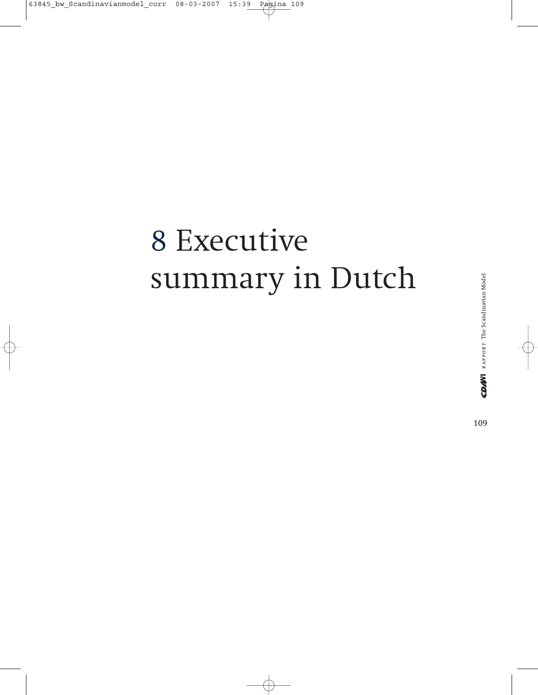# 8 Executive summary in Dutch

rapport The Scandinavian Model

CDANI RAPPORT The Scandinavian Model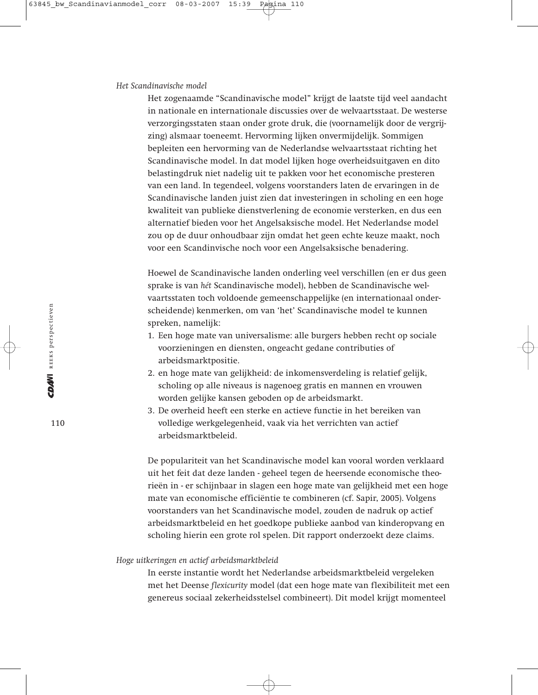#### *Het Scandinavische model*

Het zogenaamde "Scandinavische model" krijgt de laatste tijd veel aandacht in nationale en internationale discussies over de welvaartsstaat. De westerse verzorgingsstaten staan onder grote druk, die (voornamelijk door de vergrijzing) alsmaar toeneemt. Hervorming lijken onvermijdelijk. Sommigen bepleiten een hervorming van de Nederlandse welvaartsstaat richting het Scandinavische model. In dat model lijken hoge overheidsuitgaven en dito belastingdruk niet nadelig uit te pakken voor het economische presteren van een land. In tegendeel, volgens voorstanders laten de ervaringen in de Scandinavische landen juist zien dat investeringen in scholing en een hoge kwaliteit van publieke dienstverlening de economie versterken, en dus een alternatief bieden voor het Angelsaksische model. Het Nederlandse model zou op de duur onhoudbaar zijn omdat het geen echte keuze maakt, noch voor een Scandinvische noch voor een Angelsaksische benadering.

Hoewel de Scandinavische landen onderling veel verschillen (en er dus geen sprake is van *hét* Scandinavische model), hebben de Scandinavische welvaartsstaten toch voldoende gemeenschappelijke (en internationaal onderscheidende) kenmerken, om van 'het' Scandinavische model te kunnen spreken, namelijk:

- 1. Een hoge mate van universalisme: alle burgers hebben recht op sociale voorzieningen en diensten, ongeacht gedane contributies of arbeidsmarktpositie.
- 2. en hoge mate van gelijkheid: de inkomensverdeling is relatief gelijk, scholing op alle niveaus is nagenoeg gratis en mannen en vrouwen worden gelijke kansen geboden op de arbeidsmarkt.
- 3. De overheid heeft een sterke en actieve functie in het bereiken van volledige werkgelegenheid, vaak via het verrichten van actief arbeidsmarktbeleid.

De populariteit van het Scandinavische model kan vooral worden verklaard uit het feit dat deze landen - geheel tegen de heersende economische theorieën in - er schijnbaar in slagen een hoge mate van gelijkheid met een hoge mate van economische efficiëntie te combineren (cf. Sapir, 2005). Volgens voorstanders van het Scandinavische model, zouden de nadruk op actief arbeidsmarktbeleid en het goedkope publieke aanbod van kinderopvang en scholing hierin een grote rol spelen. Dit rapport onderzoekt deze claims.

# *Hoge uitkeringen en actief arbeidsmarktbeleid*

In eerste instantie wordt het Nederlandse arbeidsmarktbeleid vergeleken met het Deense *flexicurity* model (dat een hoge mate van flexibiliteit met een genereus sociaal zekerheidsstelsel combineert). Dit model krijgt momenteel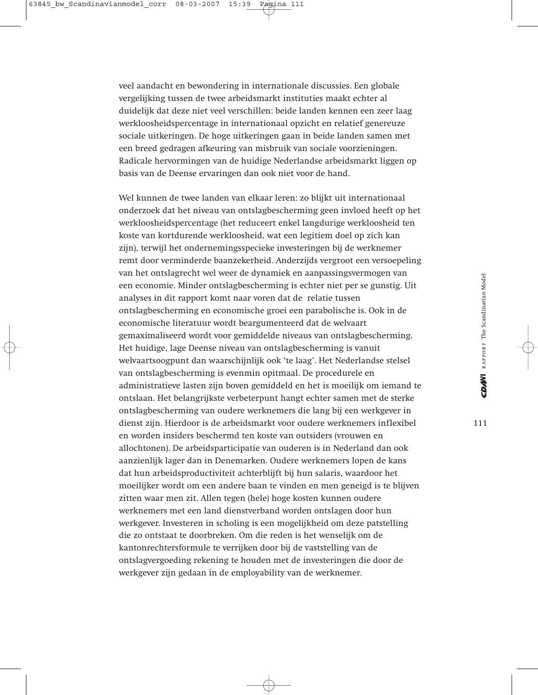veel aandacht en bewondering in internationale discussies. Een globale vergelijking tussen de twee arbeidsmarkt instituties maakt echter al duidelijk dat deze niet veel verschillen: beide landen kennen een zeer laag werkloosheidspercentage in internationaal opzicht en relatief genereuze sociale uitkeringen. De hoge uitkeringen gaan in beide landen samen met een breed gedragen afkeuring van misbruik van sociale voorzieningen. Radicale hervormingen van de huidige Nederlandse arbeidsmarkt liggen op basis van de Deense ervaringen dan ook niet voor de hand.

Wel kunnen de twee landen van elkaar leren: zo blijkt uit internationaal onderzoek dat het niveau van ontslagbescherming geen invloed heeft op het werkloosheidspercentage (het reduceert enkel langdurige werkloosheid ten koste van kortdurende werkloosheid, wat een legitiem doel op zich kan zijn), terwijl het ondernemingsspecieke investeringen bij de werknemer remt door verminderde baanzekerheid. Anderzijds vergroot een versoepeling van het ontslagrecht wel weer de dynamiek en aanpassingsvermogen van een economie. Minder ontslagbescherming is echter niet per se gunstig. Uit analyses in dit rapport komt naar voren dat de relatie tussen ontslagbescherming en economische groei een parabolische is. Ook in de economische literatuur wordt beargumenteerd dat de welvaart gemaximaliseerd wordt voor gemiddelde niveaus van ontslagbescherming. Het huidige, lage Deense niveau van ontslagbescherming is vanuit welvaartsoogpunt dan waarschijnlijk ook 'te laag'. Het Nederlandse stelsel van ontslagbescherming is evenmin opitmaal. De procedurele en administratieve lasten zijn boven gemiddeld en het is moeilijk om iemand te ontslaan. Het belangrijkste verbeterpunt hangt echter samen met de sterke ontslagbescherming van oudere werknemers die lang bij een werkgever in dienst zijn. Hierdoor is de arbeidsmarkt voor oudere werknemers inflexibel en worden insiders beschermd ten koste van outsiders (vrouwen en allochtonen). De arbeidsparticipatie van ouderen is in Nederland dan ook aanzienlijk lager dan in Denemarken. Oudere werknemers lopen de kans dat hun arbeidsproductiviteit achterblijft bij hun salaris, waardoor het moeilijker wordt om een andere baan te vinden en men geneigd is te blijven zitten waar men zit. Allen tegen (hele) hoge kosten kunnen oudere werknemers met een land dienstverband worden ontslagen door hun werkgever. Investeren in scholing is een mogelijkheid om deze patstelling die zo ontstaat te doorbreken. Om die reden is het wenselijk om de kantonrechtersformule te verrijken door bij de vaststelling van de ontslagvergoeding rekening te houden met de investeringen die door de werkgever zijn gedaan in de employability van de werknemer.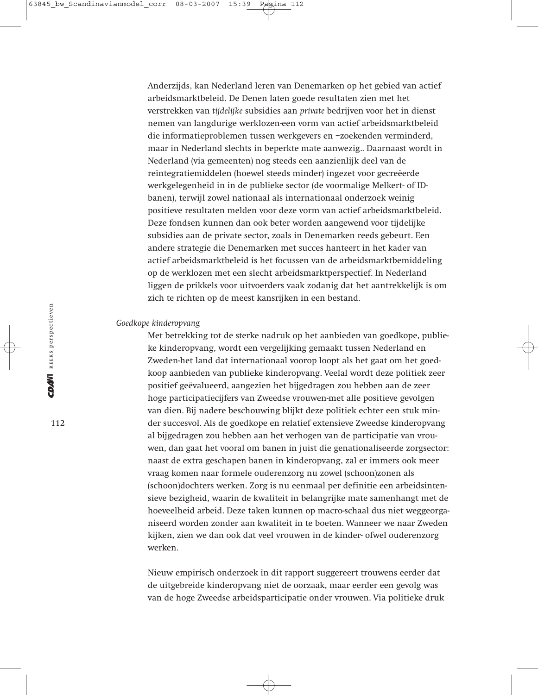Anderzijds, kan Nederland leren van Denemarken op het gebied van actief arbeidsmarktbeleid. De Denen laten goede resultaten zien met het verstrekken van *tijdelijke* subsidies aan *private* bedrijven voor het in dienst nemen van langdurige werklozen-een vorm van actief arbeidsmarktbeleid die informatieproblemen tussen werkgevers en –zoekenden verminderd, maar in Nederland slechts in beperkte mate aanwezig.. Daarnaast wordt in Nederland (via gemeenten) nog steeds een aanzienlijk deel van de reïntegratiemiddelen (hoewel steeds minder) ingezet voor gecreëerde werkgelegenheid in in de publieke sector (de voormalige Melkert- of IDbanen), terwijl zowel nationaal als internationaal onderzoek weinig positieve resultaten melden voor deze vorm van actief arbeidsmarktbeleid. Deze fondsen kunnen dan ook beter worden aangewend voor tijdelijke subsidies aan de private sector, zoals in Denemarken reeds gebeurt. Een andere strategie die Denemarken met succes hanteert in het kader van actief arbeidsmarktbeleid is het focussen van de arbeidsmarktbemiddeling op de werklozen met een slecht arbeidsmarktperspectief. In Nederland liggen de prikkels voor uitvoerders vaak zodanig dat het aantrekkelijk is om zich te richten op de meest kansrijken in een bestand.

#### *Goedkope kinderopvang*

Met betrekking tot de sterke nadruk op het aanbieden van goedkope, publieke kinderopvang, wordt een vergelijking gemaakt tussen Nederland en Zweden-het land dat internationaal voorop loopt als het gaat om het goedkoop aanbieden van publieke kinderopvang. Veelal wordt deze politiek zeer positief geëvalueerd, aangezien het bijgedragen zou hebben aan de zeer hoge participatiecijfers van Zweedse vrouwen-met alle positieve gevolgen van dien. Bij nadere beschouwing blijkt deze politiek echter een stuk minder succesvol. Als de goedkope en relatief extensieve Zweedse kinderopvang al bijgedragen zou hebben aan het verhogen van de participatie van vrouwen, dan gaat het vooral om banen in juist die genationaliseerde zorgsector: naast de extra geschapen banen in kinderopvang, zal er immers ook meer vraag komen naar formele ouderenzorg nu zowel (schoon)zonen als (schoon)dochters werken. Zorg is nu eenmaal per definitie een arbeidsintensieve bezigheid, waarin de kwaliteit in belangrijke mate samenhangt met de hoeveelheid arbeid. Deze taken kunnen op macro-schaal dus niet weggeorganiseerd worden zonder aan kwaliteit in te boeten. Wanneer we naar Zweden kijken, zien we dan ook dat veel vrouwen in de kinder- ofwel ouderenzorg werken.

Nieuw empirisch onderzoek in dit rapport suggereert trouwens eerder dat de uitgebreide kinderopvang niet de oorzaak, maar eerder een gevolg was van de hoge Zweedse arbeidsparticipatie onder vrouwen. Via politieke druk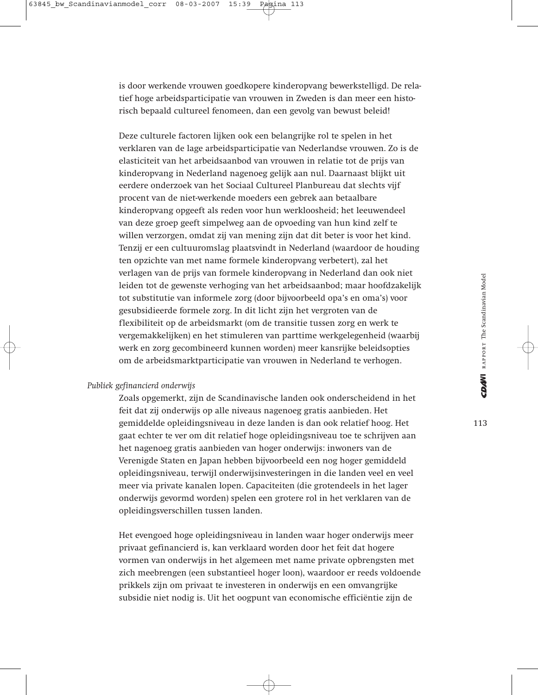is door werkende vrouwen goedkopere kinderopvang bewerkstelligd. De relatief hoge arbeidsparticipatie van vrouwen in Zweden is dan meer een historisch bepaald cultureel fenomeen, dan een gevolg van bewust beleid!

Deze culturele factoren lijken ook een belangrijke rol te spelen in het verklaren van de lage arbeidsparticipatie van Nederlandse vrouwen. Zo is de elasticiteit van het arbeidsaanbod van vrouwen in relatie tot de prijs van kinderopvang in Nederland nagenoeg gelijk aan nul. Daarnaast blijkt uit eerdere onderzoek van het Sociaal Cultureel Planbureau dat slechts vijf procent van de niet-werkende moeders een gebrek aan betaalbare kinderopvang opgeeft als reden voor hun werkloosheid; het leeuwendeel van deze groep geeft simpelweg aan de opvoeding van hun kind zelf te willen verzorgen, omdat zij van mening zijn dat dit beter is voor het kind. Tenzij er een cultuuromslag plaatsvindt in Nederland (waardoor de houding ten opzichte van met name formele kinderopvang verbetert), zal het verlagen van de prijs van formele kinderopvang in Nederland dan ook niet leiden tot de gewenste verhoging van het arbeidsaanbod; maar hoofdzakelijk tot substitutie van informele zorg (door bijvoorbeeld opa's en oma's) voor gesubsidieerde formele zorg. In dit licht zijn het vergroten van de flexibiliteit op de arbeidsmarkt (om de transitie tussen zorg en werk te vergemakkelijken) en het stimuleren van parttime werkgelegenheid (waarbij werk en zorg gecombineerd kunnen worden) meer kansrijke beleidsopties om de arbeidsmarktparticipatie van vrouwen in Nederland te verhogen.

# *Publiek gefinancierd onderwijs*

Zoals opgemerkt, zijn de Scandinavische landen ook onderscheidend in het feit dat zij onderwijs op alle niveaus nagenoeg gratis aanbieden. Het gemiddelde opleidingsniveau in deze landen is dan ook relatief hoog. Het gaat echter te ver om dit relatief hoge opleidingsniveau toe te schrijven aan het nagenoeg gratis aanbieden van hoger onderwijs: inwoners van de Verenigde Staten en Japan hebben bijvoorbeeld een nog hoger gemiddeld opleidingsniveau, terwijl onderwijsinvesteringen in die landen veel en veel meer via private kanalen lopen. Capaciteiten (die grotendeels in het lager onderwijs gevormd worden) spelen een grotere rol in het verklaren van de opleidingsverschillen tussen landen.

Het evengoed hoge opleidingsniveau in landen waar hoger onderwijs meer privaat gefinancierd is, kan verklaard worden door het feit dat hogere vormen van onderwijs in het algemeen met name private opbrengsten met zich meebrengen (een substantieel hoger loon), waardoor er reeds voldoende prikkels zijn om privaat te investeren in onderwijs en een omvangrijke subsidie niet nodig is. Uit het oogpunt van economische efficiëntie zijn de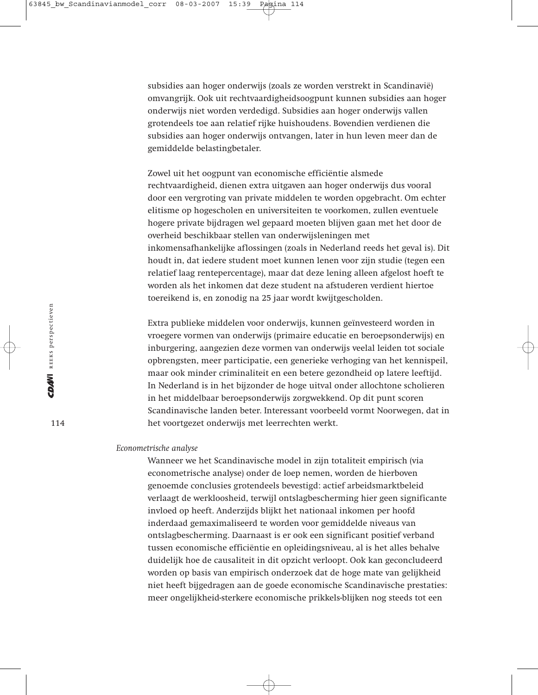subsidies aan hoger onderwijs (zoals ze worden verstrekt in Scandinavië) omvangrijk. Ook uit rechtvaardigheidsoogpunt kunnen subsidies aan hoger onderwijs niet worden verdedigd. Subsidies aan hoger onderwijs vallen grotendeels toe aan relatief rijke huishoudens. Bovendien verdienen die subsidies aan hoger onderwijs ontvangen, later in hun leven meer dan de gemiddelde belastingbetaler.

Zowel uit het oogpunt van economische efficiëntie alsmede rechtvaardigheid, dienen extra uitgaven aan hoger onderwijs dus vooral door een vergroting van private middelen te worden opgebracht. Om echter elitisme op hogescholen en universiteiten te voorkomen, zullen eventuele hogere private bijdragen wel gepaard moeten blijven gaan met het door de overheid beschikbaar stellen van onderwijsleningen met inkomensafhankelijke aflossingen (zoals in Nederland reeds het geval is). Dit houdt in, dat iedere student moet kunnen lenen voor zijn studie (tegen een relatief laag rentepercentage), maar dat deze lening alleen afgelost hoeft te worden als het inkomen dat deze student na afstuderen verdient hiertoe toereikend is, en zonodig na 25 jaar wordt kwijtgescholden.

Extra publieke middelen voor onderwijs, kunnen geïnvesteerd worden in vroegere vormen van onderwijs (primaire educatie en beroepsonderwijs) en inburgering, aangezien deze vormen van onderwijs veelal leiden tot sociale opbrengsten, meer participatie, een generieke verhoging van het kennispeil, maar ook minder criminaliteit en een betere gezondheid op latere leeftijd. In Nederland is in het bijzonder de hoge uitval onder allochtone scholieren in het middelbaar beroepsonderwijs zorgwekkend. Op dit punt scoren Scandinavische landen beter. Interessant voorbeeld vormt Noorwegen, dat in het voortgezet onderwijs met leerrechten werkt.

#### *Econometrische analyse*

Wanneer we het Scandinavische model in zijn totaliteit empirisch (via econometrische analyse) onder de loep nemen, worden de hierboven genoemde conclusies grotendeels bevestigd: actief arbeidsmarktbeleid verlaagt de werkloosheid, terwijl ontslagbescherming hier geen significante invloed op heeft. Anderzijds blijkt het nationaal inkomen per hoofd inderdaad gemaximaliseerd te worden voor gemiddelde niveaus van ontslagbescherming. Daarnaast is er ook een significant positief verband tussen economische efficiëntie en opleidingsniveau, al is het alles behalve duidelijk hoe de causaliteit in dit opzicht verloopt. Ook kan geconcludeerd worden op basis van empirisch onderzoek dat de hoge mate van gelijkheid niet heeft bijgedragen aan de goede economische Scandinavische prestaties: meer ongelijkheid-sterkere economische prikkels-blijken nog steeds tot een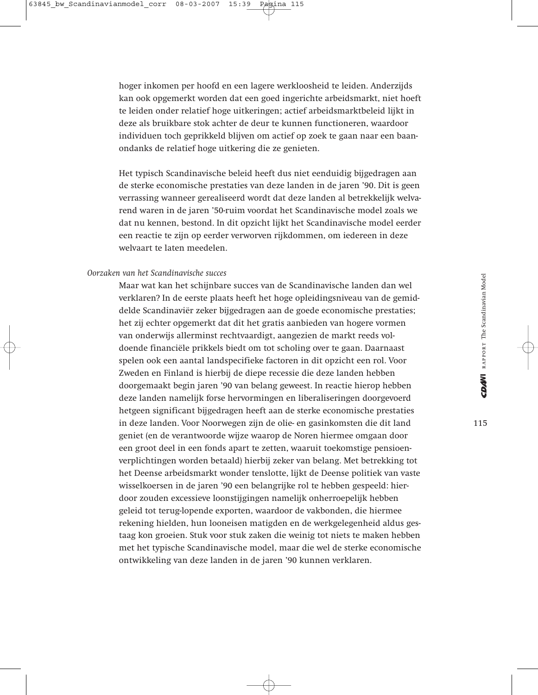hoger inkomen per hoofd en een lagere werkloosheid te leiden. Anderzijds kan ook opgemerkt worden dat een goed ingerichte arbeidsmarkt, niet hoeft te leiden onder relatief hoge uitkeringen; actief arbeidsmarktbeleid lijkt in deze als bruikbare stok achter de deur te kunnen functioneren, waardoor individuen toch geprikkeld blijven om actief op zoek te gaan naar een baanondanks de relatief hoge uitkering die ze genieten.

Het typisch Scandinavische beleid heeft dus niet eenduidig bijgedragen aan de sterke economische prestaties van deze landen in de jaren '90. Dit is geen verrassing wanneer gerealiseerd wordt dat deze landen al betrekkelijk welvarend waren in de jaren '50-ruim voordat het Scandinavische model zoals we dat nu kennen, bestond. In dit opzicht lijkt het Scandinavische model eerder een reactie te zijn op eerder verworven rijkdommen, om iedereen in deze welvaart te laten meedelen.

# *Oorzaken van het Scandinavische succes*

Maar wat kan het schijnbare succes van de Scandinavische landen dan wel verklaren? In de eerste plaats heeft het hoge opleidingsniveau van de gemiddelde Scandinaviër zeker bijgedragen aan de goede economische prestaties; het zij echter opgemerkt dat dit het gratis aanbieden van hogere vormen van onderwijs allerminst rechtvaardigt, aangezien de markt reeds voldoende financiële prikkels biedt om tot scholing over te gaan. Daarnaast spelen ook een aantal landspecifieke factoren in dit opzicht een rol. Voor Zweden en Finland is hierbij de diepe recessie die deze landen hebben doorgemaakt begin jaren '90 van belang geweest. In reactie hierop hebben deze landen namelijk forse hervormingen en liberaliseringen doorgevoerd hetgeen significant bijgedragen heeft aan de sterke economische prestaties in deze landen. Voor Noorwegen zijn de olie- en gasinkomsten die dit land geniet (en de verantwoorde wijze waarop de Noren hiermee omgaan door een groot deel in een fonds apart te zetten, waaruit toekomstige pensioenverplichtingen worden betaald) hierbij zeker van belang. Met betrekking tot het Deense arbeidsmarkt wonder tenslotte, lijkt de Deense politiek van vaste wisselkoersen in de jaren '90 een belangrijke rol te hebben gespeeld: hierdoor zouden excessieve loonstijgingen namelijk onherroepelijk hebben geleid tot terug-lopende exporten, waardoor de vakbonden, die hiermee rekening hielden, hun looneisen matigden en de werkgelegenheid aldus gestaag kon groeien. Stuk voor stuk zaken die weinig tot niets te maken hebben met het typische Scandinavische model, maar die wel de sterke economische ontwikkeling van deze landen in de jaren '90 kunnen verklaren.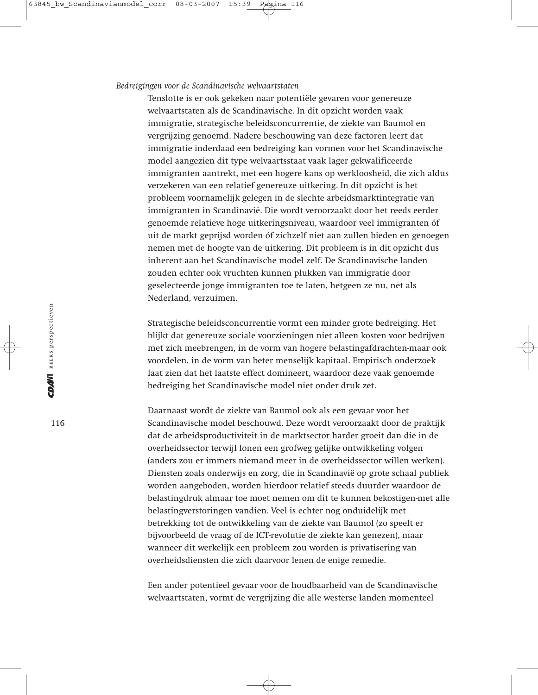#### *Bedreigingen voor de Scandinavische welvaartstaten*

Tenslotte is er ook gekeken naar potentiële gevaren voor genereuze welvaartstaten als de Scandinavische. In dit opzicht worden vaak immigratie, strategische beleidsconcurrentie, de ziekte van Baumol en vergrijzing genoemd. Nadere beschouwing van deze factoren leert dat immigratie inderdaad een bedreiging kan vormen voor het Scandinavische model aangezien dit type welvaartsstaat vaak lager gekwalificeerde immigranten aantrekt, met een hogere kans op werkloosheid, die zich aldus verzekeren van een relatief genereuze uitkering. In dit opzicht is het probleem voornamelijk gelegen in de slechte arbeidsmarktintegratie van immigranten in Scandinavië. Die wordt veroorzaakt door het reeds eerder genoemde relatieve hoge uitkeringsniveau, waardoor veel immigranten óf uit de markt geprijsd worden óf zichzelf niet aan zullen bieden en genoegen nemen met de hoogte van de uitkering. Dit probleem is in dit opzicht dus inherent aan het Scandinavische model zelf. De Scandinavische landen zouden echter ook vruchten kunnen plukken van immigratie door geselecteerde jonge immigranten toe te laten, hetgeen ze nu, net als Nederland, verzuimen.

Strategische beleidsconcurrentie vormt een minder grote bedreiging. Het blijkt dat genereuze sociale voorzieningen niet alleen kosten voor bedrijven met zich meebrengen, in de vorm van hogere belastingafdrachten-maar ook voordelen, in de vorm van beter menselijk kapitaal. Empirisch onderzoek laat zien dat het laatste effect domineert, waardoor deze vaak genoemde bedreiging het Scandinavische model niet onder druk zet.

Daarnaast wordt de ziekte van Baumol ook als een gevaar voor het Scandinavische model beschouwd. Deze wordt veroorzaakt door de praktijk dat de arbeidsproductiviteit in de marktsector harder groeit dan die in de overheidssector terwijl lonen een grofweg gelijke ontwikkeling volgen (anders zou er immers niemand meer in de overheidssector willen werken). Diensten zoals onderwijs en zorg, die in Scandinavië op grote schaal publiek worden aangeboden, worden hierdoor relatief steeds duurder waardoor de belastingdruk almaar toe moet nemen om dit te kunnen bekostigen-met alle belastingverstoringen vandien. Veel is echter nog onduidelijk met betrekking tot de ontwikkeling van de ziekte van Baumol (zo speelt er bijvoorbeeld de vraag of de ICT-revolutie de ziekte kan genezen), maar wanneer dit werkelijk een probleem zou worden is privatisering van overheidsdiensten die zich daarvoor lenen de enige remedie.

Een ander potentieel gevaar voor de houdbaarheid van de Scandinavische welvaartstaten, vormt de vergrijzing die alle westerse landen momenteel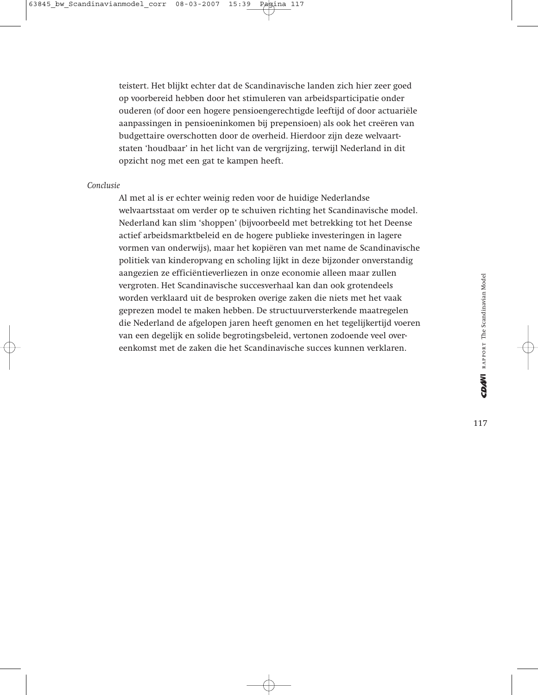teistert. Het blijkt echter dat de Scandinavische landen zich hier zeer goed op voorbereid hebben door het stimuleren van arbeidsparticipatie onder ouderen (of door een hogere pensioengerechtigde leeftijd of door actuariële aanpassingen in pensioeninkomen bij prepensioen) als ook het creëren van budgettaire overschotten door de overheid. Hierdoor zijn deze welvaartstaten 'houdbaar' in het licht van de vergrijzing, terwijl Nederland in dit opzicht nog met een gat te kampen heeft.

# *Conclusie*

Al met al is er echter weinig reden voor de huidige Nederlandse welvaartsstaat om verder op te schuiven richting het Scandinavische model. Nederland kan slim 'shoppen' (bijvoorbeeld met betrekking tot het Deense actief arbeidsmarktbeleid en de hogere publieke investeringen in lagere vormen van onderwijs), maar het kopiëren van met name de Scandinavische politiek van kinderopvang en scholing lijkt in deze bijzonder onverstandig aangezien ze efficiëntieverliezen in onze economie alleen maar zullen vergroten. Het Scandinavische succesverhaal kan dan ook grotendeels worden verklaard uit de besproken overige zaken die niets met het vaak geprezen model te maken hebben. De structuurversterkende maatregelen die Nederland de afgelopen jaren heeft genomen en het tegelijkertijd voeren van een degelijk en solide begrotingsbeleid, vertonen zodoende veel overeenkomst met de zaken die het Scandinavische succes kunnen verklaren.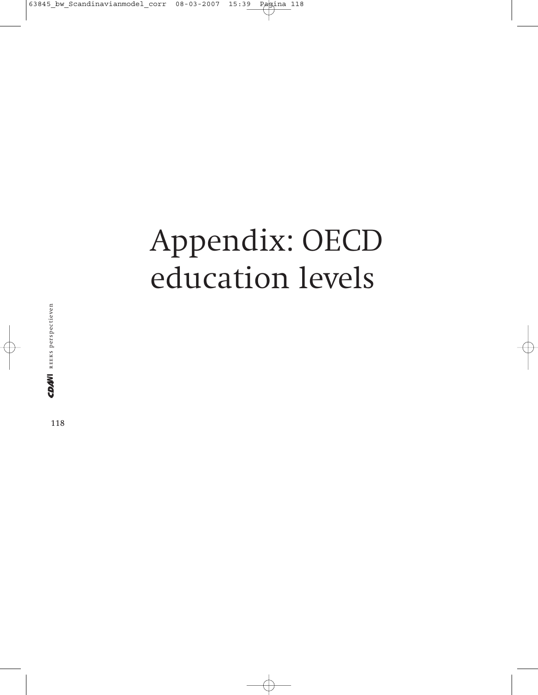# Appendix: OECD education levels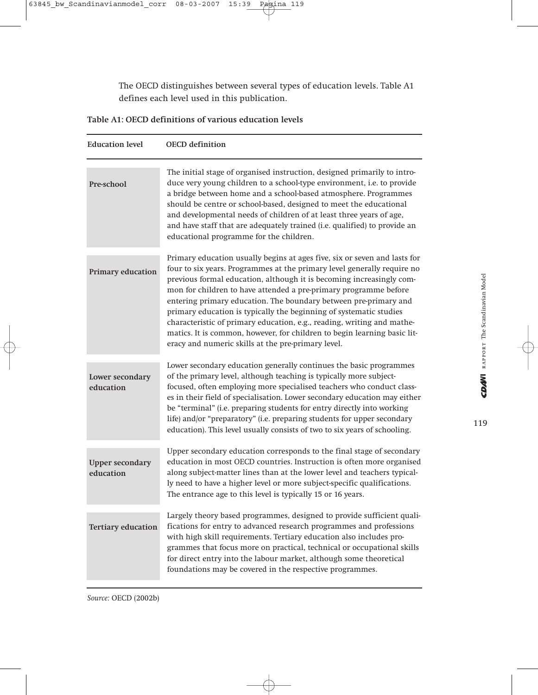The OECD distinguishes between several types of education levels. Table A1 defines each level used in this publication.

| Table A1: OECD definitions of various education levels |  |  |
|--------------------------------------------------------|--|--|
|                                                        |  |  |

| <b>Education level</b>              | <b>OECD</b> definition                                                                                                                                                                                                                                                                                                                                                                                                                                                                                                                                                                                                                                 |
|-------------------------------------|--------------------------------------------------------------------------------------------------------------------------------------------------------------------------------------------------------------------------------------------------------------------------------------------------------------------------------------------------------------------------------------------------------------------------------------------------------------------------------------------------------------------------------------------------------------------------------------------------------------------------------------------------------|
| Pre-school                          | The initial stage of organised instruction, designed primarily to intro-<br>duce very young children to a school-type environment, i.e. to provide<br>a bridge between home and a school-based atmosphere. Programmes<br>should be centre or school-based, designed to meet the educational<br>and developmental needs of children of at least three years of age,<br>and have staff that are adequately trained (i.e. qualified) to provide an<br>educational programme for the children.                                                                                                                                                             |
| Primary education                   | Primary education usually begins at ages five, six or seven and lasts for<br>four to six years. Programmes at the primary level generally require no<br>previous formal education, although it is becoming increasingly com-<br>mon for children to have attended a pre-primary programme before<br>entering primary education. The boundary between pre-primary and<br>primary education is typically the beginning of systematic studies<br>characteristic of primary education, e.g., reading, writing and mathe-<br>matics. It is common, however, for children to begin learning basic lit-<br>eracy and numeric skills at the pre-primary level. |
| Lower secondary<br>education        | Lower secondary education generally continues the basic programmes<br>of the primary level, although teaching is typically more subject-<br>focused, often employing more specialised teachers who conduct class-<br>es in their field of specialisation. Lower secondary education may either<br>be "terminal" (i.e. preparing students for entry directly into working<br>life) and/or "preparatory" (i.e. preparing students for upper secondary<br>education). This level usually consists of two to six years of schooling.                                                                                                                       |
| <b>Upper secondary</b><br>education | Upper secondary education corresponds to the final stage of secondary<br>education in most OECD countries. Instruction is often more organised<br>along subject-matter lines than at the lower level and teachers typical-<br>ly need to have a higher level or more subject-specific qualifications.<br>The entrance age to this level is typically 15 or 16 years.                                                                                                                                                                                                                                                                                   |
| <b>Tertiary education</b>           | Largely theory based programmes, designed to provide sufficient quali-<br>fications for entry to advanced research programmes and professions<br>with high skill requirements. Tertiary education also includes pro-<br>grammes that focus more on practical, technical or occupational skills<br>for direct entry into the labour market, although some theoretical<br>foundations may be covered in the respective programmes.                                                                                                                                                                                                                       |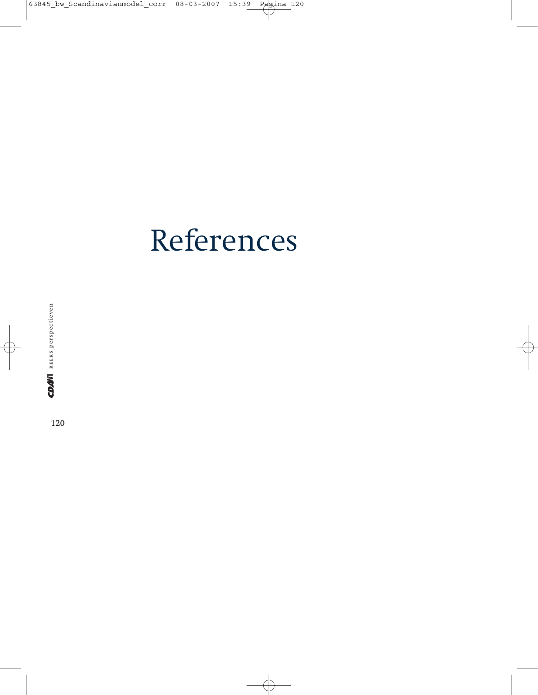# References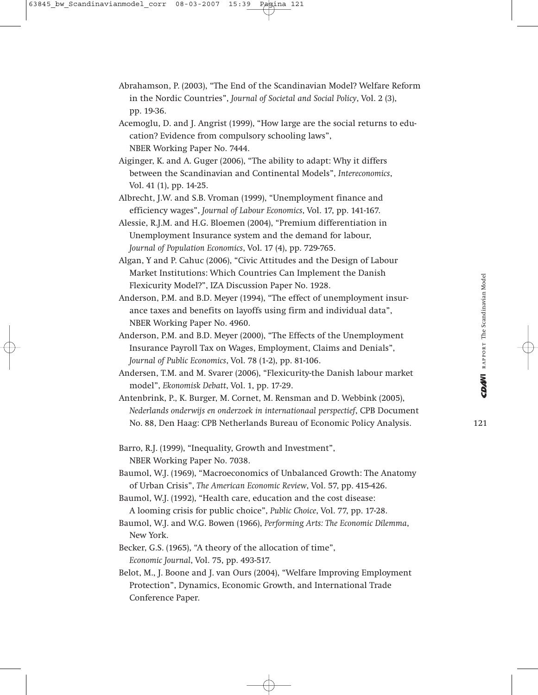- Abrahamson, P. (2003), "The End of the Scandinavian Model? Welfare Reform in the Nordic Countries", *Journal of Societal and Social Policy*, Vol. 2 (3), pp. 19-36.
- Acemoglu, D. and J. Angrist (1999), "How large are the social returns to education? Evidence from compulsory schooling laws", NBER Working Paper No. 7444.
- Aiginger, K. and A. Guger (2006), "The ability to adapt: Why it differs between the Scandinavian and Continental Models", *Intereconomics*, Vol. 41 (1), pp. 14-25.
- Albrecht, J.W. and S.B. Vroman (1999), "Unemployment finance and efficiency wages", *Journal of Labour Economics*, Vol. 17, pp. 141-167.
- Alessie, R.J.M. and H.G. Bloemen (2004), "Premium differentiation in Unemployment Insurance system and the demand for labour, *Journal of Population Economics*, Vol. 17 (4), pp. 729-765.
- Algan, Y and P. Cahuc (2006), "Civic Attitudes and the Design of Labour Market Institutions: Which Countries Can Implement the Danish Flexicurity Model?", IZA Discussion Paper No. 1928.
- Anderson, P.M. and B.D. Meyer (1994), "The effect of unemployment insurance taxes and benefits on layoffs using firm and individual data", NBER Working Paper No. 4960.
- Anderson, P.M. and B.D. Meyer (2000), "The Effects of the Unemployment Insurance Payroll Tax on Wages, Employment, Claims and Denials", *Journal of Public Economics*, Vol. 78 (1-2), pp. 81-106.
- Andersen, T.M. and M. Svarer (2006), "Flexicurity-the Danish labour market model", *Ekonomisk Debatt*, Vol. 1, pp. 17-29.
- Antenbrink, P., K. Burger, M. Cornet, M. Rensman and D. Webbink (2005), *Nederlands onderwijs en onderzoek in internationaal perspectief*, CPB Document No. 88, Den Haag: CPB Netherlands Bureau of Economic Policy Analysis.
- Barro, R.J. (1999), "Inequality, Growth and Investment", NBER Working Paper No. 7038.
- Baumol, W.J. (1969), "Macroeconomics of Unbalanced Growth: The Anatomy of Urban Crisis", *The American Economic Review*, Vol. 57, pp. 415-426.
- Baumol, W.J. (1992), "Health care, education and the cost disease: A looming crisis for public choice", *Public Choice*, Vol. 77, pp. 17-28.
- Baumol, W.J. and W.G. Bowen (1966), *Performing Arts: The Economic Dilemma*, New York.
- Becker, G.S. (1965), "A theory of the allocation of time", *Economic Journal*, Vol. 75, pp. 493-517.
- Belot, M., J. Boone and J. van Ours (2004), "Welfare Improving Employment Protection", Dynamics, Economic Growth, and International Trade Conference Paper.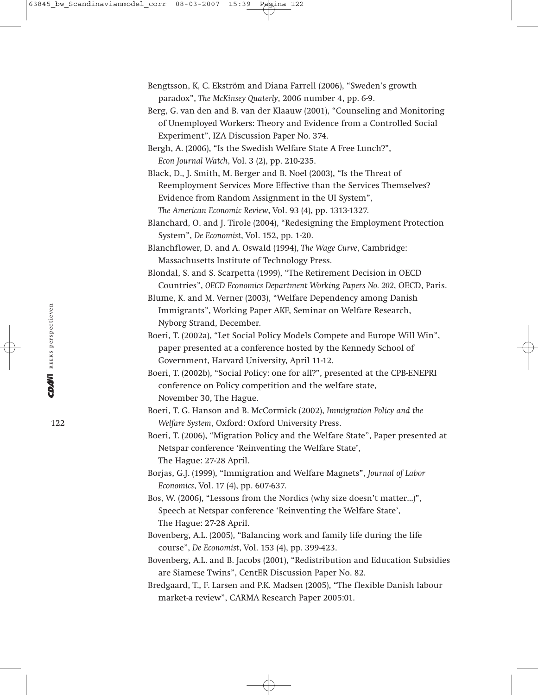- Bengtsson, K, C. Ekström and Diana Farrell (2006), "Sweden's growth paradox", *The McKinsey Quaterly*, 2006 number 4, pp. 6-9.
- Berg, G. van den and B. van der Klaauw (2001), "Counseling and Monitoring of Unemployed Workers: Theory and Evidence from a Controlled Social Experiment", IZA Discussion Paper No. 374.
- Bergh, A. (2006), "Is the Swedish Welfare State A Free Lunch?", *Econ Journal Watch*, Vol. 3 (2), pp. 210-235.
- Black, D., J. Smith, M. Berger and B. Noel (2003), "Is the Threat of Reemployment Services More Effective than the Services Themselves? Evidence from Random Assignment in the UI System", *The American Economic Review*, Vol. 93 (4), pp. 1313-1327.
- Blanchard, O. and J. Tirole (2004), "Redesigning the Employment Protection System", *De Economist*, Vol. 152, pp. 1-20.

Blanchflower, D. and A. Oswald (1994), *The Wage Curve*, Cambridge: Massachusetts Institute of Technology Press.

Blondal, S. and S. Scarpetta (1999), "The Retirement Decision in OECD Countries", *OECD Economics Department Working Papers No. 202*, OECD, Paris.

Blume, K. and M. Verner (2003), "Welfare Dependency among Danish Immigrants", Working Paper AKF, Seminar on Welfare Research, Nyborg Strand, December.

- Boeri, T. (2002a), "Let Social Policy Models Compete and Europe Will Win", paper presented at a conference hosted by the Kennedy School of Government, Harvard University, April 11-12.
- Boeri, T. (2002b), "Social Policy: one for all?", presented at the CPB-ENEPRI conference on Policy competition and the welfare state, November 30, The Hague.
- Boeri, T. G. Hanson and B. McCormick (2002), *Immigration Policy and the Welfare System*, Oxford: Oxford University Press.
- Boeri, T. (2006), "Migration Policy and the Welfare State", Paper presented at Netspar conference 'Reinventing the Welfare State', The Hague: 27-28 April.
- Borjas, G.J. (1999), "Immigration and Welfare Magnets", *Journal of Labor Economics*, Vol. 17 (4), pp. 607-637.
- Bos, W. (2006), "Lessons from the Nordics (why size doesn't matter…)", Speech at Netspar conference 'Reinventing the Welfare State', The Hague: 27-28 April.
- Bovenberg, A.L. (2005), "Balancing work and family life during the life course", *De Economist*, Vol. 153 (4), pp. 399-423.
- Bovenberg, A.L. and B. Jacobs (2001), "Redistribution and Education Subsidies are Siamese Twins", CentER Discussion Paper No. 82.
- Bredgaard, T., F. Larsen and P.K. Madsen (2005), "The flexible Danish labour market-a review", CARMA Research Paper 2005:01.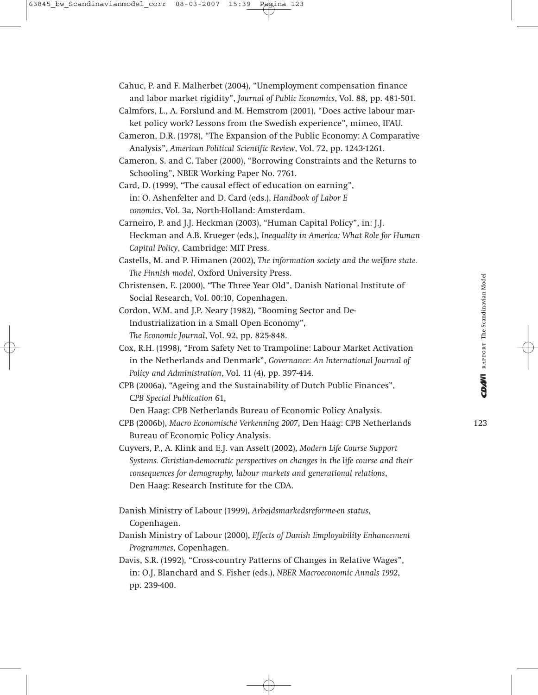Cahuc, P. and F. Malherbet (2004), "Unemployment compensation finance and labor market rigidity", *Journal of Public Economics*, Vol. 88, pp. 481-501.

- Calmfors, L., A. Forslund and M. Hemstrom (2001), "Does active labour market policy work? Lessons from the Swedish experience", mimeo, IFAU.
- Cameron, D.R. (1978), "The Expansion of the Public Economy: A Comparative Analysis", *American Political Scientific Review*, Vol. 72, pp. 1243-1261.

Cameron, S. and C. Taber (2000), "Borrowing Constraints and the Returns to Schooling", NBER Working Paper No. 7761.

- Card, D. (1999), "The causal effect of education on earning", in: O. Ashenfelter and D. Card (eds.), *Handbook of Labor E conomics*, Vol. 3a, North-Holland: Amsterdam.
- Carneiro, P. and J.J. Heckman (2003), "Human Capital Policy", in: J.J. Heckman and A.B. Krueger (eds.), *Inequality in America: What Role for Human Capital Policy*, Cambridge: MIT Press.
- Castells, M. and P. Himanen (2002), *The information society and the welfare state. The Finnish model*, Oxford University Press.
- Christensen, E. (2000), "The Three Year Old", Danish National Institute of Social Research, Vol. 00:10, Copenhagen.
- Cordon, W.M. and J.P. Neary (1982), "Booming Sector and De-Industrialization in a Small Open Economy", *The Economic Journal*, Vol. 92, pp. 825-848.
- Cox, R.H. (1998), "From Safety Net to Trampoline: Labour Market Activation in the Netherlands and Denmark", *Governance: An International Journal of Policy and Administration*, Vol. 11 (4), pp. 397-414.
- CPB (2006a), "Ageing and the Sustainability of Dutch Public Finances", C*PB Special Publication* 61,

Den Haag: CPB Netherlands Bureau of Economic Policy Analysis.

CPB (2006b), *Macro Economische Verkenning 2007*, Den Haag: CPB Netherlands Bureau of Economic Policy Analysis.

Cuyvers, P., A. Klink and E.J. van Asselt (2002), *Modern Life Course Support Systems. Christian-democratic perspectives on changes in the life course and their consequences for demography, labour markets and generational relations*, Den Haag: Research Institute for the CDA.

- Danish Ministry of Labour (1999), *Arbejdsmarkedsreforme-en status*, Copenhagen.
- Danish Ministry of Labour (2000), *Effects of Danish Employability Enhancement Programmes*, Copenhagen.
- Davis, S.R. (1992), "Cross-country Patterns of Changes in Relative Wages", in: O.J. Blanchard and S. Fisher (eds.), *NBER Macroeconomic Annals 1992*, pp. 239-400.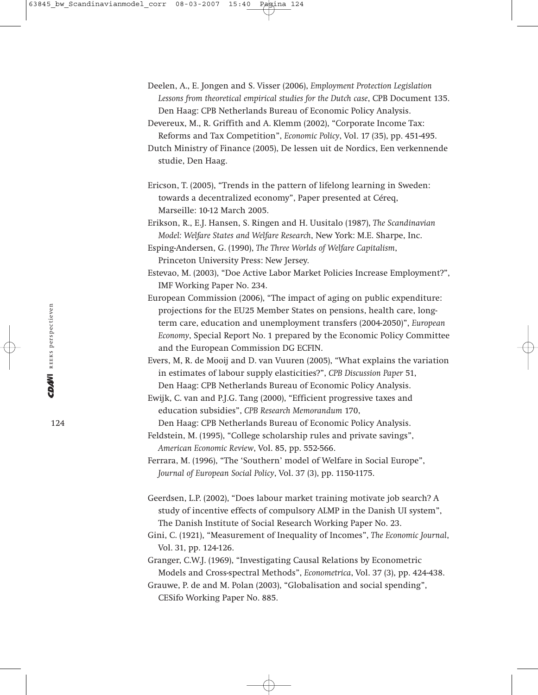- Deelen, A., E. Jongen and S. Visser (2006), *Employment Protection Legislation Lessons from theoretical empirical studies for the Dutch case*, CPB Document 135. Den Haag: CPB Netherlands Bureau of Economic Policy Analysis.
- Devereux, M., R. Griffith and A. Klemm (2002), "Corporate Income Tax: Reforms and Tax Competition", *Economic Policy*, Vol. 17 (35), pp. 451-495.
- Dutch Ministry of Finance (2005), De lessen uit de Nordics, Een verkennende studie, Den Haag.
- Ericson, T. (2005), "Trends in the pattern of lifelong learning in Sweden: towards a decentralized economy", Paper presented at Céreq, Marseille: 10-12 March 2005.
- Erikson, R., E.J. Hansen, S. Ringen and H. Uusitalo (1987), *The Scandinavian Model: Welfare States and Welfare Research*, New York: M.E. Sharpe, Inc.

Esping-Andersen, G. (1990), *The Three Worlds of Welfare Capitalism*, Princeton University Press: New Jersey.

Estevao, M. (2003), "Doe Active Labor Market Policies Increase Employment?", IMF Working Paper No. 234.

- European Commission (2006), "The impact of aging on public expenditure: projections for the EU25 Member States on pensions, health care, longterm care, education and unemployment transfers (2004-2050)", *European Economy*, Special Report No. 1 prepared by the Economic Policy Committee and the European Commission DG ECFIN.
- Evers, M, R. de Mooij and D. van Vuuren (2005), "What explains the variation in estimates of labour supply elasticities?", *CPB Discussion Paper* 51, Den Haag: CPB Netherlands Bureau of Economic Policy Analysis.

Ewijk, C. van and P.J.G. Tang (2000), "Efficient progressive taxes and education subsidies", *CPB Research Memorandum* 170,

Den Haag: CPB Netherlands Bureau of Economic Policy Analysis.

- Feldstein, M. (1995), "College scholarship rules and private savings", *American Economic Review*, Vol. 85, pp. 552-566.
- Ferrara, M. (1996), "The 'Southern' model of Welfare in Social Europe", *Journal of European Social Policy*, Vol. 37 (3), pp. 1150-1175.
- Geerdsen, L.P. (2002), "Does labour market training motivate job search? A study of incentive effects of compulsory ALMP in the Danish UI system", The Danish Institute of Social Research Working Paper No. 23.

Gini, C. (1921), "Measurement of Inequality of Incomes", *The Economic Journal*, Vol. 31, pp. 124-126.

Granger, C.W.J. (1969), "Investigating Causal Relations by Econometric Models and Cross-spectral Methods", *Econometrica*, Vol. 37 (3), pp. 424-438.

Grauwe, P. de and M. Polan (2003), "Globalisation and social spending", CESifo Working Paper No. 885.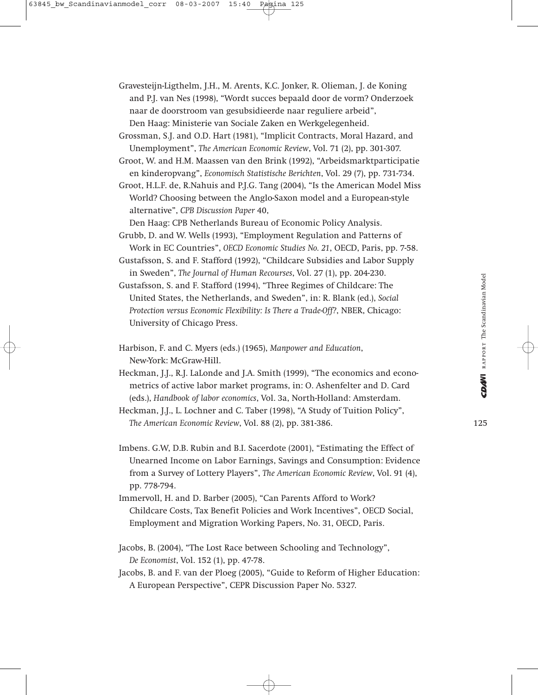- Grossman, S.J. and O.D. Hart (1981), "Implicit Contracts, Moral Hazard, and Unemployment", *The American Economic Review*, Vol. 71 (2), pp. 301-307.
- Groot, W. and H.M. Maassen van den Brink (1992), "Arbeidsmarktparticipatie en kinderopvang", *Economisch Statistische Berichten*, Vol. 29 (7), pp. 731-734.
- Groot, H.L.F. de, R.Nahuis and P.J.G. Tang (2004), "Is the American Model Miss World? Choosing between the Anglo-Saxon model and a European-style alternative", *CPB Discussion Paper* 40,

Den Haag: CPB Netherlands Bureau of Economic Policy Analysis.

- Grubb, D. and W. Wells (1993), "Employment Regulation and Patterns of Work in EC Countries", *OECD Economic Studies No. 21*, OECD, Paris, pp. 7-58.
- Gustafsson, S. and F. Stafford (1992), "Childcare Subsidies and Labor Supply in Sweden", *The Journal of Human Recourses*, Vol. 27 (1), pp. 204-230.
- Gustafsson, S. and F. Stafford (1994), "Three Regimes of Childcare: The United States, the Netherlands, and Sweden", in: R. Blank (ed.), *Social Protection versus Economic Flexibility: Is There a Trade-Off?*, NBER, Chicago: University of Chicago Press.
- Harbison, F. and C. Myers (eds.) (1965), *Manpower and Education*, New-York: McGraw-Hill.
- Heckman, J.J., R.J. LaLonde and J.A. Smith (1999), "The economics and econometrics of active labor market programs, in: O. Ashenfelter and D. Card (eds.), *Handbook of labor economics*, Vol. 3a, North-Holland: Amsterdam.

Heckman, J.J., L. Lochner and C. Taber (1998), "A Study of Tuition Policy", *The American Economic Review*, Vol. 88 (2), pp. 381-386.

- Imbens. G.W, D.B. Rubin and B.I. Sacerdote (2001), "Estimating the Effect of Unearned Income on Labor Earnings, Savings and Consumption: Evidence from a Survey of Lottery Players", *The American Economic Review*, Vol. 91 (4), pp. 778-794.
- Immervoll, H. and D. Barber (2005), "Can Parents Afford to Work? Childcare Costs, Tax Benefit Policies and Work Incentives", OECD Social, Employment and Migration Working Papers, No. 31, OECD, Paris.

Jacobs, B. (2004), "The Lost Race between Schooling and Technology", *De Economist*, Vol. 152 (1), pp. 47-78.

Jacobs, B. and F. van der Ploeg (2005), "Guide to Reform of Higher Education: A European Perspective", CEPR Discussion Paper No. 5327.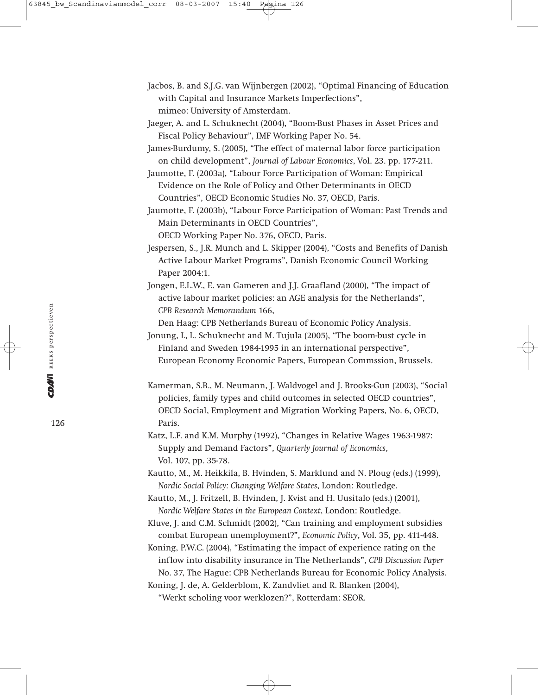- Jacbos, B. and S.J.G. van Wijnbergen (2002), "Optimal Financing of Education with Capital and Insurance Markets Imperfections", mimeo: University of Amsterdam.
- Jaeger, A. and L. Schuknecht (2004), "Boom-Bust Phases in Asset Prices and Fiscal Policy Behaviour", IMF Working Paper No. 54.
- James-Burdumy, S. (2005), "The effect of maternal labor force participation on child development", *Journal of Labour Economics*, Vol. 23. pp. 177-211.
- Jaumotte, F. (2003a), "Labour Force Participation of Woman: Empirical Evidence on the Role of Policy and Other Determinants in OECD Countries", OECD Economic Studies No. 37, OECD, Paris.
- Jaumotte, F. (2003b), "Labour Force Participation of Woman: Past Trends and Main Determinants in OECD Countries", OECD Working Paper No. 376, OECD, Paris.
- Jespersen, S., J.R. Munch and L. Skipper (2004), "Costs and Benefits of Danish
- Active Labour Market Programs", Danish Economic Council Working Paper 2004:1.
- Jongen, E.L.W., E. van Gameren and J.J. Graafland (2000), "The impact of active labour market policies: an AGE analysis for the Netherlands", *CPB Research Memorandum* 166,
	- Den Haag: CPB Netherlands Bureau of Economic Policy Analysis.
- Jonung, L, L. Schuknecht and M. Tujula (2005), "The boom-bust cycle in Finland and Sweden 1984-1995 in an international perspective", European Economy Economic Papers, European Commssion, Brussels.
- Kamerman, S.B., M. Neumann, J. Waldvogel and J. Brooks-Gun (2003), "Social policies, family types and child outcomes in selected OECD countries", OECD Social, Employment and Migration Working Papers, No. 6, OECD, Paris.
- Katz, L.F. and K.M. Murphy (1992), "Changes in Relative Wages 1963-1987: Supply and Demand Factors", *Quarterly Journal of Economics*, Vol. 107, pp. 35-78.
- Kautto, M., M. Heikkila, B. Hvinden, S. Marklund and N. Ploug (eds.) (1999), *Nordic Social Policy: Changing Welfare States*, London: Routledge.
- Kautto, M., J. Fritzell, B. Hvinden, J. Kvist and H. Uusitalo (eds.) (2001), *Nordic Welfare States in the European Context*, London: Routledge.
- Kluve, J. and C.M. Schmidt (2002), "Can training and employment subsidies combat European unemployment?", *Economic Policy*, Vol. 35, pp. 411-448.
- Koning, P.W.C. (2004), "Estimating the impact of experience rating on the inflow into disability insurance in The Netherlands", *CPB Discussion Paper* No. 37, The Hague: CPB Netherlands Bureau for Economic Policy Analysis.
- Koning, J. de, A. Gelderblom, K. Zandvliet and R. Blanken (2004), "Werkt scholing voor werklozen?", Rotterdam: SEOR.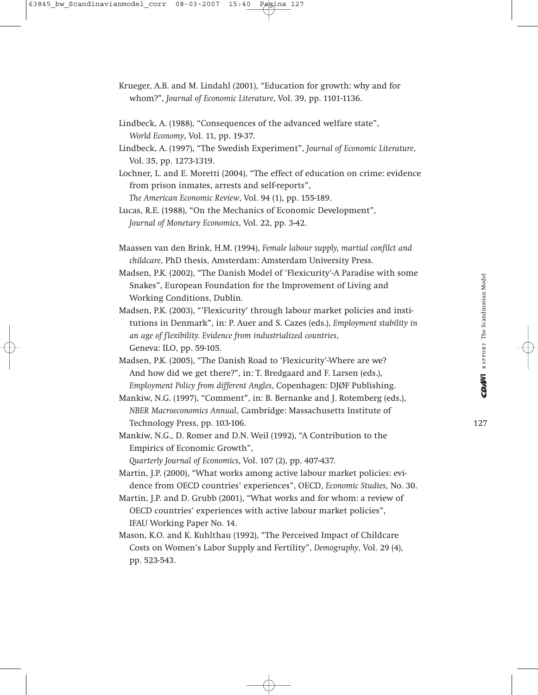- Krueger, A.B. and M. Lindahl (2001), "Education for growth: why and for whom?", *Journal of Economic Literature*, Vol. 39, pp. 1101-1136.
- Lindbeck, A. (1988), "Consequences of the advanced welfare state", *World Economy*, Vol. 11, pp. 19-37.
- Lindbeck, A. (1997), "The Swedish Experiment", *Journal of Economic Literature*, Vol. 35, pp. 1273-1319.
- Lochner, L. and E. Moretti (2004), "The effect of education on crime: evidence from prison inmates, arrests and self-reports",

*The American Economic Review*, Vol. 94 (1), pp. 155-189. Lucas, R.E. (1988), "On the Mechanics of Economic Development",

*Journal of Monetary Economics*, Vol. 22, pp. 3-42.

- Maassen van den Brink, H.M. (1994), *Female labour supply, martial confilct and childcare*, PhD thesis, Amsterdam: Amsterdam University Press.
- Madsen, P.K. (2002), "The Danish Model of 'Flexicurity'-A Paradise with some Snakes", European Foundation for the Improvement of Living and Working Conditions, Dublin.
- Madsen, P.K. (2003), "'Flexicurity' through labour market policies and institutions in Denmark", in: P. Auer and S. Cazes (eds.), *Employment stability in an age of flexibility. Evidence from industrialized countries*, Geneva: ILO, pp. 59-105.
- Madsen, P.K. (2005), "The Danish Road to 'Flexicurity'-Where are we? And how did we get there?", in: T. Bredgaard and F. Larsen (eds.), *Employment Policy from different Angles*, Copenhagen: DJØF Publishing.
- Mankiw, N.G. (1997), "Comment", in: B. Bernanke and J. Rotemberg (eds.), *NBER Macroeconomics Annual*, Cambridge: Massachusetts Institute of Technology Press, pp. 103-106.
- Mankiw, N.G., D. Romer and D.N. Weil (1992), "A Contribution to the Empirics of Economic Growth",
	- *Quarterly Journal of Economics*, Vol. 107 (2), pp. 407-437.
- Martin, J.P. (2000), "What works among active labour market policies: evidence from OECD countries' experiences", OECD, *Economic Studies*, No. 30.
- Martin, J.P. and D. Grubb (2001), "What works and for whom: a review of OECD countries' experiences with active labour market policies", IFAU Working Paper No. 14.
- Mason, K.O. and K. Kuhlthau (1992), "The Perceived Impact of Childcare Costs on Women's Labor Supply and Fertility", *Demography*, Vol. 29 (4), pp. 523-543.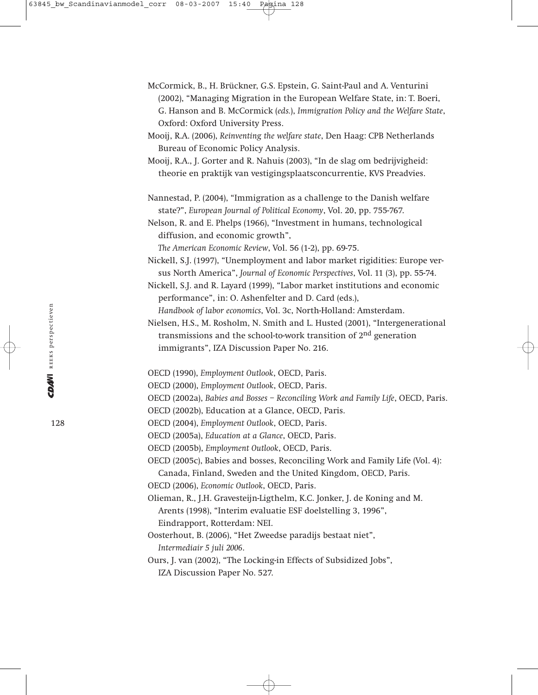- McCormick, B., H. Brückner, G.S. Epstein, G. Saint-Paul and A. Venturini (2002), "Managing Migration in the European Welfare State, in: T. Boeri, G. Hanson and B. McCormick (*eds.*), *Immigration Policy and the Welfare State*, Oxford: Oxford University Press.
- Mooij, R.A. (2006), *Reinventing the welfare state*, Den Haag: CPB Netherlands Bureau of Economic Policy Analysis.

Mooij, R.A., J. Gorter and R. Nahuis (2003), "In de slag om bedrijvigheid: theorie en praktijk van vestigingsplaatsconcurrentie, KVS Preadvies.

Nannestad, P. (2004), "Immigration as a challenge to the Danish welfare state?", *European Journal of Political Economy*, Vol. 20, pp. 755-767.

Nelson, R. and E. Phelps (1966), "Investment in humans, technological diffusion, and economic growth",

*The American Economic Review*, Vol. 56 (1-2), pp. 69-75.

- Nickell, S.J. (1997), "Unemployment and labor market rigidities: Europe versus North America", *Journal of Economic Perspectives*, Vol. 11 (3), pp. 55-74.
- Nickell, S.J. and R. Layard (1999), "Labor market institutions and economic performance", in: O. Ashenfelter and D. Card (eds.), *Handbook of labor economics*, Vol. 3c, North-Holland: Amsterdam.

Nielsen, H.S., M. Rosholm, N. Smith and L. Husted (2001), "Intergenerational transmissions and the school-to-work transition of 2nd generation immigrants", IZA Discussion Paper No. 216.

OECD (1990), *Employment Outlook*, OECD, Paris.

- OECD (2000), *Employment Outlook*, OECD, Paris.
- OECD (2002a), *Babies and Bosses Reconciling Work and Family Life*, OECD, Paris.
- OECD (2002b), Education at a Glance, OECD, Paris.
- OECD (2004), *Employment Outlook*, OECD, Paris.
- OECD (2005a), *Education at a Glance*, OECD, Paris.
- OECD (2005b), *Employment Outlook*, OECD, Paris.
- OECD (2005c), Babies and bosses, Reconciling Work and Family Life (Vol. 4): Canada, Finland, Sweden and the United Kingdom, OECD, Paris.
- OECD (2006), *Economic Outlook*, OECD, Paris.
- Olieman, R., J.H. Gravesteijn-Ligthelm, K.C. Jonker, J. de Koning and M. Arents (1998), "Interim evaluatie ESF doelstelling 3, 1996", Eindrapport, Rotterdam: NEI.
- Oosterhout, B. (2006), "Het Zweedse paradijs bestaat niet", *Intermediair 5 juli 2006*.
- Ours, J. van (2002), "The Locking-in Effects of Subsidized Jobs", IZA Discussion Paper No. 527.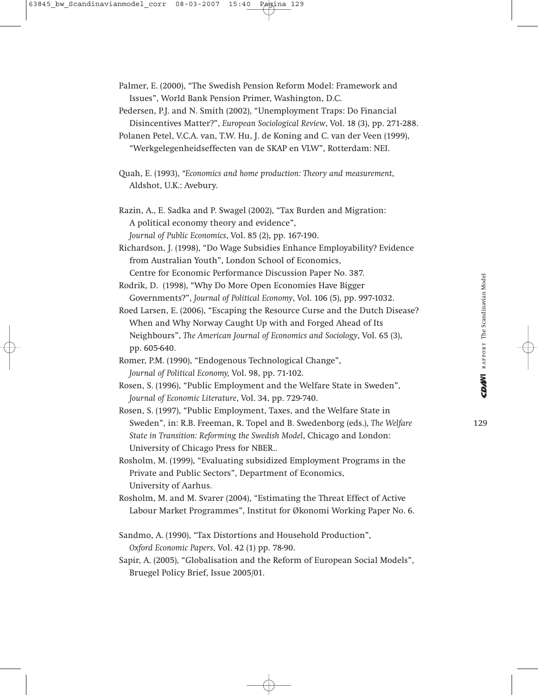- Palmer, E. (2000), "The Swedish Pension Reform Model: Framework and Issues", World Bank Pension Primer, Washington, D.C.
- Pedersen, P.J. and N. Smith (2002), "Unemployment Traps: Do Financial Disincentives Matter?", *European Sociological Review*, Vol. 18 (3), pp. 271-288.
- Polanen Petel, V.C.A. van, T.W. Hu, J. de Koning and C. van der Veen (1999),
	- "Werkgelegenheidseffecten van de SKAP en VLW", Rotterdam: NEI.
- Quah, E. (1993), *"Economics and home production: Theory and measurement*, Aldshot, U.K.: Avebury.
- Razin, A., E. Sadka and P. Swagel (2002), "Tax Burden and Migration: A political economy theory and evidence", *Journal of Public Economics*, Vol. 85 (2), pp. 167-190.
- Richardson, J. (1998), "Do Wage Subsidies Enhance Employability? Evidence from Australian Youth", London School of Economics, Centre for Economic Performance Discussion Paper No. 387.
- Rodrik, D. (1998), "Why Do More Open Economies Have Bigger Governments?", *Journal of Political Economy*, Vol. 106 (5), pp. 997-1032.
- Roed Larsen, E. (2006), "Escaping the Resource Curse and the Dutch Disease? When and Why Norway Caught Up with and Forged Ahead of Its Neighbours", *The American Journal of Economics and Sociology*, Vol. 65 (3), pp. 605-640.
- Romer, P.M. (1990), "Endogenous Technological Change", *Journal of Political Economy,* Vol. 98, pp. 71-102.
- Rosen, S. (1996), "Public Employment and the Welfare State in Sweden", *Journal of Economic Literature*, Vol. 34, pp. 729-740.
- Rosen, S. (1997), "Public Employment, Taxes, and the Welfare State in Sweden", in: R.B. Freeman, R. Topel and B. Swedenborg (eds.), *The Welfare State in Transition: Reforming the Swedish Model*, Chicago and London: University of Chicago Press for NBER..
- Rosholm, M. (1999), "Evaluating subsidized Employment Programs in the Private and Public Sectors", Department of Economics, University of Aarhus.
- Rosholm, M. and M. Svarer (2004), "Estimating the Threat Effect of Active Labour Market Programmes", Institut for Økonomi Working Paper No. 6.
- Sandmo, A. (1990), "Tax Distortions and Household Production", *Oxford Economic Papers*, Vol. 42 (1) pp. 78-90.
- Sapir, A. (2005), "Globalisation and the Reform of European Social Models", Bruegel Policy Brief, Issue 2005/01.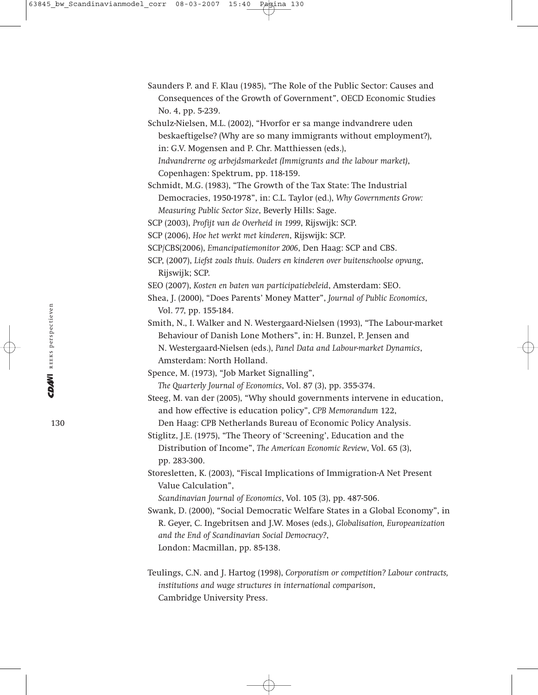Saunders P. and F. Klau (1985), "The Role of the Public Sector: Causes and Consequences of the Growth of Government", OECD Economic Studies No. 4, pp. 5-239.

Schulz-Nielsen, M.L. (2002), "Hvorfor er sa mange indvandrere uden beskaeftigelse? (Why are so many immigrants without employment?), in: G.V. Mogensen and P. Chr. Matthiessen (eds.), *Indvandrerne og arbejdsmarkedet (Immigrants and the labour market)*, Copenhagen: Spektrum, pp. 118-159.

- Schmidt, M.G. (1983), "The Growth of the Tax State: The Industrial Democracies, 1950-1978", in: C.L. Taylor (ed.), *Why Governments Grow: Measuring Public Sector Size*, Beverly Hills: Sage.
- SCP (2003), *Profijt van de Overheid in 1999*, Rijswijk: SCP.
- SCP (2006), *Hoe het werkt met kinderen*, Rijswijk: SCP.
- SCP/CBS(2006), *Emancipatiemonitor 2006*, Den Haag: SCP and CBS.
- SCP, (2007), *Liefst zoals thuis. Ouders en kinderen over buitenschoolse opvang*, Rijswijk; SCP.
- SEO (2007), *Kosten en baten van participatiebeleid*, Amsterdam: SEO.
- Shea, J. (2000), "Does Parents' Money Matter", *Journal of Public Economics*, Vol. 77, pp. 155-184.
- Smith, N., I. Walker and N. Westergaard-Nielsen (1993), "The Labour-market Behaviour of Danish Lone Mothers", in: H. Bunzel, P. Jensen and N. Westergaard-Nielsen (eds.), *Panel Data and Labour-market Dynamics*, Amsterdam: North Holland.
- Spence, M. (1973), "Job Market Signalling",
	- *The Quarterly Journal of Economics*, Vol. 87 (3), pp. 355-374.
- Steeg, M. van der (2005), "Why should governments intervene in education, and how effective is education policy", *CPB Memorandum* 122, Den Haag: CPB Netherlands Bureau of Economic Policy Analysis.
- Stiglitz, J.E. (1975), "The Theory of 'Screening', Education and the Distribution of Income", *The American Economic Review*, Vol. 65 (3), pp. 283-300.
- Storesletten, K. (2003), "Fiscal Implications of Immigration-A Net Present Value Calculation",

*Scandinavian Journal of Economics*, Vol. 105 (3), pp. 487-506.

Swank, D. (2000), "Social Democratic Welfare States in a Global Economy", in R. Geyer, C. Ingebritsen and J.W. Moses (eds.), *Globalisation, Europeanization and the End of Scandinavian Social Democracy?*, London: Macmillan, pp. 85-138.

Teulings, C.N. and J. Hartog (1998), *Corporatism or competition? Labour contracts, institutions and wage structures in international comparison*, Cambridge University Press.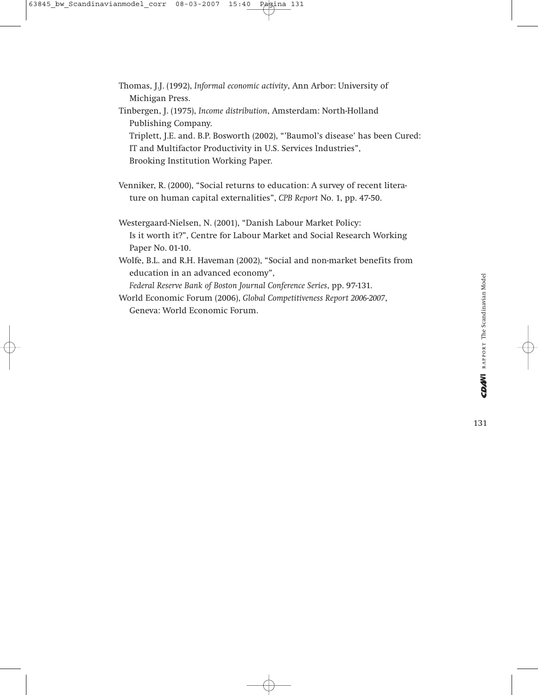Thomas, J.J. (1992), *Informal economic activity*, Ann Arbor: University of Michigan Press. Tinbergen, J. (1975), *Income distribution*, Amsterdam: North-Holland Publishing Company. Triplett, J.E. and. B.P. Bosworth (2002), "'Baumol's disease' has been Cured: IT and Multifactor Productivity in U.S. Services Industries",

Brooking Institution Working Paper.

- Venniker, R. (2000), "Social returns to education: A survey of recent literature on human capital externalities", *CPB Report* No. 1, pp. 47-50.
- Westergaard-Nielsen, N. (2001), "Danish Labour Market Policy: Is it worth it?", Centre for Labour Market and Social Research Working Paper No. 01-10.
- Wolfe, B.L. and R.H. Haveman (2002), "Social and non-market benefits from education in an advanced economy",

*Federal Reserve Bank of Boston Journal Conference Series*, pp. 97-131.

World Economic Forum (2006), *Global Competitiveness Report 2006-2007*, Geneva: World Economic Forum.